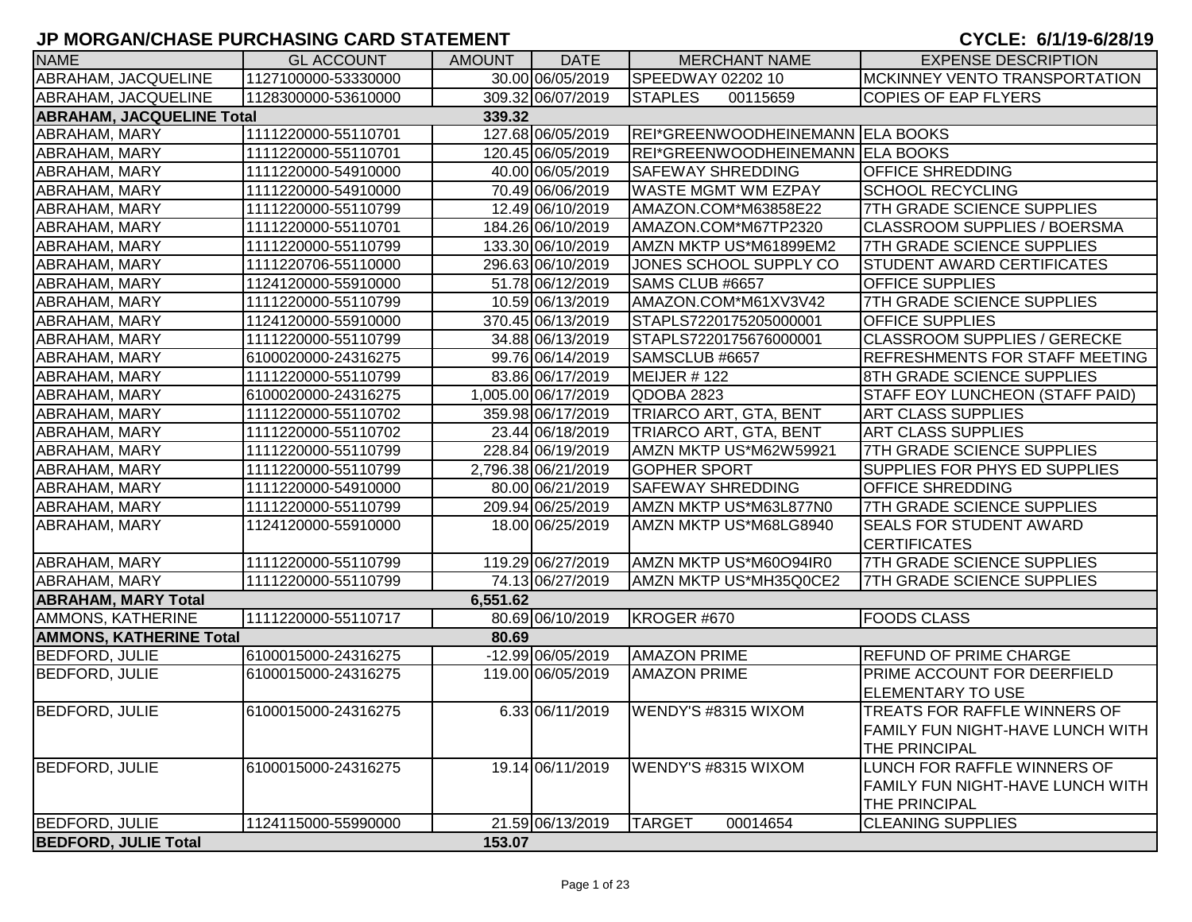| <b>NAME</b>                                | <b>GL ACCOUNT</b>   | <b>AMOUNT</b> | <b>DATE</b>         | <b>MERCHANT NAME</b>             | <b>EXPENSE DESCRIPTION</b>             |  |  |  |  |
|--------------------------------------------|---------------------|---------------|---------------------|----------------------------------|----------------------------------------|--|--|--|--|
| ABRAHAM, JACQUELINE                        | 1127100000-53330000 |               | 30.00 06/05/2019    | SPEEDWAY 02202 10                | <b>MCKINNEY VENTO TRANSPORTATION</b>   |  |  |  |  |
| ABRAHAM, JACQUELINE                        | 1128300000-53610000 |               | 309.32 06/07/2019   | <b>STAPLES</b><br>00115659       | <b>COPIES OF EAP FLYERS</b>            |  |  |  |  |
| <b>ABRAHAM, JACQUELINE Total</b><br>339.32 |                     |               |                     |                                  |                                        |  |  |  |  |
| <b>ABRAHAM, MARY</b>                       | 1111220000-55110701 |               | 127.68 06/05/2019   | REI*GREENWOODHEINEMANN ELA BOOKS |                                        |  |  |  |  |
| ABRAHAM, MARY                              | 1111220000-55110701 |               | 120.45 06/05/2019   | REI*GREENWOODHEINEMANN ELA BOOKS |                                        |  |  |  |  |
| <b>ABRAHAM, MARY</b>                       | 1111220000-54910000 |               | 40.00 06/05/2019    | <b>SAFEWAY SHREDDING</b>         | <b>OFFICE SHREDDING</b>                |  |  |  |  |
| <b>ABRAHAM, MARY</b>                       | 1111220000-54910000 |               | 70.49 06/06/2019    | <b>WASTE MGMT WM EZPAY</b>       | <b>SCHOOL RECYCLING</b>                |  |  |  |  |
| ABRAHAM, MARY                              | 1111220000-55110799 |               | 12.49 06/10/2019    | AMAZON.COM*M63858E22             | 7TH GRADE SCIENCE SUPPLIES             |  |  |  |  |
| <b>ABRAHAM, MARY</b>                       | 1111220000-55110701 |               | 184.26 06/10/2019   | AMAZON.COM*M67TP2320             | CLASSROOM SUPPLIES / BOERSMA           |  |  |  |  |
| <b>ABRAHAM, MARY</b>                       | 1111220000-55110799 |               | 133.30 06/10/2019   | AMZN MKTP US*M61899EM2           | 7TH GRADE SCIENCE SUPPLIES             |  |  |  |  |
| ABRAHAM, MARY                              | 1111220706-55110000 |               | 296.63 06/10/2019   | JONES SCHOOL SUPPLY CO           | <b>STUDENT AWARD CERTIFICATES</b>      |  |  |  |  |
| ABRAHAM, MARY                              | 1124120000-55910000 |               | 51.78 06/12/2019    | SAMS CLUB #6657                  | <b>OFFICE SUPPLIES</b>                 |  |  |  |  |
| <b>ABRAHAM, MARY</b>                       | 1111220000-55110799 |               | 10.59 06/13/2019    | AMAZON.COM*M61XV3V42             | 7TH GRADE SCIENCE SUPPLIES             |  |  |  |  |
| <b>ABRAHAM, MARY</b>                       | 1124120000-55910000 |               | 370.45 06/13/2019   | STAPLS7220175205000001           | <b>OFFICE SUPPLIES</b>                 |  |  |  |  |
| <b>ABRAHAM, MARY</b>                       | 1111220000-55110799 |               | 34.88 06/13/2019    | STAPLS7220175676000001           | <b>CLASSROOM SUPPLIES / GERECKE</b>    |  |  |  |  |
| <b>ABRAHAM, MARY</b>                       | 6100020000-24316275 |               | 99.76 06/14/2019    | SAMSCLUB #6657                   | <b>REFRESHMENTS FOR STAFF MEETING</b>  |  |  |  |  |
| <b>ABRAHAM, MARY</b>                       | 1111220000-55110799 |               | 83.86 06/17/2019    | MEIJER #122                      | 8TH GRADE SCIENCE SUPPLIES             |  |  |  |  |
| <b>ABRAHAM, MARY</b>                       | 6100020000-24316275 |               | 1,005.00 06/17/2019 | QDOBA 2823                       | <b>STAFF EOY LUNCHEON (STAFF PAID)</b> |  |  |  |  |
| ABRAHAM, MARY                              | 1111220000-55110702 |               | 359.98 06/17/2019   | TRIARCO ART, GTA, BENT           | <b>ART CLASS SUPPLIES</b>              |  |  |  |  |
| ABRAHAM, MARY                              | 1111220000-55110702 |               | 23.44 06/18/2019    | TRIARCO ART, GTA, BENT           | <b>ART CLASS SUPPLIES</b>              |  |  |  |  |
| <b>ABRAHAM, MARY</b>                       | 1111220000-55110799 |               | 228.84 06/19/2019   | AMZN MKTP US*M62W59921           | 7TH GRADE SCIENCE SUPPLIES             |  |  |  |  |
| <b>ABRAHAM, MARY</b>                       | 1111220000-55110799 |               | 2,796.38 06/21/2019 | <b>GOPHER SPORT</b>              | <b>SUPPLIES FOR PHYS ED SUPPLIES</b>   |  |  |  |  |
| ABRAHAM, MARY                              | 1111220000-54910000 |               | 80.00 06/21/2019    | <b>SAFEWAY SHREDDING</b>         | <b>OFFICE SHREDDING</b>                |  |  |  |  |
| ABRAHAM, MARY                              | 1111220000-55110799 |               | 209.94 06/25/2019   | AMZN MKTP US*M63L877N0           | <b>7TH GRADE SCIENCE SUPPLIES</b>      |  |  |  |  |
| ABRAHAM, MARY                              | 1124120000-55910000 |               | 18.00 06/25/2019    | AMZN MKTP US*M68LG8940           | <b>SEALS FOR STUDENT AWARD</b>         |  |  |  |  |
|                                            |                     |               |                     |                                  | <b>CERTIFICATES</b>                    |  |  |  |  |
| <b>ABRAHAM, MARY</b>                       | 1111220000-55110799 |               | 119.29 06/27/2019   | AMZN MKTP US*M60O94IR0           | 7TH GRADE SCIENCE SUPPLIES             |  |  |  |  |
| <b>ABRAHAM, MARY</b>                       | 1111220000-55110799 |               | 74.13 06/27/2019    | AMZN MKTP US*MH35Q0CE2           | <b>7TH GRADE SCIENCE SUPPLIES</b>      |  |  |  |  |
| <b>ABRAHAM, MARY Total</b>                 |                     | 6,551.62      |                     |                                  |                                        |  |  |  |  |
| AMMONS, KATHERINE                          | 1111220000-55110717 |               | 80.69 06/10/2019    | KROGER #670                      | <b>FOODS CLASS</b>                     |  |  |  |  |
| <b>AMMONS, KATHERINE Total</b>             |                     | 80.69         |                     |                                  |                                        |  |  |  |  |
| <b>BEDFORD, JULIE</b>                      | 6100015000-24316275 |               | -12.99 06/05/2019   | <b>AMAZON PRIME</b>              | <b>REFUND OF PRIME CHARGE</b>          |  |  |  |  |
| <b>BEDFORD, JULIE</b>                      | 6100015000-24316275 |               | 119.00 06/05/2019   | <b>AMAZON PRIME</b>              | <b>PRIME ACCOUNT FOR DEERFIELD</b>     |  |  |  |  |
|                                            |                     |               |                     |                                  | <b>ELEMENTARY TO USE</b>               |  |  |  |  |
| <b>BEDFORD, JULIE</b>                      | 6100015000-24316275 |               | 6.33 06/11/2019     | WENDY'S #8315 WIXOM              | TREATS FOR RAFFLE WINNERS OF           |  |  |  |  |
|                                            |                     |               |                     |                                  | FAMILY FUN NIGHT-HAVE LUNCH WITH       |  |  |  |  |
|                                            |                     |               |                     |                                  | THE PRINCIPAL                          |  |  |  |  |
| <b>BEDFORD, JULIE</b>                      | 6100015000-24316275 |               | 19.14 06/11/2019    | WENDY'S #8315 WIXOM              | LUNCH FOR RAFFLE WINNERS OF            |  |  |  |  |
|                                            |                     |               |                     |                                  | FAMILY FUN NIGHT-HAVE LUNCH WITH       |  |  |  |  |
|                                            |                     |               |                     |                                  | THE PRINCIPAL                          |  |  |  |  |
| <b>BEDFORD, JULIE</b>                      | 1124115000-55990000 |               | 21.59 06/13/2019    | <b>TARGET</b><br>00014654        | <b>CLEANING SUPPLIES</b>               |  |  |  |  |
| <b>BEDFORD, JULIE Total</b>                |                     | 153.07        |                     |                                  |                                        |  |  |  |  |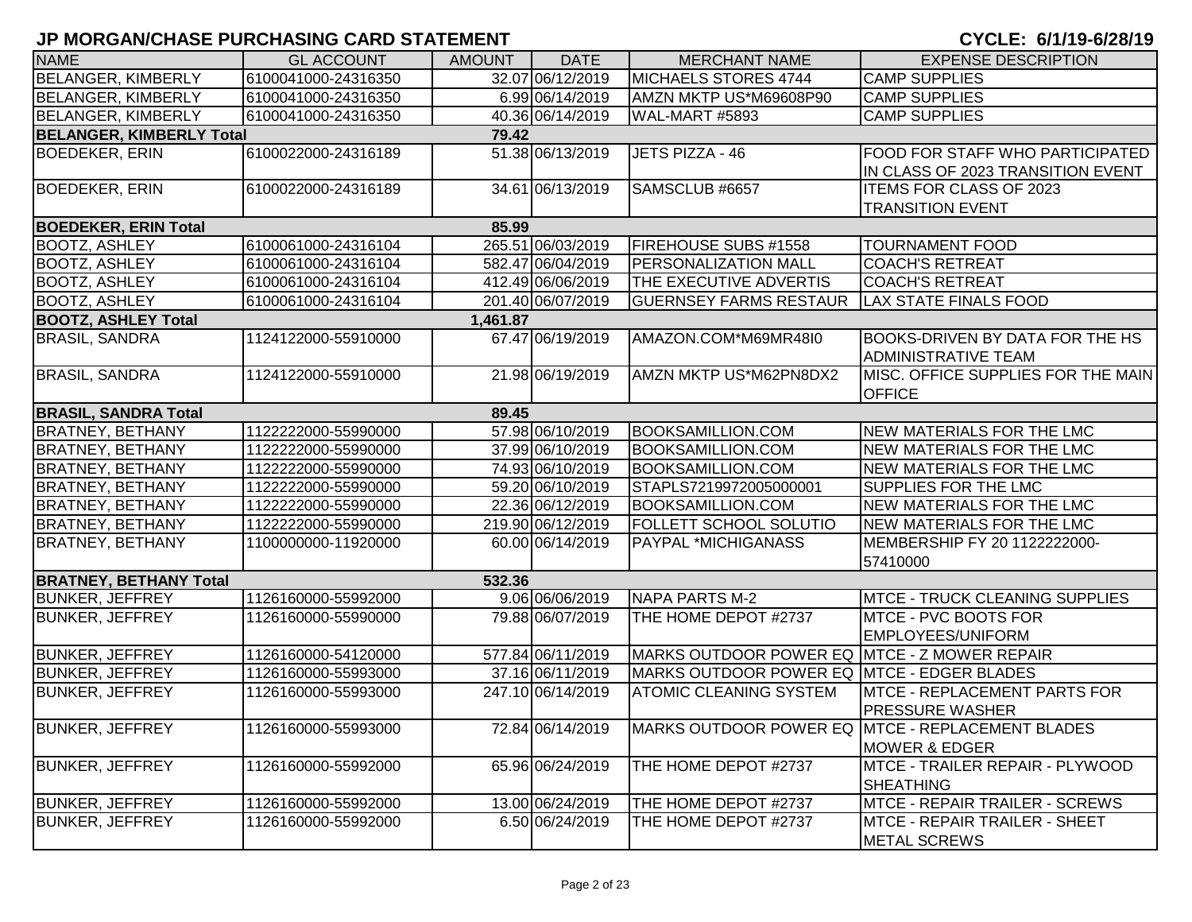| <b>NAME</b>                          | <b>GL ACCOUNT</b>   | <b>AMOUNT</b> | <b>DATE</b>       | <b>MERCHANT NAME</b>                         | <b>EXPENSE DESCRIPTION</b>                       |  |  |  |
|--------------------------------------|---------------------|---------------|-------------------|----------------------------------------------|--------------------------------------------------|--|--|--|
| BELANGER, KIMBERLY                   | 6100041000-24316350 |               | 32.07 06/12/2019  | MICHAELS STORES 4744                         | <b>CAMP SUPPLIES</b>                             |  |  |  |
| <b>BELANGER, KIMBERLY</b>            | 6100041000-24316350 |               | 6.99 06/14/2019   | AMZN MKTP US*M69608P90                       | <b>CAMP SUPPLIES</b>                             |  |  |  |
| <b>BELANGER, KIMBERLY</b>            | 6100041000-24316350 |               | 40.36 06/14/2019  | WAL-MART #5893                               | <b>CAMP SUPPLIES</b>                             |  |  |  |
| <b>BELANGER, KIMBERLY Total</b>      |                     | 79.42         |                   |                                              |                                                  |  |  |  |
| <b>BOEDEKER, ERIN</b>                | 6100022000-24316189 |               | 51.38 06/13/2019  | JETS PIZZA - 46                              | FOOD FOR STAFF WHO PARTICIPATED                  |  |  |  |
|                                      |                     |               |                   |                                              | IN CLASS OF 2023 TRANSITION EVENT                |  |  |  |
| <b>BOEDEKER, ERIN</b>                | 6100022000-24316189 |               | 34.61 06/13/2019  | SAMSCLUB #6657                               | <b>ITEMS FOR CLASS OF 2023</b>                   |  |  |  |
|                                      |                     |               |                   |                                              | <b>TRANSITION EVENT</b>                          |  |  |  |
| <b>BOEDEKER, ERIN Total</b><br>85.99 |                     |               |                   |                                              |                                                  |  |  |  |
| <b>BOOTZ, ASHLEY</b>                 | 6100061000-24316104 |               | 265.51 06/03/2019 | FIREHOUSE SUBS #1558                         | <b>TOURNAMENT FOOD</b>                           |  |  |  |
| <b>BOOTZ, ASHLEY</b>                 | 6100061000-24316104 |               | 582.47 06/04/2019 | PERSONALIZATION MALL                         | <b>COACH'S RETREAT</b>                           |  |  |  |
| <b>BOOTZ, ASHLEY</b>                 | 6100061000-24316104 |               | 412.49 06/06/2019 | <b>THE EXECUTIVE ADVERTIS</b>                | <b>COACH'S RETREAT</b>                           |  |  |  |
| <b>BOOTZ, ASHLEY</b>                 | 6100061000-24316104 |               | 201.40 06/07/2019 | <b>GUERNSEY FARMS RESTAUR</b>                | <b>LAX STATE FINALS FOOD</b>                     |  |  |  |
| <b>BOOTZ, ASHLEY Total</b>           |                     | 1,461.87      |                   |                                              |                                                  |  |  |  |
| <b>BRASIL, SANDRA</b>                | 1124122000-55910000 |               | 67.47 06/19/2019  | AMAZON.COM*M69MR48I0                         | <b>BOOKS-DRIVEN BY DATA FOR THE HS</b>           |  |  |  |
|                                      |                     |               |                   |                                              | <b>ADMINISTRATIVE TEAM</b>                       |  |  |  |
| <b>BRASIL, SANDRA</b>                | 1124122000-55910000 |               | 21.98 06/19/2019  | AMZN MKTP US*M62PN8DX2                       | MISC, OFFICE SUPPLIES FOR THE MAIN               |  |  |  |
|                                      |                     |               |                   |                                              | <b>OFFICE</b>                                    |  |  |  |
| <b>BRASIL, SANDRA Total</b>          |                     | 89.45         |                   |                                              |                                                  |  |  |  |
| <b>BRATNEY, BETHANY</b>              | 1122222000-55990000 |               | 57.98 06/10/2019  | <b>BOOKSAMILLION.COM</b>                     | <b>NEW MATERIALS FOR THE LMC</b>                 |  |  |  |
| <b>BRATNEY, BETHANY</b>              | 1122222000-55990000 |               | 37.99 06/10/2019  | <b>BOOKSAMILLION.COM</b>                     | <b>NEW MATERIALS FOR THE LMC</b>                 |  |  |  |
| <b>BRATNEY, BETHANY</b>              | 1122222000-55990000 |               | 74.93 06/10/2019  | <b>BOOKSAMILLION.COM</b>                     | NEW MATERIALS FOR THE LMC                        |  |  |  |
| <b>BRATNEY, BETHANY</b>              | 1122222000-55990000 |               | 59.20 06/10/2019  | STAPLS7219972005000001                       | <b>SUPPLIES FOR THE LMC</b>                      |  |  |  |
| <b>BRATNEY, BETHANY</b>              | 1122222000-55990000 |               | 22.36 06/12/2019  | <b>BOOKSAMILLION.COM</b>                     | <b>NEW MATERIALS FOR THE LMC</b>                 |  |  |  |
| <b>BRATNEY, BETHANY</b>              | 1122222000-55990000 |               | 219.90 06/12/2019 | FOLLETT SCHOOL SOLUTIO                       | NEW MATERIALS FOR THE LMC                        |  |  |  |
| <b>BRATNEY, BETHANY</b>              | 1100000000-11920000 |               | 60.00 06/14/2019  | PAYPAL *MICHIGANASS                          | MEMBERSHIP FY 20 1122222000-                     |  |  |  |
|                                      |                     |               |                   |                                              | 57410000                                         |  |  |  |
| <b>BRATNEY, BETHANY Total</b>        |                     | 532.36        |                   |                                              |                                                  |  |  |  |
| <b>BUNKER, JEFFREY</b>               | 1126160000-55992000 |               | 9.06 06/06/2019   | NAPA PARTS M-2                               | <b>IMTCE - TRUCK CLEANING SUPPLIES</b>           |  |  |  |
| <b>BUNKER, JEFFREY</b>               | 1126160000-55990000 |               | 79.88 06/07/2019  | THE HOME DEPOT #2737                         | MTCE - PVC BOOTS FOR                             |  |  |  |
|                                      |                     |               |                   |                                              | <b>EMPLOYEES/UNIFORM</b>                         |  |  |  |
| <b>BUNKER, JEFFREY</b>               | 1126160000-54120000 |               | 577.84 06/11/2019 | MARKS OUTDOOR POWER EQ MTCE - Z MOWER REPAIR |                                                  |  |  |  |
| <b>BUNKER, JEFFREY</b>               | 1126160000-55993000 |               | 37.16 06/11/2019  | MARKS OUTDOOR POWER EQ MTCE - EDGER BLADES   |                                                  |  |  |  |
| <b>BUNKER, JEFFREY</b>               | 1126160000-55993000 |               | 247.10 06/14/2019 | <b>ATOMIC CLEANING SYSTEM</b>                | <b>IMTCE - REPLACEMENT PARTS FOR</b>             |  |  |  |
|                                      |                     |               |                   |                                              | <b>PRESSURE WASHER</b>                           |  |  |  |
| <b>BUNKER, JEFFREY</b>               | 1126160000-55993000 |               | 72.84 06/14/2019  |                                              | MARKS OUTDOOR POWER EQ MTCE - REPLACEMENT BLADES |  |  |  |
|                                      |                     |               |                   |                                              | <b>MOWER &amp; EDGER</b>                         |  |  |  |
| <b>BUNKER, JEFFREY</b>               | 1126160000-55992000 |               | 65.96 06/24/2019  | THE HOME DEPOT #2737                         | MTCE - TRAILER REPAIR - PLYWOOD                  |  |  |  |
|                                      |                     |               |                   |                                              | <b>SHEATHING</b>                                 |  |  |  |
| <b>BUNKER, JEFFREY</b>               | 1126160000-55992000 |               | 13.00 06/24/2019  | THE HOME DEPOT #2737                         | MTCE - REPAIR TRAILER - SCREWS                   |  |  |  |
| <b>BUNKER, JEFFREY</b>               | 1126160000-55992000 |               | 6.50 06/24/2019   | THE HOME DEPOT #2737                         | <b>MTCE - REPAIR TRAILER - SHEET</b>             |  |  |  |
|                                      |                     |               |                   |                                              | <b>METAL SCREWS</b>                              |  |  |  |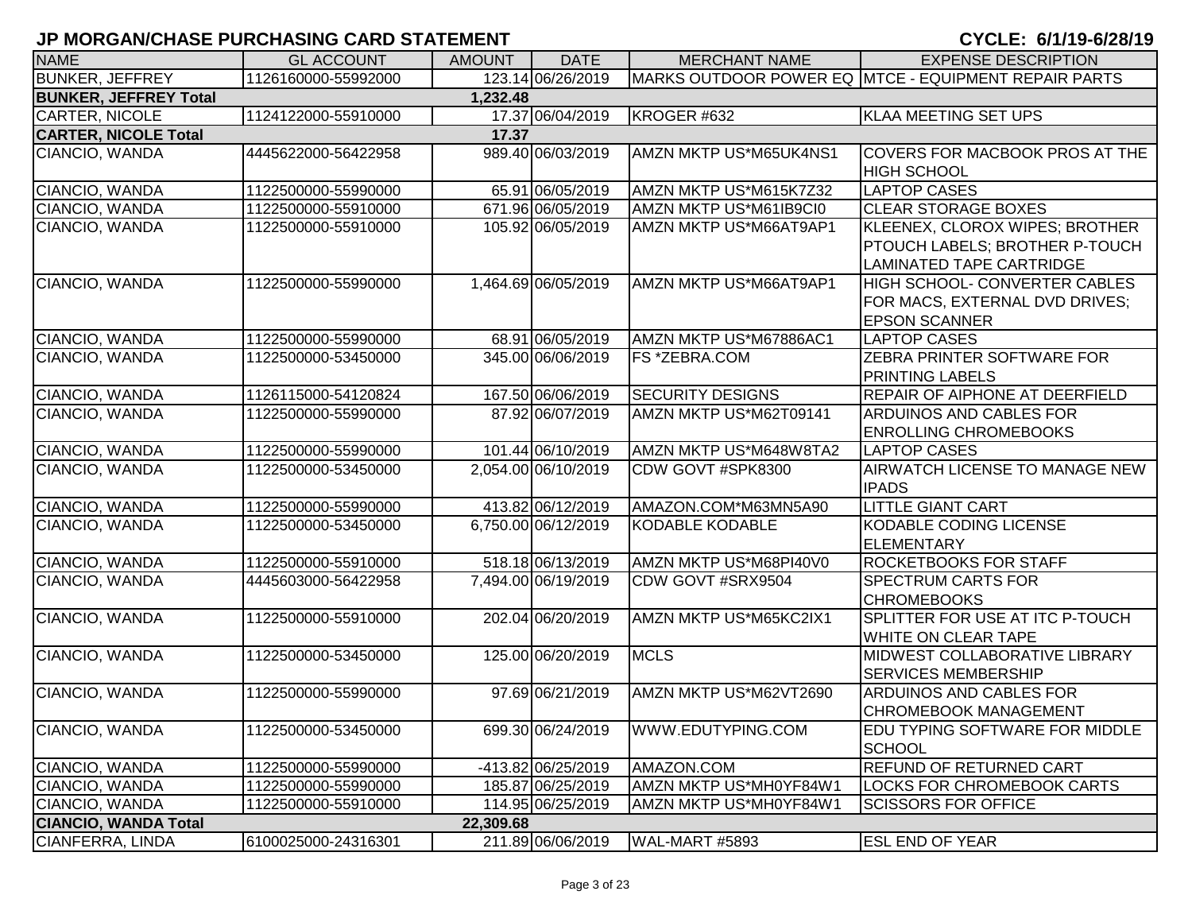| <b>NAME</b>                  | <b>GL ACCOUNT</b>   | <b>AMOUNT</b> | <b>DATE</b>         | <b>MERCHANT NAME</b>    | <b>EXPENSE DESCRIPTION</b>                                                                          |
|------------------------------|---------------------|---------------|---------------------|-------------------------|-----------------------------------------------------------------------------------------------------|
| <b>BUNKER, JEFFREY</b>       | 1126160000-55992000 |               | 123.14 06/26/2019   |                         | MARKS OUTDOOR POWER EQ MTCE - EQUIPMENT REPAIR PARTS                                                |
| <b>BUNKER, JEFFREY Total</b> |                     | 1,232.48      |                     |                         |                                                                                                     |
| <b>CARTER, NICOLE</b>        | 1124122000-55910000 |               | 17.37 06/04/2019    | KROGER #632             | <b>KLAA MEETING SET UPS</b>                                                                         |
| <b>CARTER, NICOLE Total</b>  |                     | 17.37         |                     |                         |                                                                                                     |
| CIANCIO, WANDA               | 4445622000-56422958 |               | 989.40 06/03/2019   | AMZN MKTP US*M65UK4NS1  | COVERS FOR MACBOOK PROS AT THE<br><b>HIGH SCHOOL</b>                                                |
| CIANCIO, WANDA               | 1122500000-55990000 |               | 65.91 06/05/2019    | AMZN MKTP US*M615K7Z32  | <b>LAPTOP CASES</b>                                                                                 |
| CIANCIO, WANDA               | 1122500000-55910000 |               | 671.96 06/05/2019   | AMZN MKTP US*M61IB9CI0  | <b>CLEAR STORAGE BOXES</b>                                                                          |
| CIANCIO, WANDA               | 1122500000-55910000 |               | 105.92 06/05/2019   | AMZN MKTP US*M66AT9AP1  | KLEENEX, CLOROX WIPES; BROTHER<br>PTOUCH LABELS; BROTHER P-TOUCH<br><b>LAMINATED TAPE CARTRIDGE</b> |
| CIANCIO, WANDA               | 1122500000-55990000 |               | 1,464.69 06/05/2019 | AMZN MKTP US*M66AT9AP1  | HIGH SCHOOL- CONVERTER CABLES<br>FOR MACS, EXTERNAL DVD DRIVES;<br><b>EPSON SCANNER</b>             |
| CIANCIO, WANDA               | 1122500000-55990000 |               | 68.91 06/05/2019    | AMZN MKTP US*M67886AC1  | <b>LAPTOP CASES</b>                                                                                 |
| CIANCIO, WANDA               | 1122500000-53450000 |               | 345.00 06/06/2019   | FS *ZEBRA.COM           | <b>ZEBRA PRINTER SOFTWARE FOR</b><br><b>PRINTING LABELS</b>                                         |
| CIANCIO, WANDA               | 1126115000-54120824 |               | 167.50 06/06/2019   | <b>SECURITY DESIGNS</b> | REPAIR OF AIPHONE AT DEERFIELD                                                                      |
| CIANCIO, WANDA               | 1122500000-55990000 |               | 87.92 06/07/2019    | AMZN MKTP US*M62T09141  | <b>ARDUINOS AND CABLES FOR</b><br><b>ENROLLING CHROMEBOOKS</b>                                      |
| CIANCIO, WANDA               | 1122500000-55990000 |               | 101.44 06/10/2019   | AMZN MKTP US*M648W8TA2  | <b>LAPTOP CASES</b>                                                                                 |
| CIANCIO, WANDA               | 1122500000-53450000 |               | 2,054.00 06/10/2019 | CDW GOVT #SPK8300       | AIRWATCH LICENSE TO MANAGE NEW<br><b>IPADS</b>                                                      |
| CIANCIO, WANDA               | 1122500000-55990000 |               | 413.82 06/12/2019   | AMAZON.COM*M63MN5A90    | <b>LITTLE GIANT CART</b>                                                                            |
| CIANCIO, WANDA               | 1122500000-53450000 |               | 6,750.00 06/12/2019 | <b>KODABLE KODABLE</b>  | <b>KODABLE CODING LICENSE</b><br><b>ELEMENTARY</b>                                                  |
| CIANCIO, WANDA               | 1122500000-55910000 |               | 518.18 06/13/2019   | AMZN MKTP US*M68PI40V0  | <b>ROCKETBOOKS FOR STAFF</b>                                                                        |
| CIANCIO, WANDA               | 4445603000-56422958 |               | 7,494.00 06/19/2019 | CDW GOVT #SRX9504       | <b>SPECTRUM CARTS FOR</b><br><b>CHROMEBOOKS</b>                                                     |
| CIANCIO, WANDA               | 1122500000-55910000 |               | 202.04 06/20/2019   | AMZN MKTP US*M65KC2IX1  | SPLITTER FOR USE AT ITC P-TOUCH<br><b>WHITE ON CLEAR TAPE</b>                                       |
| CIANCIO, WANDA               | 1122500000-53450000 |               | 125.00 06/20/2019   | <b>MCLS</b>             | <b>MIDWEST COLLABORATIVE LIBRARY</b><br><b>SERVICES MEMBERSHIP</b>                                  |
| CIANCIO, WANDA               | 1122500000-55990000 |               | 97.69 06/21/2019    | AMZN MKTP US*M62VT2690  | <b>ARDUINOS AND CABLES FOR</b><br><b>CHROMEBOOK MANAGEMENT</b>                                      |
| CIANCIO, WANDA               | 1122500000-53450000 |               | 699.30 06/24/2019   | WWW.EDUTYPING.COM       | <b>EDU TYPING SOFTWARE FOR MIDDLE</b><br><b>SCHOOL</b>                                              |
| CIANCIO, WANDA               | 1122500000-55990000 |               | -413.82 06/25/2019  | AMAZON.COM              | <b>REFUND OF RETURNED CART</b>                                                                      |
| CIANCIO, WANDA               | 1122500000-55990000 |               | 185.87 06/25/2019   | AMZN MKTP US*MH0YF84W1  | <b>LOCKS FOR CHROMEBOOK CARTS</b>                                                                   |
| CIANCIO, WANDA               | 1122500000-55910000 |               | 114.95 06/25/2019   | AMZN MKTP US*MH0YF84W1  | <b>SCISSORS FOR OFFICE</b>                                                                          |
| <b>CIANCIO, WANDA Total</b>  |                     | 22,309.68     |                     |                         |                                                                                                     |
| CIANFERRA, LINDA             | 6100025000-24316301 |               | 211.89 06/06/2019   | WAL-MART #5893          | <b>ESL END OF YEAR</b>                                                                              |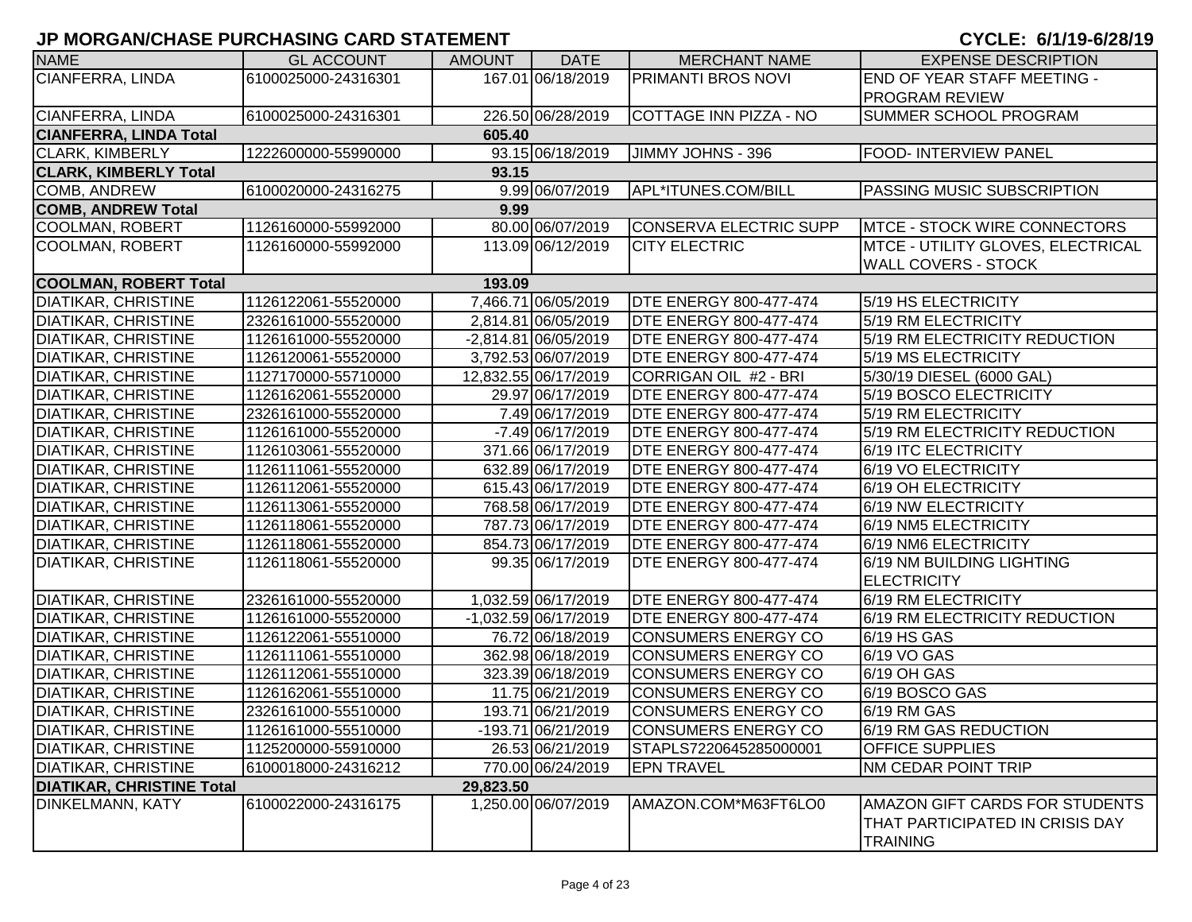| <b>NAME</b>                      | <b>GL ACCOUNT</b>   | <b>AMOUNT</b> | <b>DATE</b>            | <b>MERCHANT NAME</b>          | <b>EXPENSE DESCRIPTION</b>                                                           |
|----------------------------------|---------------------|---------------|------------------------|-------------------------------|--------------------------------------------------------------------------------------|
| <b>CIANFERRA, LINDA</b>          | 6100025000-24316301 |               | 167.01 06/18/2019      | <b>PRIMANTI BROS NOVI</b>     | <b>END OF YEAR STAFF MEETING -</b>                                                   |
|                                  |                     |               |                        |                               | <b>PROGRAM REVIEW</b>                                                                |
| CIANFERRA, LINDA                 | 6100025000-24316301 |               | 226.50 06/28/2019      | COTTAGE INN PIZZA - NO        | <b>SUMMER SCHOOL PROGRAM</b>                                                         |
| <b>CIANFERRA, LINDA Total</b>    |                     | 605.40        |                        |                               |                                                                                      |
| <b>CLARK, KIMBERLY</b>           | 1222600000-55990000 |               | 93.15 06/18/2019       | JIMMY JOHNS - 396             | <b>FOOD- INTERVIEW PANEL</b>                                                         |
| <b>CLARK, KIMBERLY Total</b>     |                     | 93.15         |                        |                               |                                                                                      |
| COMB, ANDREW                     | 6100020000-24316275 |               | 9.99 06/07/2019        | APL*ITUNES.COM/BILL           | PASSING MUSIC SUBSCRIPTION                                                           |
| <b>COMB, ANDREW Total</b>        |                     | 9.99          |                        |                               |                                                                                      |
| <b>COOLMAN, ROBERT</b>           | 1126160000-55992000 |               | 80.00 06/07/2019       | CONSERVA ELECTRIC SUPP        | <b>IMTCE - STOCK WIRE CONNECTORS</b>                                                 |
| <b>COOLMAN, ROBERT</b>           | 1126160000-55992000 |               | 113.09 06/12/2019      | <b>CITY ELECTRIC</b>          | <b>MTCE - UTILITY GLOVES, ELECTRICAL</b>                                             |
|                                  |                     |               |                        |                               | <b>WALL COVERS - STOCK</b>                                                           |
| <b>COOLMAN, ROBERT Total</b>     |                     | 193.09        |                        |                               |                                                                                      |
| <b>DIATIKAR, CHRISTINE</b>       | 1126122061-55520000 |               | 7,466.71 06/05/2019    | <b>DTE ENERGY 800-477-474</b> | 5/19 HS ELECTRICITY                                                                  |
| <b>DIATIKAR, CHRISTINE</b>       | 2326161000-55520000 |               | 2,814.81 06/05/2019    | <b>DTE ENERGY 800-477-474</b> | 5/19 RM ELECTRICITY                                                                  |
| <b>DIATIKAR, CHRISTINE</b>       | 1126161000-55520000 |               | -2,814.81 06/05/2019   | <b>DTE ENERGY 800-477-474</b> | 5/19 RM ELECTRICITY REDUCTION                                                        |
| <b>DIATIKAR, CHRISTINE</b>       | 1126120061-55520000 |               | 3,792.53 06/07/2019    | <b>DTE ENERGY 800-477-474</b> | 5/19 MS ELECTRICITY                                                                  |
| <b>DIATIKAR, CHRISTINE</b>       | 1127170000-55710000 |               | 12,832.55 06/17/2019   | CORRIGAN OIL #2 - BRI         | 5/30/19 DIESEL (6000 GAL)                                                            |
| <b>DIATIKAR, CHRISTINE</b>       | 1126162061-55520000 |               | 29.97 06/17/2019       | <b>DTE ENERGY 800-477-474</b> | 5/19 BOSCO ELECTRICITY                                                               |
| <b>DIATIKAR, CHRISTINE</b>       | 2326161000-55520000 |               | 7.49 06/17/2019        | <b>DTE ENERGY 800-477-474</b> | 5/19 RM ELECTRICITY                                                                  |
| <b>DIATIKAR, CHRISTINE</b>       | 1126161000-55520000 |               | -7.49 06/17/2019       | <b>DTE ENERGY 800-477-474</b> | 5/19 RM ELECTRICITY REDUCTION                                                        |
| <b>DIATIKAR, CHRISTINE</b>       | 1126103061-55520000 |               | 371.66 06/17/2019      | <b>DTE ENERGY 800-477-474</b> | 6/19 ITC ELECTRICITY                                                                 |
| <b>DIATIKAR, CHRISTINE</b>       | 1126111061-55520000 |               | 632.89 06/17/2019      | <b>DTE ENERGY 800-477-474</b> | 6/19 VO ELECTRICITY                                                                  |
| <b>DIATIKAR, CHRISTINE</b>       | 1126112061-55520000 |               | 615.43 06/17/2019      | <b>DTE ENERGY 800-477-474</b> | 6/19 OH ELECTRICITY                                                                  |
| <b>DIATIKAR, CHRISTINE</b>       | 1126113061-55520000 |               | 768.58 06/17/2019      | <b>DTE ENERGY 800-477-474</b> | 6/19 NW ELECTRICITY                                                                  |
| <b>DIATIKAR, CHRISTINE</b>       | 1126118061-55520000 |               | 787.73 06/17/2019      | <b>DTE ENERGY 800-477-474</b> | 6/19 NM5 ELECTRICITY                                                                 |
| <b>DIATIKAR, CHRISTINE</b>       | 1126118061-55520000 |               | 854.73 06/17/2019      | <b>DTE ENERGY 800-477-474</b> | 6/19 NM6 ELECTRICITY                                                                 |
| <b>DIATIKAR, CHRISTINE</b>       | 1126118061-55520000 |               | 99.35 06/17/2019       | <b>DTE ENERGY 800-477-474</b> | 6/19 NM BUILDING LIGHTING                                                            |
|                                  |                     |               |                        |                               | <b>ELECTRICITY</b>                                                                   |
| <b>DIATIKAR, CHRISTINE</b>       | 2326161000-55520000 |               | 1,032.59 06/17/2019    | <b>DTE ENERGY 800-477-474</b> | 6/19 RM ELECTRICITY                                                                  |
| <b>DIATIKAR, CHRISTINE</b>       | 1126161000-55520000 |               | $-1,032.59$ 06/17/2019 | <b>DTE ENERGY 800-477-474</b> | 6/19 RM ELECTRICITY REDUCTION                                                        |
| <b>DIATIKAR, CHRISTINE</b>       | 1126122061-55510000 |               | 76.72 06/18/2019       | <b>CONSUMERS ENERGY CO</b>    | 6/19 HS GAS                                                                          |
| <b>DIATIKAR, CHRISTINE</b>       | 1126111061-55510000 |               | 362.98 06/18/2019      | <b>CONSUMERS ENERGY CO</b>    | 6/19 VO GAS                                                                          |
| <b>DIATIKAR, CHRISTINE</b>       | 1126112061-55510000 |               | 323.39 06/18/2019      | <b>CONSUMERS ENERGY CO</b>    | 6/19 OH GAS                                                                          |
| <b>DIATIKAR, CHRISTINE</b>       | 1126162061-55510000 |               | 11.75 06/21/2019       | <b>CONSUMERS ENERGY CO</b>    | 6/19 BOSCO GAS                                                                       |
| <b>DIATIKAR, CHRISTINE</b>       | 2326161000-55510000 |               | 193.71 06/21/2019      | <b>CONSUMERS ENERGY CO</b>    | 6/19 RM GAS                                                                          |
| <b>DIATIKAR, CHRISTINE</b>       | 1126161000-55510000 |               | -193.71 06/21/2019     | CONSUMERS ENERGY CO           | 6/19 RM GAS REDUCTION                                                                |
| <b>DIATIKAR, CHRISTINE</b>       | 1125200000-55910000 |               | 26.53 06/21/2019       | STAPLS7220645285000001        | <b>OFFICE SUPPLIES</b>                                                               |
| <b>DIATIKAR, CHRISTINE</b>       | 6100018000-24316212 |               | 770.00 06/24/2019      | <b>EPN TRAVEL</b>             | <b>NM CEDAR POINT TRIP</b>                                                           |
| <b>DIATIKAR, CHRISTINE Total</b> |                     | 29,823.50     |                        |                               |                                                                                      |
| DINKELMANN, KATY                 | 6100022000-24316175 |               | 1,250.00 06/07/2019    | AMAZON.COM*M63FT6LO0          | AMAZON GIFT CARDS FOR STUDENTS<br>THAT PARTICIPATED IN CRISIS DAY<br><b>TRAINING</b> |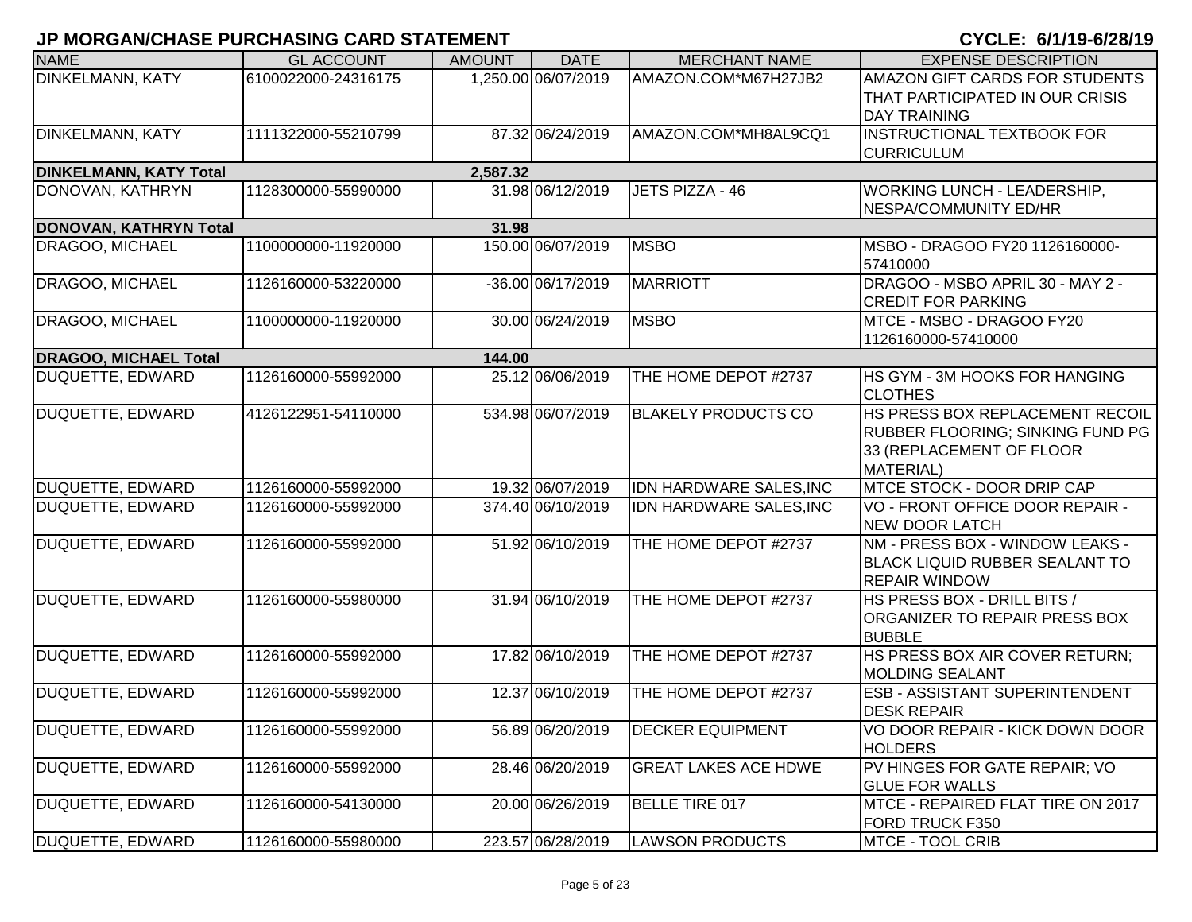| <b>NAME</b>                   | <b>GL ACCOUNT</b>   | <b>AMOUNT</b> | <b>DATE</b>         | <b>MERCHANT NAME</b>        | <b>EXPENSE DESCRIPTION</b>                                                                                   |
|-------------------------------|---------------------|---------------|---------------------|-----------------------------|--------------------------------------------------------------------------------------------------------------|
| <b>DINKELMANN, KATY</b>       | 6100022000-24316175 |               | 1,250.00 06/07/2019 | AMAZON.COM*M67H27JB2        | AMAZON GIFT CARDS FOR STUDENTS<br><b>THAT PARTICIPATED IN OUR CRISIS</b><br><b>DAY TRAINING</b>              |
| <b>DINKELMANN, KATY</b>       | 1111322000-55210799 |               | 87.32 06/24/2019    | AMAZON.COM*MH8AL9CQ1        | <b>INSTRUCTIONAL TEXTBOOK FOR</b><br><b>CURRICULUM</b>                                                       |
| <b>DINKELMANN, KATY Total</b> |                     | 2,587.32      |                     |                             |                                                                                                              |
| DONOVAN, KATHRYN              | 1128300000-55990000 |               | 31.98 06/12/2019    | JETS PIZZA - 46             | <b>WORKING LUNCH - LEADERSHIP,</b><br>NESPA/COMMUNITY ED/HR                                                  |
| DONOVAN, KATHRYN Total        |                     | 31.98         |                     |                             |                                                                                                              |
| <b>DRAGOO, MICHAEL</b>        | 1100000000-11920000 |               | 150.00 06/07/2019   | <b>MSBO</b>                 | MSBO - DRAGOO FY20 1126160000-<br>57410000                                                                   |
| DRAGOO, MICHAEL               | 1126160000-53220000 |               | -36.00 06/17/2019   | <b>MARRIOTT</b>             | DRAGOO - MSBO APRIL 30 - MAY 2 -<br><b>CREDIT FOR PARKING</b>                                                |
| DRAGOO, MICHAEL               | 1100000000-11920000 |               | 30.00 06/24/2019    | <b>MSBO</b>                 | MTCE - MSBO - DRAGOO FY20<br>1126160000-57410000                                                             |
| <b>DRAGOO, MICHAEL Total</b>  |                     | 144.00        |                     |                             |                                                                                                              |
| DUQUETTE, EDWARD              | 1126160000-55992000 |               | 25.12 06/06/2019    | THE HOME DEPOT #2737        | <b>HS GYM - 3M HOOKS FOR HANGING</b><br><b>CLOTHES</b>                                                       |
| <b>DUQUETTE, EDWARD</b>       | 4126122951-54110000 |               | 534.98 06/07/2019   | <b>BLAKELY PRODUCTS CO</b>  | HS PRESS BOX REPLACEMENT RECOIL<br>RUBBER FLOORING; SINKING FUND PG<br>33 (REPLACEMENT OF FLOOR<br>MATERIAL) |
| <b>DUQUETTE, EDWARD</b>       | 1126160000-55992000 |               | 19.32 06/07/2019    | IDN HARDWARE SALES, INC     | MTCE STOCK - DOOR DRIP CAP                                                                                   |
| DUQUETTE, EDWARD              | 1126160000-55992000 |               | 374.40 06/10/2019   | IDN HARDWARE SALES, INC     | VO - FRONT OFFICE DOOR REPAIR -<br><b>NEW DOOR LATCH</b>                                                     |
| DUQUETTE, EDWARD              | 1126160000-55992000 |               | 51.92 06/10/2019    | THE HOME DEPOT #2737        | NM - PRESS BOX - WINDOW LEAKS -<br>BLACK LIQUID RUBBER SEALANT TO<br><b>REPAIR WINDOW</b>                    |
| DUQUETTE, EDWARD              | 1126160000-55980000 |               | 31.94 06/10/2019    | THE HOME DEPOT #2737        | HS PRESS BOX - DRILL BITS /<br>ORGANIZER TO REPAIR PRESS BOX<br><b>BUBBLE</b>                                |
| DUQUETTE, EDWARD              | 1126160000-55992000 |               | 17.82 06/10/2019    | THE HOME DEPOT #2737        | HS PRESS BOX AIR COVER RETURN:<br><b>MOLDING SEALANT</b>                                                     |
| DUQUETTE, EDWARD              | 1126160000-55992000 |               | 12.37 06/10/2019    | THE HOME DEPOT #2737        | <b>ESB - ASSISTANT SUPERINTENDENT</b><br><b>DESK REPAIR</b>                                                  |
| DUQUETTE, EDWARD              | 1126160000-55992000 |               | 56.89 06/20/2019    | <b>DECKER EQUIPMENT</b>     | VO DOOR REPAIR - KICK DOWN DOOR<br><b>HOLDERS</b>                                                            |
| DUQUETTE, EDWARD              | 1126160000-55992000 |               | 28.46 06/20/2019    | <b>GREAT LAKES ACE HDWE</b> | PV HINGES FOR GATE REPAIR; VO<br><b>GLUE FOR WALLS</b>                                                       |
| DUQUETTE, EDWARD              | 1126160000-54130000 |               | 20.00 06/26/2019    | <b>BELLE TIRE 017</b>       | MTCE - REPAIRED FLAT TIRE ON 2017<br><b>FORD TRUCK F350</b>                                                  |
| DUQUETTE, EDWARD              | 1126160000-55980000 |               | 223.57 06/28/2019   | <b>LAWSON PRODUCTS</b>      | MTCE - TOOL CRIB                                                                                             |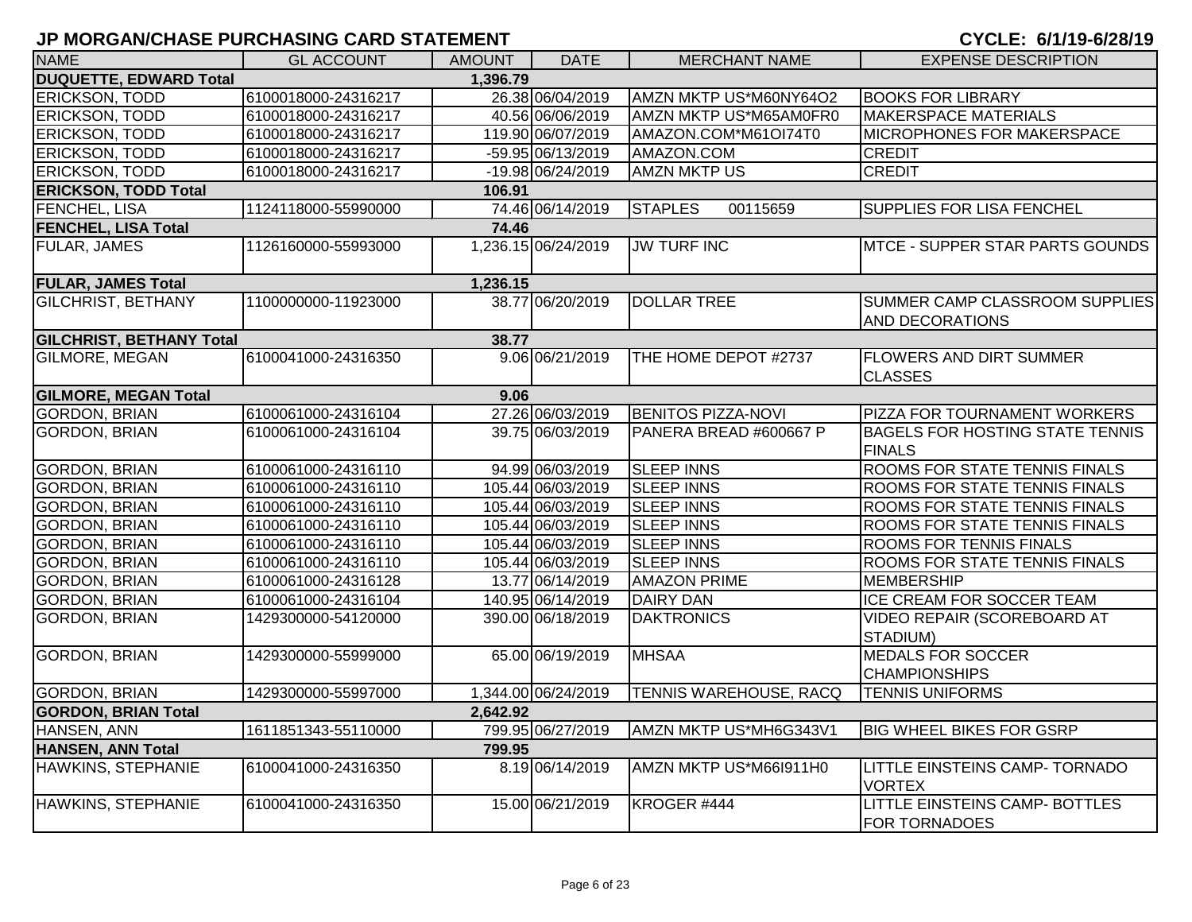| <b>NAME</b>                     | <b>GL ACCOUNT</b>   | <b>AMOUNT</b> | <b>DATE</b>         | <b>MERCHANT NAME</b>          | <b>EXPENSE DESCRIPTION</b>                              |
|---------------------------------|---------------------|---------------|---------------------|-------------------------------|---------------------------------------------------------|
| <b>DUQUETTE, EDWARD Total</b>   |                     | 1,396.79      |                     |                               |                                                         |
| ERICKSON, TODD                  | 6100018000-24316217 |               | 26.38 06/04/2019    | AMZN MKTP US*M60NY64O2        | <b>BOOKS FOR LIBRARY</b>                                |
| ERICKSON, TODD                  | 6100018000-24316217 |               | 40.56 06/06/2019    | AMZN MKTP US*M65AM0FR0        | <b>MAKERSPACE MATERIALS</b>                             |
| ERICKSON, TODD                  | 6100018000-24316217 |               | 119.90 06/07/2019   | AMAZON.COM*M61OI74T0          | MICROPHONES FOR MAKERSPACE                              |
| ERICKSON, TODD                  | 6100018000-24316217 |               | -59.95 06/13/2019   | AMAZON.COM                    | <b>CREDIT</b>                                           |
| ERICKSON, TODD                  | 6100018000-24316217 |               | -19.98 06/24/2019   | <b>AMZN MKTP US</b>           | <b>CREDIT</b>                                           |
| <b>ERICKSON, TODD Total</b>     |                     | 106.91        |                     |                               |                                                         |
| FENCHEL, LISA                   | 1124118000-55990000 |               | 74.46 06/14/2019    | <b>STAPLES</b><br>00115659    | SUPPLIES FOR LISA FENCHEL                               |
| <b>FENCHEL, LISA Total</b>      |                     | 74.46         |                     |                               |                                                         |
| FULAR, JAMES                    | 1126160000-55993000 |               | 1,236.15 06/24/2019 | <b>JW TURF INC</b>            | MTCE - SUPPER STAR PARTS GOUNDS                         |
| <b>FULAR, JAMES Total</b>       |                     | 1,236.15      |                     |                               |                                                         |
| <b>GILCHRIST, BETHANY</b>       | 1100000000-11923000 |               | 38.77 06/20/2019    | <b>DOLLAR TREE</b>            | SUMMER CAMP CLASSROOM SUPPLIES<br>AND DECORATIONS       |
| <b>GILCHRIST, BETHANY Total</b> |                     | 38.77         |                     |                               |                                                         |
| <b>GILMORE, MEGAN</b>           | 6100041000-24316350 |               | 9.06 06/21/2019     | THE HOME DEPOT #2737          | <b>FLOWERS AND DIRT SUMMER</b><br><b>CLASSES</b>        |
| <b>GILMORE, MEGAN Total</b>     |                     | 9.06          |                     |                               |                                                         |
| <b>GORDON, BRIAN</b>            | 6100061000-24316104 |               | 27.26 06/03/2019    | <b>BENITOS PIZZA-NOVI</b>     | PIZZA FOR TOURNAMENT WORKERS                            |
| <b>GORDON, BRIAN</b>            | 6100061000-24316104 |               | 39.75 06/03/2019    | PANERA BREAD #600667 P        | <b>BAGELS FOR HOSTING STATE TENNIS</b><br><b>FINALS</b> |
| <b>GORDON, BRIAN</b>            | 6100061000-24316110 |               | 94.99 06/03/2019    | <b>SLEEP INNS</b>             | ROOMS FOR STATE TENNIS FINALS                           |
| <b>GORDON, BRIAN</b>            | 6100061000-24316110 |               | 105.44 06/03/2019   | <b>SLEEP INNS</b>             | ROOMS FOR STATE TENNIS FINALS                           |
| <b>GORDON, BRIAN</b>            | 6100061000-24316110 |               | 105.44 06/03/2019   | <b>SLEEP INNS</b>             | ROOMS FOR STATE TENNIS FINALS                           |
| <b>GORDON, BRIAN</b>            | 6100061000-24316110 |               | 105.44 06/03/2019   | <b>SLEEP INNS</b>             | ROOMS FOR STATE TENNIS FINALS                           |
| <b>GORDON, BRIAN</b>            | 6100061000-24316110 |               | 105.44 06/03/2019   | <b>SLEEP INNS</b>             | <b>ROOMS FOR TENNIS FINALS</b>                          |
| <b>GORDON, BRIAN</b>            | 6100061000-24316110 |               | 105.44 06/03/2019   | <b>SLEEP INNS</b>             | ROOMS FOR STATE TENNIS FINALS                           |
| <b>GORDON, BRIAN</b>            | 6100061000-24316128 |               | 13.77 06/14/2019    | <b>AMAZON PRIME</b>           | <b>MEMBERSHIP</b>                                       |
| <b>GORDON, BRIAN</b>            | 6100061000-24316104 |               | 140.95 06/14/2019   | <b>DAIRY DAN</b>              | ICE CREAM FOR SOCCER TEAM                               |
| <b>GORDON, BRIAN</b>            | 1429300000-54120000 |               | 390.00 06/18/2019   | <b>DAKTRONICS</b>             | VIDEO REPAIR (SCOREBOARD AT<br>STADIUM)                 |
| <b>GORDON, BRIAN</b>            | 1429300000-55999000 |               | 65.00 06/19/2019    | <b>MHSAA</b>                  | <b>MEDALS FOR SOCCER</b><br><b>CHAMPIONSHIPS</b>        |
| <b>GORDON, BRIAN</b>            | 1429300000-55997000 |               | 1,344.00 06/24/2019 | <b>TENNIS WAREHOUSE, RACQ</b> | <b>TENNIS UNIFORMS</b>                                  |
| <b>GORDON, BRIAN Total</b>      |                     | 2,642.92      |                     |                               |                                                         |
| HANSEN, ANN                     | 1611851343-55110000 |               | 799.95 06/27/2019   | AMZN MKTP US*MH6G343V1        | <b>BIG WHEEL BIKES FOR GSRP</b>                         |
| <b>HANSEN, ANN Total</b>        |                     | 799.95        |                     |                               |                                                         |
| HAWKINS, STEPHANIE              | 6100041000-24316350 |               | 8.19 06/14/2019     | AMZN MKTP US*M66I911H0        | LITTLE EINSTEINS CAMP- TORNADO<br><b>VORTEX</b>         |
| HAWKINS, STEPHANIE              | 6100041000-24316350 |               | 15.00 06/21/2019    | KROGER #444                   | LITTLE EINSTEINS CAMP- BOTTLES<br><b>FOR TORNADOES</b>  |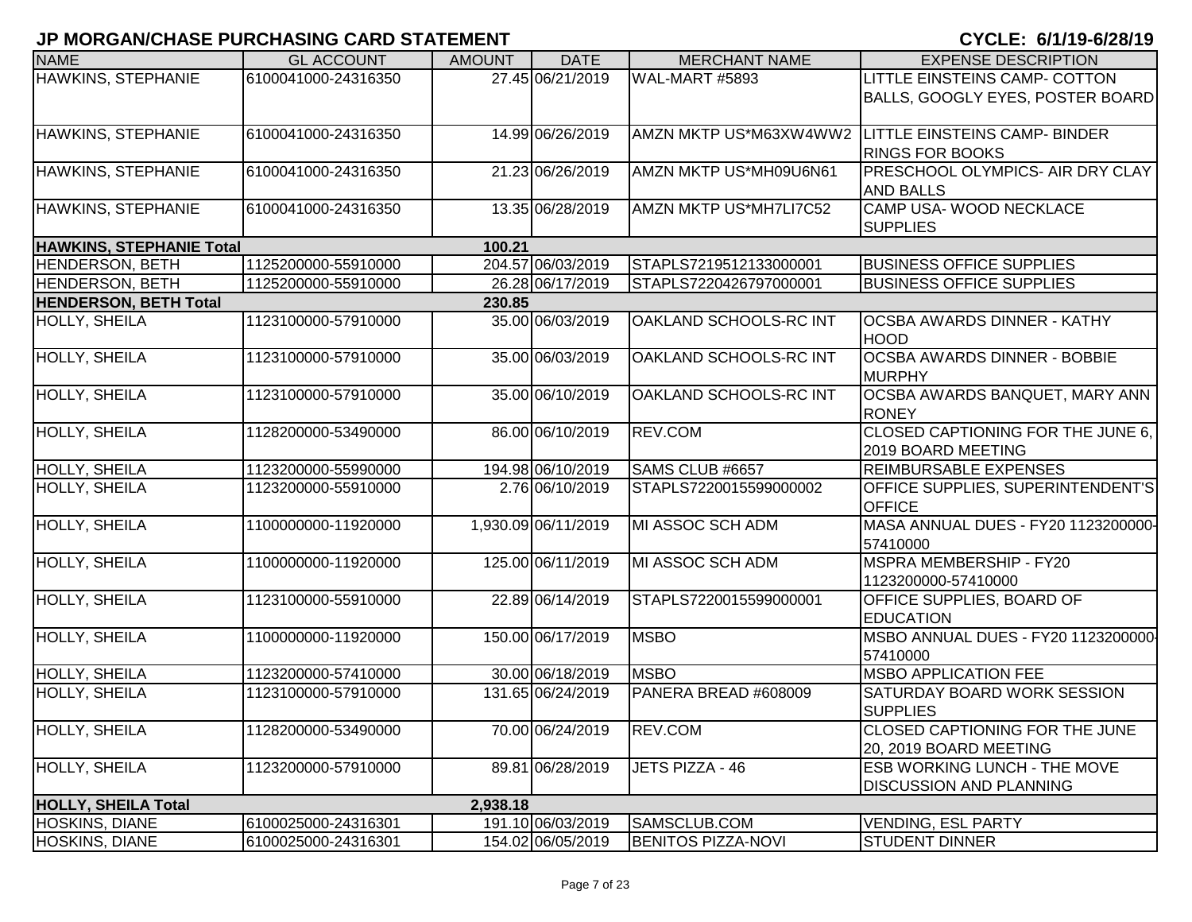| <b>NAME</b>                     | <b>GL ACCOUNT</b>   | <b>AMOUNT</b> | <b>DATE</b>         | <b>MERCHANT NAME</b>      | <b>EXPENSE DESCRIPTION</b>                                                     |
|---------------------------------|---------------------|---------------|---------------------|---------------------------|--------------------------------------------------------------------------------|
| HAWKINS, STEPHANIE              | 6100041000-24316350 |               | 27.45 06/21/2019    | WAL-MART #5893            | LITTLE EINSTEINS CAMP- COTTON                                                  |
|                                 |                     |               |                     |                           | BALLS, GOOGLY EYES, POSTER BOARD                                               |
|                                 |                     |               |                     |                           |                                                                                |
| HAWKINS, STEPHANIE              | 6100041000-24316350 |               | 14.99 06/26/2019    |                           | AMZN MKTP US*M63XW4WW2 LITTLE EINSTEINS CAMP- BINDER<br><b>RINGS FOR BOOKS</b> |
| HAWKINS, STEPHANIE              | 6100041000-24316350 |               | 21.23 06/26/2019    | AMZN MKTP US*MH09U6N61    | PRESCHOOL OLYMPICS- AIR DRY CLAY                                               |
|                                 |                     |               |                     |                           | <b>AND BALLS</b>                                                               |
| HAWKINS, STEPHANIE              | 6100041000-24316350 |               | 13.35 06/28/2019    | AMZN MKTP US*MH7LI7C52    | CAMP USA-WOOD NECKLACE                                                         |
|                                 |                     |               |                     |                           | <b>SUPPLIES</b>                                                                |
| <b>HAWKINS, STEPHANIE Total</b> |                     | 100.21        |                     |                           |                                                                                |
| <b>HENDERSON, BETH</b>          | 1125200000-55910000 |               | 204.57 06/03/2019   | STAPLS7219512133000001    | <b>BUSINESS OFFICE SUPPLIES</b>                                                |
| <b>HENDERSON, BETH</b>          | 1125200000-55910000 |               | 26.28 06/17/2019    | STAPLS7220426797000001    | <b>BUSINESS OFFICE SUPPLIES</b>                                                |
| <b>HENDERSON, BETH Total</b>    |                     | 230.85        |                     |                           |                                                                                |
| <b>HOLLY, SHEILA</b>            | 1123100000-57910000 |               | 35.00 06/03/2019    | OAKLAND SCHOOLS-RC INT    | <b>OCSBA AWARDS DINNER - KATHY</b><br><b>HOOD</b>                              |
| HOLLY, SHEILA                   | 1123100000-57910000 |               | 35.00 06/03/2019    | OAKLAND SCHOOLS-RC INT    | <b>OCSBA AWARDS DINNER - BOBBIE</b><br><b>MURPHY</b>                           |
| <b>HOLLY, SHEILA</b>            | 1123100000-57910000 |               | 35.00 06/10/2019    | OAKLAND SCHOOLS-RC INT    | OCSBA AWARDS BANQUET, MARY ANN<br><b>RONEY</b>                                 |
| <b>HOLLY, SHEILA</b>            | 1128200000-53490000 |               | 86.00 06/10/2019    | REV.COM                   | CLOSED CAPTIONING FOR THE JUNE 6.<br>2019 BOARD MEETING                        |
| <b>HOLLY, SHEILA</b>            | 1123200000-55990000 |               | 194.98 06/10/2019   | SAMS CLUB #6657           | <b>REIMBURSABLE EXPENSES</b>                                                   |
| HOLLY, SHEILA                   | 1123200000-55910000 |               | 2.76 06/10/2019     | STAPLS7220015599000002    | OFFICE SUPPLIES, SUPERINTENDENT'S<br><b>OFFICE</b>                             |
| <b>HOLLY, SHEILA</b>            | 1100000000-11920000 |               | 1,930.09 06/11/2019 | MI ASSOC SCH ADM          | MASA ANNUAL DUES - FY20 1123200000-<br>57410000                                |
| <b>HOLLY, SHEILA</b>            | 1100000000-11920000 |               | 125.00 06/11/2019   | MI ASSOC SCH ADM          | <b>MSPRA MEMBERSHIP - FY20</b><br>1123200000-57410000                          |
| HOLLY, SHEILA                   | 1123100000-55910000 |               | 22.89 06/14/2019    | STAPLS7220015599000001    | OFFICE SUPPLIES, BOARD OF<br><b>EDUCATION</b>                                  |
| HOLLY, SHEILA                   | 1100000000-11920000 |               | 150.00 06/17/2019   | <b>MSBO</b>               | MSBO ANNUAL DUES - FY20 1123200000-<br>57410000                                |
| HOLLY, SHEILA                   | 1123200000-57410000 |               | 30.00 06/18/2019    | <b>MSBO</b>               | <b>MSBO APPLICATION FEE</b>                                                    |
| HOLLY, SHEILA                   | 1123100000-57910000 |               | 131.65 06/24/2019   | PANERA BREAD #608009      | <b>SATURDAY BOARD WORK SESSION</b><br><b>SUPPLIES</b>                          |
| HOLLY, SHEILA                   | 1128200000-53490000 |               | 70.00 06/24/2019    | REV.COM                   | <b>CLOSED CAPTIONING FOR THE JUNE</b><br>20, 2019 BOARD MEETING                |
| HOLLY, SHEILA                   | 1123200000-57910000 |               | 89.81 06/28/2019    | JETS PIZZA - 46           | <b>ESB WORKING LUNCH - THE MOVE</b><br><b>DISCUSSION AND PLANNING</b>          |
| <b>HOLLY, SHEILA Total</b>      |                     | 2,938.18      |                     |                           |                                                                                |
| <b>HOSKINS, DIANE</b>           | 6100025000-24316301 |               | 191.10 06/03/2019   | SAMSCLUB.COM              | <b>VENDING, ESL PARTY</b>                                                      |
| <b>HOSKINS, DIANE</b>           | 6100025000-24316301 |               | 154.02 06/05/2019   | <b>BENITOS PIZZA-NOVI</b> | <b>STUDENT DINNER</b>                                                          |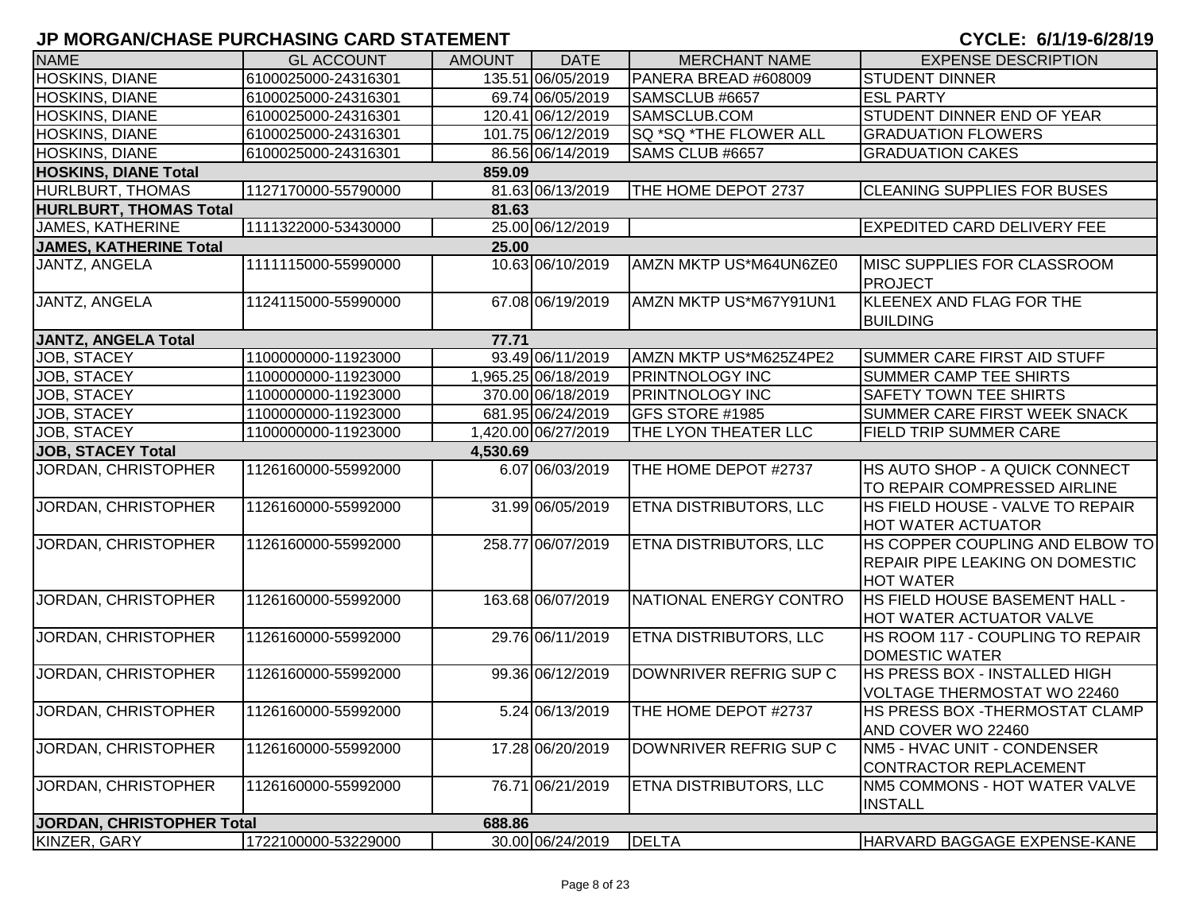| <b>NAME</b>                   | <b>GL ACCOUNT</b>   | <b>AMOUNT</b> | <b>DATE</b>         | <b>MERCHANT NAME</b>          | <b>EXPENSE DESCRIPTION</b>                            |
|-------------------------------|---------------------|---------------|---------------------|-------------------------------|-------------------------------------------------------|
| HOSKINS, DIANE                | 6100025000-24316301 |               | 135.51 06/05/2019   | PANERA BREAD #608009          | <b>STUDENT DINNER</b>                                 |
| <b>HOSKINS, DIANE</b>         | 6100025000-24316301 |               | 69.74 06/05/2019    | SAMSCLUB #6657                | <b>ESL PARTY</b>                                      |
| HOSKINS, DIANE                | 6100025000-24316301 |               | 120.41 06/12/2019   | SAMSCLUB.COM                  | STUDENT DINNER END OF YEAR                            |
| HOSKINS, DIANE                | 6100025000-24316301 |               | 101.75 06/12/2019   | SQ *SQ *THE FLOWER ALL        | <b>GRADUATION FLOWERS</b>                             |
| HOSKINS, DIANE                | 6100025000-24316301 |               | 86.56 06/14/2019    | SAMS CLUB #6657               | <b>GRADUATION CAKES</b>                               |
| <b>HOSKINS, DIANE Total</b>   |                     | 859.09        |                     |                               |                                                       |
| HURLBURT, THOMAS              | 1127170000-55790000 |               | 81.63 06/13/2019    | THE HOME DEPOT 2737           | <b>CLEANING SUPPLIES FOR BUSES</b>                    |
| <b>HURLBURT, THOMAS Total</b> |                     | 81.63         |                     |                               |                                                       |
| <b>JAMES, KATHERINE</b>       | 1111322000-53430000 |               | 25.00 06/12/2019    |                               | <b>EXPEDITED CARD DELIVERY FEE</b>                    |
| <b>JAMES, KATHERINE Total</b> |                     | 25.00         |                     |                               |                                                       |
| JANTZ, ANGELA                 | 1111115000-55990000 |               | 10.63 06/10/2019    | AMZN MKTP US*M64UN6ZE0        | <b>IMISC SUPPLIES FOR CLASSROOM</b><br><b>PROJECT</b> |
| JANTZ, ANGELA                 | 1124115000-55990000 |               | 67.08 06/19/2019    | AMZN MKTP US*M67Y91UN1        | KLEENEX AND FLAG FOR THE<br><b>BUILDING</b>           |
| <b>JANTZ, ANGELA Total</b>    |                     | 77.71         |                     |                               |                                                       |
| <b>JOB, STACEY</b>            | 1100000000-11923000 |               | 93.49 06/11/2019    | AMZN MKTP US*M625Z4PE2        | <b>SUMMER CARE FIRST AID STUFF</b>                    |
| JOB, STACEY                   | 1100000000-11923000 |               | 1,965.25 06/18/2019 | <b>PRINTNOLOGY INC</b>        | <b>SUMMER CAMP TEE SHIRTS</b>                         |
| <b>JOB, STACEY</b>            | 1100000000-11923000 |               | 370.00 06/18/2019   | <b>PRINTNOLOGY INC</b>        | <b>SAFETY TOWN TEE SHIRTS</b>                         |
| JOB, STACEY                   | 1100000000-11923000 |               | 681.95 06/24/2019   | GFS STORE #1985               | SUMMER CARE FIRST WEEK SNACK                          |
| JOB, STACEY                   | 1100000000-11923000 |               | 1,420.00 06/27/2019 | THE LYON THEATER LLC          | FIELD TRIP SUMMER CARE                                |
| <b>JOB, STACEY Total</b>      |                     | 4,530.69      |                     |                               |                                                       |
| JORDAN, CHRISTOPHER           | 1126160000-55992000 |               | 6.07 06/03/2019     | THE HOME DEPOT #2737          | <b>HS AUTO SHOP - A QUICK CONNECT</b>                 |
|                               |                     |               |                     |                               | TO REPAIR COMPRESSED AIRLINE                          |
| JORDAN, CHRISTOPHER           | 1126160000-55992000 |               | 31.99 06/05/2019    | <b>ETNA DISTRIBUTORS, LLC</b> | HS FIELD HOUSE - VALVE TO REPAIR                      |
|                               |                     |               |                     |                               | <b>HOT WATER ACTUATOR</b>                             |
| <b>JORDAN, CHRISTOPHER</b>    | 1126160000-55992000 |               | 258.77 06/07/2019   | <b>ETNA DISTRIBUTORS, LLC</b> | HS COPPER COUPLING AND ELBOW TO                       |
|                               |                     |               |                     |                               | REPAIR PIPE LEAKING ON DOMESTIC                       |
|                               |                     |               |                     |                               | <b>HOT WATER</b>                                      |
| JORDAN, CHRISTOPHER           | 1126160000-55992000 |               | 163.68 06/07/2019   | NATIONAL ENERGY CONTRO        | HS FIELD HOUSE BASEMENT HALL -                        |
|                               |                     |               |                     |                               | HOT WATER ACTUATOR VALVE                              |
| JORDAN, CHRISTOPHER           | 1126160000-55992000 |               | 29.76 06/11/2019    | ETNA DISTRIBUTORS, LLC        | HS ROOM 117 - COUPLING TO REPAIR                      |
|                               |                     |               |                     |                               | <b>DOMESTIC WATER</b>                                 |
| JORDAN, CHRISTOPHER           | 1126160000-55992000 |               | 99.36 06/12/2019    | DOWNRIVER REFRIG SUP C        | HS PRESS BOX - INSTALLED HIGH                         |
|                               |                     |               |                     |                               | VOLTAGE THERMOSTAT WO 22460                           |
| JORDAN, CHRISTOPHER           | 1126160000-55992000 |               | 5.24 06/13/2019     | THE HOME DEPOT #2737          | HS PRESS BOX - THERMOSTAT CLAMP                       |
|                               |                     |               |                     |                               | AND COVER WO 22460                                    |
| JORDAN, CHRISTOPHER           | 1126160000-55992000 |               | 17.28 06/20/2019    | DOWNRIVER REFRIG SUP C        | NM5 - HVAC UNIT - CONDENSER                           |
|                               |                     |               |                     |                               | <b>CONTRACTOR REPLACEMENT</b>                         |
| JORDAN, CHRISTOPHER           | 1126160000-55992000 |               | 76.71 06/21/2019    | <b>ETNA DISTRIBUTORS, LLC</b> | NM5 COMMONS - HOT WATER VALVE                         |
|                               |                     |               |                     |                               | <b>INSTALL</b>                                        |
| JORDAN, CHRISTOPHER Total     |                     | 688.86        |                     |                               |                                                       |
| KINZER, GARY                  | 1722100000-53229000 |               | 30.00 06/24/2019    | <b>DELTA</b>                  | <b>HARVARD BAGGAGE EXPENSE-KANE</b>                   |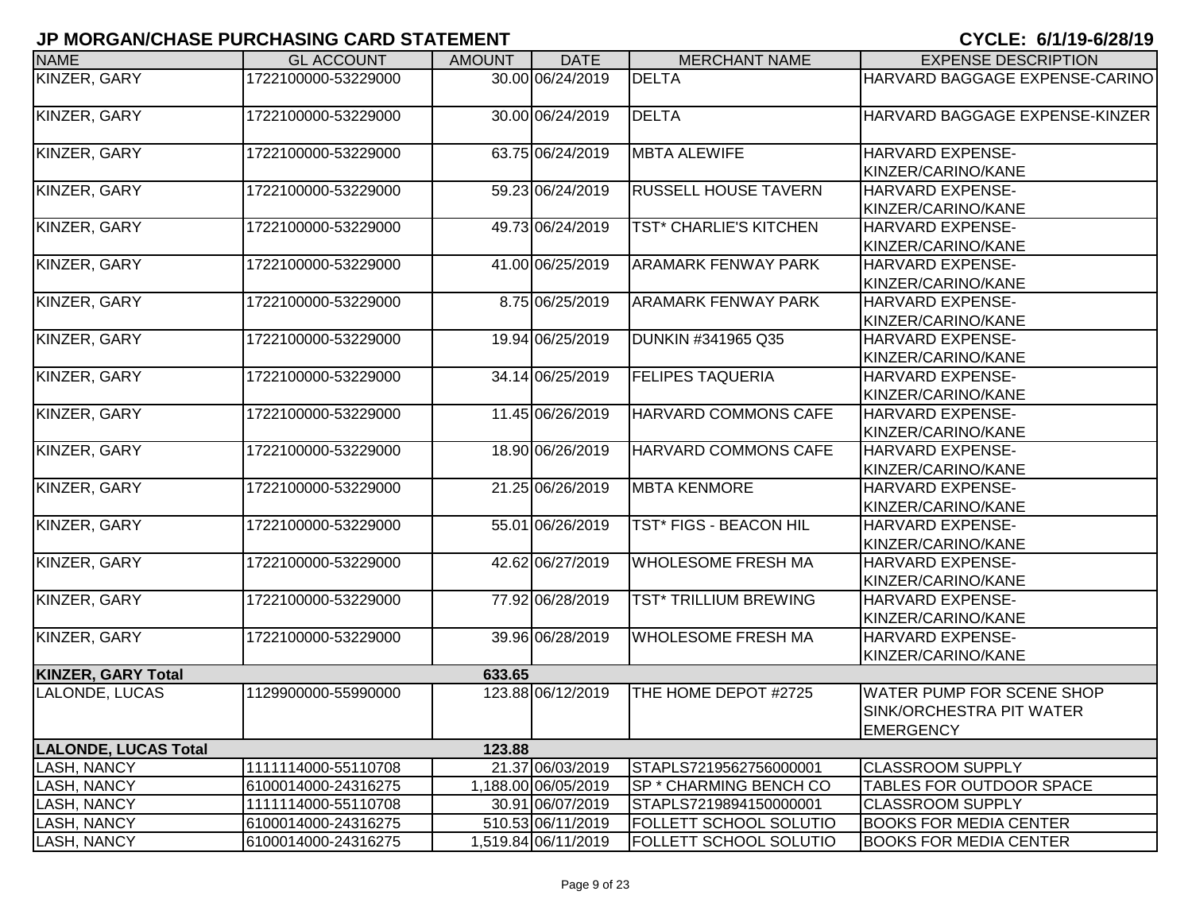| <b>NAME</b>                 | <b>GL ACCOUNT</b>   | <b>AMOUNT</b> | <b>DATE</b>         | <b>MERCHANT NAME</b>          | <b>EXPENSE DESCRIPTION</b>       |
|-----------------------------|---------------------|---------------|---------------------|-------------------------------|----------------------------------|
| KINZER, GARY                | 1722100000-53229000 |               | 30.00 06/24/2019    | <b>DELTA</b>                  | HARVARD BAGGAGE EXPENSE-CARINO   |
| KINZER, GARY                | 1722100000-53229000 |               | 30.00 06/24/2019    | <b>DELTA</b>                  | HARVARD BAGGAGE EXPENSE-KINZER   |
| KINZER, GARY                | 1722100000-53229000 |               | 63.75 06/24/2019    | <b>MBTA ALEWIFE</b>           | <b>HARVARD EXPENSE-</b>          |
|                             |                     |               |                     |                               | KINZER/CARINO/KANE               |
| KINZER, GARY                | 1722100000-53229000 |               | 59.23 06/24/2019    | <b>RUSSELL HOUSE TAVERN</b>   | HARVARD EXPENSE-                 |
|                             |                     |               |                     |                               | KINZER/CARINO/KANE               |
| KINZER, GARY                | 1722100000-53229000 |               | 49.73 06/24/2019    | <b>TST* CHARLIE'S KITCHEN</b> | HARVARD EXPENSE-                 |
|                             |                     |               |                     |                               | KINZER/CARINO/KANE               |
| KINZER, GARY                | 1722100000-53229000 |               | 41.00 06/25/2019    | <b>ARAMARK FENWAY PARK</b>    | HARVARD EXPENSE-                 |
|                             |                     |               |                     |                               | KINZER/CARINO/KANE               |
| KINZER, GARY                | 1722100000-53229000 |               | 8.75 06/25/2019     | <b>ARAMARK FENWAY PARK</b>    | HARVARD EXPENSE-                 |
|                             |                     |               |                     |                               | KINZER/CARINO/KANE               |
| KINZER, GARY                | 1722100000-53229000 |               | 19.94 06/25/2019    | DUNKIN #341965 Q35            | HARVARD EXPENSE-                 |
|                             |                     |               |                     |                               | KINZER/CARINO/KANE               |
| KINZER, GARY                | 1722100000-53229000 |               | 34.14 06/25/2019    | <b>FELIPES TAQUERIA</b>       | HARVARD EXPENSE-                 |
|                             |                     |               |                     |                               | KINZER/CARINO/KANE               |
| <b>KINZER, GARY</b>         | 1722100000-53229000 |               | 11.45 06/26/2019    | <b>HARVARD COMMONS CAFE</b>   | HARVARD EXPENSE-                 |
|                             |                     |               |                     |                               | KINZER/CARINO/KANE               |
| KINZER, GARY                | 1722100000-53229000 |               | 18.90 06/26/2019    | HARVARD COMMONS CAFE          | HARVARD EXPENSE-                 |
|                             |                     |               |                     |                               | KINZER/CARINO/KANE               |
| KINZER, GARY                | 1722100000-53229000 |               | 21.25 06/26/2019    | <b>MBTA KENMORE</b>           | HARVARD EXPENSE-                 |
|                             |                     |               |                     |                               | KINZER/CARINO/KANE               |
| KINZER, GARY                | 1722100000-53229000 |               | 55.01 06/26/2019    | <b>TST* FIGS - BEACON HIL</b> | <b>HARVARD EXPENSE-</b>          |
|                             |                     |               |                     |                               | KINZER/CARINO/KANE               |
| KINZER, GARY                | 1722100000-53229000 |               | 42.62 06/27/2019    | <b>WHOLESOME FRESH MA</b>     | HARVARD EXPENSE-                 |
|                             |                     |               |                     |                               | KINZER/CARINO/KANE               |
| KINZER, GARY                | 1722100000-53229000 |               | 77.92 06/28/2019    | <b>TST* TRILLIUM BREWING</b>  | HARVARD EXPENSE-                 |
|                             |                     |               |                     |                               | KINZER/CARINO/KANE               |
| KINZER, GARY                | 1722100000-53229000 |               | 39.96 06/28/2019    | <b>WHOLESOME FRESH MA</b>     | HARVARD EXPENSE-                 |
|                             |                     |               |                     |                               | KINZER/CARINO/KANE               |
| <b>KINZER, GARY Total</b>   |                     | 633.65        |                     |                               |                                  |
| LALONDE, LUCAS              | 1129900000-55990000 |               | 123.88 06/12/2019   | THE HOME DEPOT #2725          | <b>WATER PUMP FOR SCENE SHOP</b> |
|                             |                     |               |                     |                               | SINK/ORCHESTRA PIT WATER         |
|                             |                     |               |                     |                               | <b>EMERGENCY</b>                 |
| <b>LALONDE, LUCAS Total</b> |                     | 123.88        |                     |                               |                                  |
| <b>LASH, NANCY</b>          | 1111114000-55110708 |               | 21.37 06/03/2019    | STAPLS7219562756000001        | <b>CLASSROOM SUPPLY</b>          |
| <b>LASH, NANCY</b>          | 6100014000-24316275 |               | 1,188.00 06/05/2019 | <b>SP * CHARMING BENCH CO</b> | <b>TABLES FOR OUTDOOR SPACE</b>  |
| LASH, NANCY                 | 1111114000-55110708 |               | 30.91 06/07/2019    | STAPLS7219894150000001        | <b>CLASSROOM SUPPLY</b>          |
| <b>LASH, NANCY</b>          | 6100014000-24316275 |               | 510.53 06/11/2019   | <b>FOLLETT SCHOOL SOLUTIO</b> | <b>BOOKS FOR MEDIA CENTER</b>    |
| <b>LASH, NANCY</b>          | 6100014000-24316275 |               | 1,519.84 06/11/2019 | <b>FOLLETT SCHOOL SOLUTIO</b> | <b>BOOKS FOR MEDIA CENTER</b>    |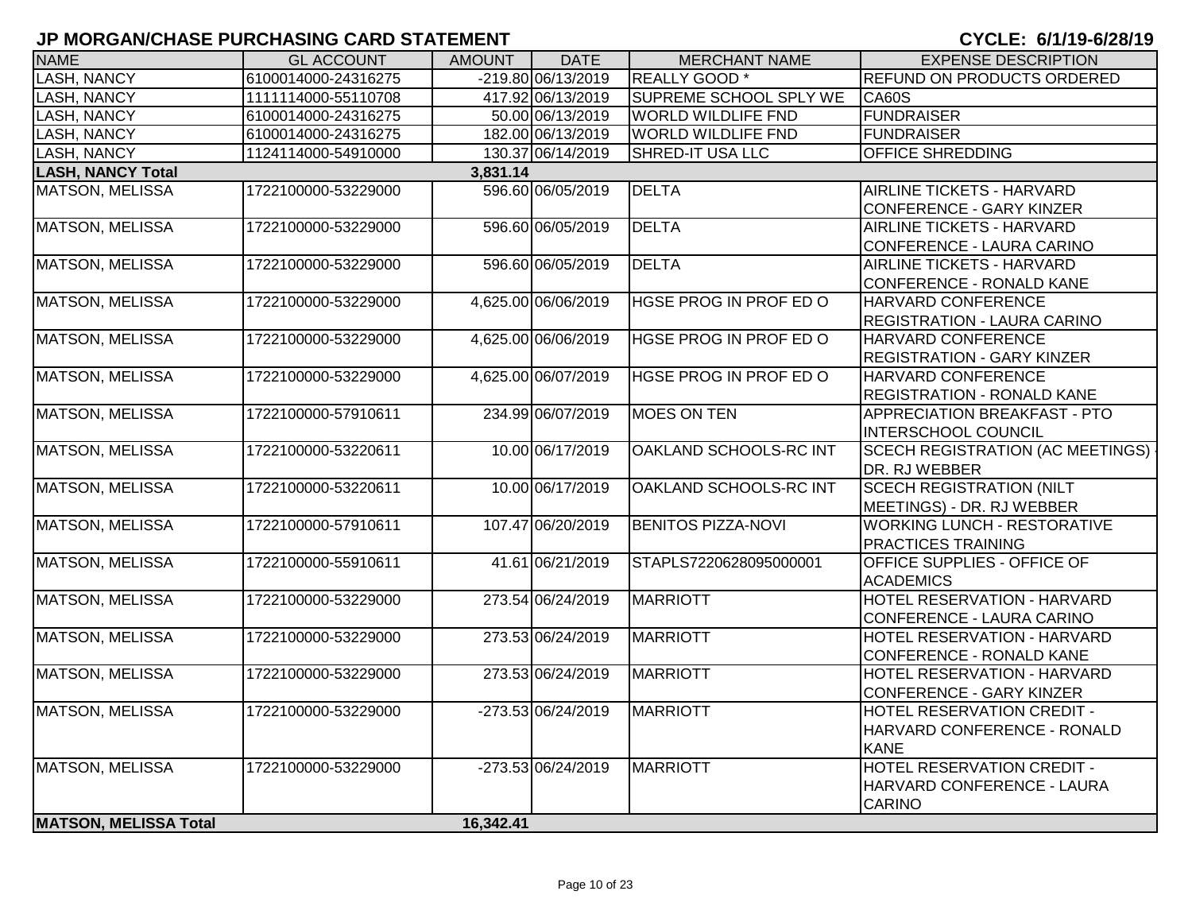| <b>NAME</b>                  | <b>GL ACCOUNT</b>   | <b>AMOUNT</b> | <b>DATE</b>          | <b>MERCHANT NAME</b>      | <b>EXPENSE DESCRIPTION</b>              |
|------------------------------|---------------------|---------------|----------------------|---------------------------|-----------------------------------------|
| <b>ASH, NANCY</b>            | 6100014000-24316275 |               | $-219.80 06/13/2019$ | REALLY GOOD *             | REFUND ON PRODUCTS ORDERED              |
| LASH, NANCY                  | 1111114000-55110708 |               | 417.92 06/13/2019    | SUPREME SCHOOL SPLY WE    | <b>CA60S</b>                            |
| <b>LASH, NANCY</b>           | 6100014000-24316275 |               | 50.00 06/13/2019     | <b>WORLD WILDLIFE FND</b> | <b>FUNDRAISER</b>                       |
| <b>LASH, NANCY</b>           | 6100014000-24316275 |               | 182.00 06/13/2019    | <b>WORLD WILDLIFE FND</b> | <b>FUNDRAISER</b>                       |
| LASH, NANCY                  | 1124114000-54910000 |               | 130.37 06/14/2019    | SHRED-IT USA LLC          | OFFICE SHREDDING                        |
| <b>LASH, NANCY Total</b>     |                     | 3,831.14      |                      |                           |                                         |
| MATSON, MELISSA              | 1722100000-53229000 |               | 596.60 06/05/2019    | <b>DELTA</b>              | AIRLINE TICKETS - HARVARD               |
|                              |                     |               |                      |                           | <b>CONFERENCE - GARY KINZER</b>         |
| <b>MATSON, MELISSA</b>       | 1722100000-53229000 |               | 596.60 06/05/2019    | <b>DELTA</b>              | AIRLINE TICKETS - HARVARD               |
|                              |                     |               |                      |                           | CONFERENCE - LAURA CARINO               |
| <b>MATSON, MELISSA</b>       | 1722100000-53229000 |               | 596.60 06/05/2019    | <b>DELTA</b>              | AIRLINE TICKETS - HARVARD               |
|                              |                     |               |                      |                           | <b>CONFERENCE - RONALD KANE</b>         |
| <b>MATSON, MELISSA</b>       | 1722100000-53229000 |               | 4,625.00 06/06/2019  | HGSE PROG IN PROF ED O    | HARVARD CONFERENCE                      |
|                              |                     |               |                      |                           | REGISTRATION - LAURA CARINO             |
| <b>MATSON, MELISSA</b>       | 1722100000-53229000 |               | 4,625.00 06/06/2019  | HGSE PROG IN PROF ED O    | HARVARD CONFERENCE                      |
|                              |                     |               |                      |                           | <b>REGISTRATION - GARY KINZER</b>       |
| <b>MATSON, MELISSA</b>       | 1722100000-53229000 |               | 4,625.00 06/07/2019  | HGSE PROG IN PROF ED O    | HARVARD CONFERENCE                      |
|                              |                     |               |                      |                           | <b>REGISTRATION - RONALD KANE</b>       |
| <b>MATSON, MELISSA</b>       | 1722100000-57910611 |               | 234.99 06/07/2019    | <b>MOES ON TEN</b>        | APPRECIATION BREAKFAST - PTO            |
|                              |                     |               |                      |                           | <b>INTERSCHOOL COUNCIL</b>              |
| <b>MATSON, MELISSA</b>       | 1722100000-53220611 |               | 10.00 06/17/2019     | OAKLAND SCHOOLS-RC INT    | <b>SCECH REGISTRATION (AC MEETINGS)</b> |
|                              |                     |               |                      |                           | DR. RJ WEBBER                           |
| <b>MATSON, MELISSA</b>       | 1722100000-53220611 |               | 10.00 06/17/2019     | OAKLAND SCHOOLS-RC INT    | <b>SCECH REGISTRATION (NILT</b>         |
|                              |                     |               |                      |                           | MEETINGS) - DR. RJ WEBBER               |
| <b>MATSON, MELISSA</b>       | 1722100000-57910611 |               | 107.47 06/20/2019    | <b>BENITOS PIZZA-NOVI</b> | <b>WORKING LUNCH - RESTORATIVE</b>      |
|                              |                     |               |                      |                           | PRACTICES TRAINING                      |
| <b>MATSON, MELISSA</b>       | 1722100000-55910611 |               | 41.61 06/21/2019     | STAPLS7220628095000001    | OFFICE SUPPLIES - OFFICE OF             |
|                              |                     |               |                      |                           | <b>ACADEMICS</b>                        |
| <b>MATSON, MELISSA</b>       | 1722100000-53229000 |               | 273.54 06/24/2019    | <b>MARRIOTT</b>           | HOTEL RESERVATION - HARVARD             |
|                              |                     |               |                      |                           | CONFERENCE - LAURA CARINO               |
| <b>MATSON, MELISSA</b>       | 1722100000-53229000 |               | 273.53 06/24/2019    | <b>MARRIOTT</b>           | HOTEL RESERVATION - HARVARD             |
|                              |                     |               |                      |                           | CONFERENCE - RONALD KANE                |
| <b>MATSON, MELISSA</b>       | 1722100000-53229000 |               | 273.53 06/24/2019    | <b>MARRIOTT</b>           | HOTEL RESERVATION - HARVARD             |
|                              |                     |               |                      |                           | CONFERENCE - GARY KINZER                |
| <b>MATSON, MELISSA</b>       | 1722100000-53229000 |               | -273.53 06/24/2019   | <b>MARRIOTT</b>           | HOTEL RESERVATION CREDIT -              |
|                              |                     |               |                      |                           | HARVARD CONFERENCE - RONALD             |
|                              |                     |               |                      |                           | <b>KANE</b>                             |
| <b>MATSON, MELISSA</b>       | 1722100000-53229000 |               | $-273.5306/24/2019$  | <b>MARRIOTT</b>           | <b>HOTEL RESERVATION CREDIT -</b>       |
|                              |                     |               |                      |                           | HARVARD CONFERENCE - LAURA              |
|                              |                     |               |                      |                           | <b>CARINO</b>                           |
| <b>MATSON, MELISSA Total</b> |                     | 16,342.41     |                      |                           |                                         |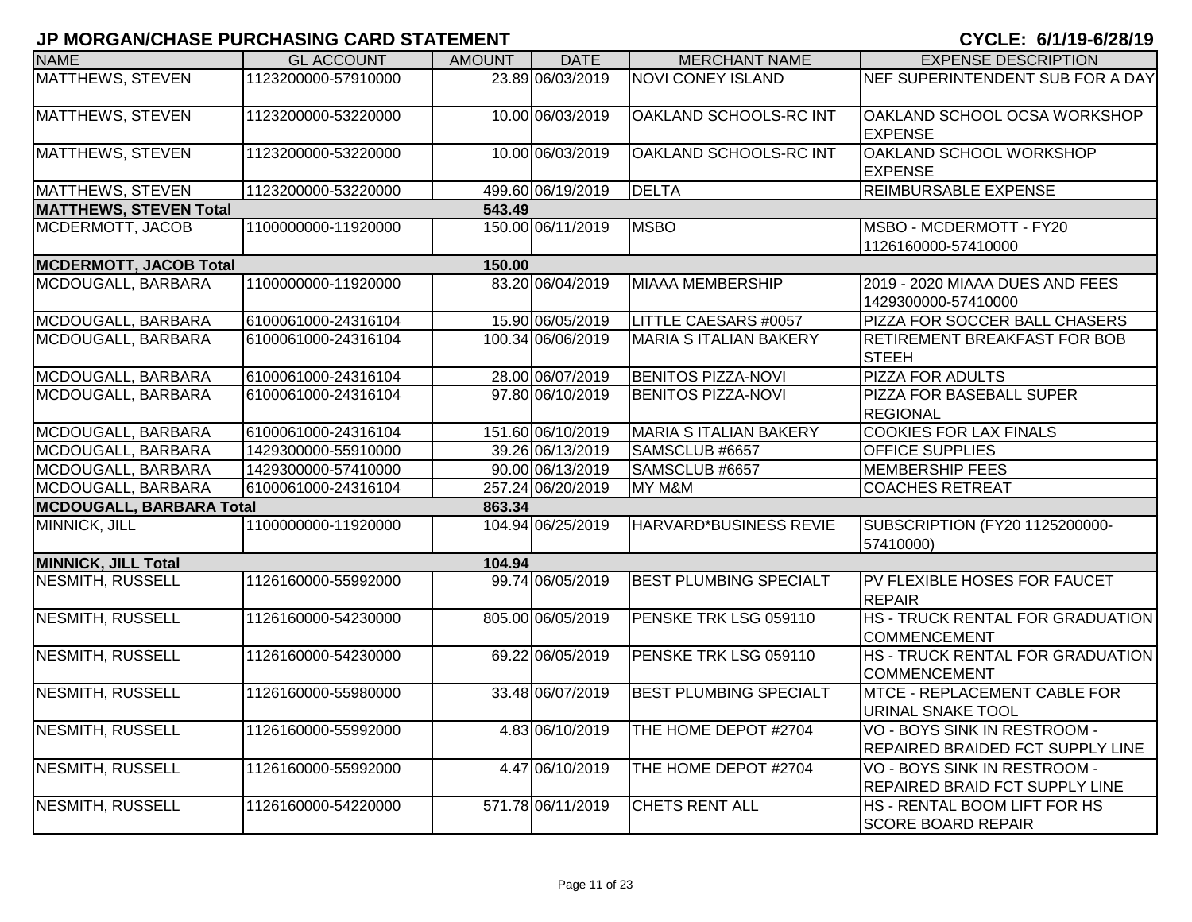| <b>NAME</b>                     | <b>GL ACCOUNT</b>   | <b>AMOUNT</b> | <b>DATE</b>       | <b>MERCHANT NAME</b>          | <b>EXPENSE DESCRIPTION</b>                                       |
|---------------------------------|---------------------|---------------|-------------------|-------------------------------|------------------------------------------------------------------|
| MATTHEWS, STEVEN                | 1123200000-57910000 |               | 23.89 06/03/2019  | <b>NOVI CONEY ISLAND</b>      | NEF SUPERINTENDENT SUB FOR A DAY                                 |
| <b>MATTHEWS, STEVEN</b>         | 1123200000-53220000 |               | 10.00 06/03/2019  | OAKLAND SCHOOLS-RC INT        | OAKLAND SCHOOL OCSA WORKSHOP<br><b>EXPENSE</b>                   |
| MATTHEWS, STEVEN                | 1123200000-53220000 |               | 10.00 06/03/2019  | OAKLAND SCHOOLS-RC INT        | OAKLAND SCHOOL WORKSHOP<br><b>EXPENSE</b>                        |
| <b>MATTHEWS, STEVEN</b>         | 1123200000-53220000 |               | 499.60 06/19/2019 | <b>DELTA</b>                  | <b>REIMBURSABLE EXPENSE</b>                                      |
| <b>MATTHEWS, STEVEN Total</b>   |                     | 543.49        |                   |                               |                                                                  |
| MCDERMOTT, JACOB                | 1100000000-11920000 |               | 150.00 06/11/2019 | <b>MSBO</b>                   | MSBO - MCDERMOTT - FY20<br>1126160000-57410000                   |
| <b>MCDERMOTT, JACOB Total</b>   |                     | 150.00        |                   |                               |                                                                  |
| MCDOUGALL, BARBARA              | 1100000000-11920000 |               | 83.20 06/04/2019  | <b>MIAAA MEMBERSHIP</b>       | 2019 - 2020 MIAAA DUES AND FEES<br>1429300000-57410000           |
| MCDOUGALL, BARBARA              | 6100061000-24316104 |               | 15.90 06/05/2019  | <b>LITTLE CAESARS #0057</b>   | PIZZA FOR SOCCER BALL CHASERS                                    |
| MCDOUGALL, BARBARA              | 6100061000-24316104 |               | 100.34 06/06/2019 | <b>MARIA S ITALIAN BAKERY</b> | <b>RETIREMENT BREAKFAST FOR BOB</b><br><b>STEEH</b>              |
| MCDOUGALL, BARBARA              | 6100061000-24316104 |               | 28.00 06/07/2019  | <b>BENITOS PIZZA-NOVI</b>     | <b>PIZZA FOR ADULTS</b>                                          |
| MCDOUGALL, BARBARA              | 6100061000-24316104 |               | 97.80 06/10/2019  | <b>BENITOS PIZZA-NOVI</b>     | <b>PIZZA FOR BASEBALL SUPER</b><br><b>REGIONAL</b>               |
| MCDOUGALL, BARBARA              | 6100061000-24316104 |               | 151.60 06/10/2019 | <b>MARIA S ITALIAN BAKERY</b> | <b>COOKIES FOR LAX FINALS</b>                                    |
| MCDOUGALL, BARBARA              | 1429300000-55910000 |               | 39.26 06/13/2019  | SAMSCLUB #6657                | <b>OFFICE SUPPLIES</b>                                           |
| MCDOUGALL, BARBARA              | 1429300000-57410000 |               | 90.00 06/13/2019  | SAMSCLUB #6657                | <b>MEMBERSHIP FEES</b>                                           |
| MCDOUGALL, BARBARA              | 6100061000-24316104 |               | 257.24 06/20/2019 | MY M&M                        | <b>COACHES RETREAT</b>                                           |
| <b>MCDOUGALL, BARBARA Total</b> |                     | 863.34        |                   |                               |                                                                  |
| MINNICK, JILL                   | 1100000000-11920000 |               | 104.94 06/25/2019 | <b>HARVARD*BUSINESS REVIE</b> | SUBSCRIPTION (FY20 1125200000-<br>57410000)                      |
| <b>MINNICK, JILL Total</b>      |                     | 104.94        |                   |                               |                                                                  |
| NESMITH, RUSSELL                | 1126160000-55992000 |               | 99.74 06/05/2019  | <b>BEST PLUMBING SPECIALT</b> | PV FLEXIBLE HOSES FOR FAUCET<br><b>REPAIR</b>                    |
| <b>NESMITH, RUSSELL</b>         | 1126160000-54230000 |               | 805.00 06/05/2019 | PENSKE TRK LSG 059110         | HS - TRUCK RENTAL FOR GRADUATION<br><b>COMMENCEMENT</b>          |
| <b>NESMITH, RUSSELL</b>         | 1126160000-54230000 |               | 69.22 06/05/2019  | PENSKE TRK LSG 059110         | HS - TRUCK RENTAL FOR GRADUATION<br><b>COMMENCEMENT</b>          |
| <b>NESMITH, RUSSELL</b>         | 1126160000-55980000 |               | 33.48 06/07/2019  | <b>BEST PLUMBING SPECIALT</b> | <b>MTCE - REPLACEMENT CABLE FOR</b><br><b>URINAL SNAKE TOOL</b>  |
| <b>NESMITH, RUSSELL</b>         | 1126160000-55992000 |               | 4.83 06/10/2019   | THE HOME DEPOT #2704          | VO - BOYS SINK IN RESTROOM -<br>REPAIRED BRAIDED FCT SUPPLY LINE |
| <b>NESMITH, RUSSELL</b>         | 1126160000-55992000 |               | 4.47 06/10/2019   | THE HOME DEPOT #2704          | VO - BOYS SINK IN RESTROOM -<br>REPAIRED BRAID FCT SUPPLY LINE   |
| <b>NESMITH, RUSSELL</b>         | 1126160000-54220000 |               | 571.78 06/11/2019 | CHETS RENT ALL                | HS - RENTAL BOOM LIFT FOR HS<br><b>SCORE BOARD REPAIR</b>        |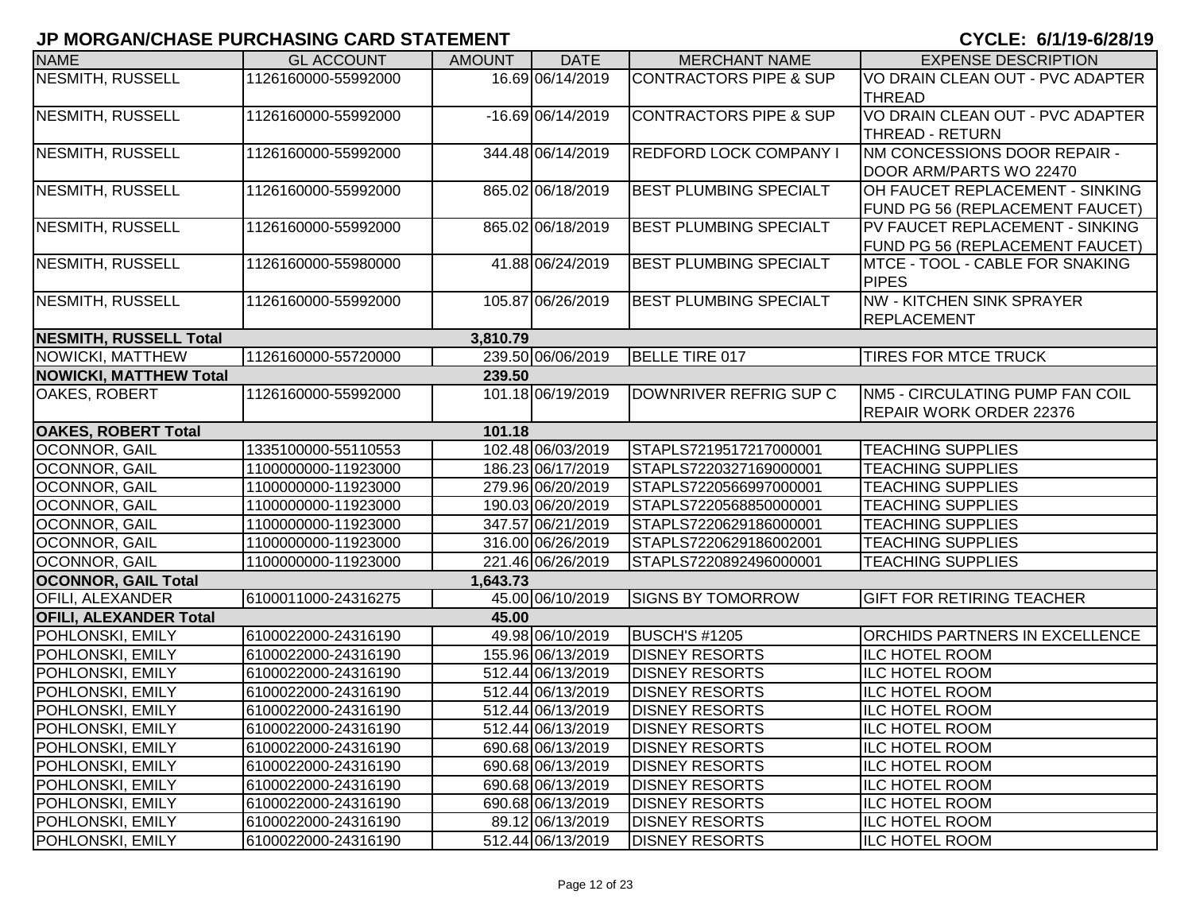| <b>NAME</b>                   | <b>GL ACCOUNT</b>   | <b>AMOUNT</b> | <b>DATE</b>       | <b>MERCHANT NAME</b>              | <b>EXPENSE DESCRIPTION</b>             |
|-------------------------------|---------------------|---------------|-------------------|-----------------------------------|----------------------------------------|
| NESMITH, RUSSELL              | 1126160000-55992000 |               | 16.69 06/14/2019  | <b>CONTRACTORS PIPE &amp; SUP</b> | VO DRAIN CLEAN OUT - PVC ADAPTER       |
|                               |                     |               |                   |                                   | <b>THREAD</b>                          |
| NESMITH, RUSSELL              | 1126160000-55992000 |               | -16.69 06/14/2019 | <b>CONTRACTORS PIPE &amp; SUP</b> | VO DRAIN CLEAN OUT - PVC ADAPTER       |
|                               |                     |               |                   |                                   | <b>THREAD - RETURN</b>                 |
| NESMITH, RUSSELL              | 1126160000-55992000 |               | 344.48 06/14/2019 | <b>REDFORD LOCK COMPANY I</b>     | NM CONCESSIONS DOOR REPAIR -           |
|                               |                     |               |                   |                                   | DOOR ARM/PARTS WO 22470                |
| NESMITH, RUSSELL              | 1126160000-55992000 |               | 865.02 06/18/2019 | <b>BEST PLUMBING SPECIALT</b>     | OH FAUCET REPLACEMENT - SINKING        |
|                               |                     |               |                   |                                   | FUND PG 56 (REPLACEMENT FAUCET)        |
| NESMITH, RUSSELL              | 1126160000-55992000 |               | 865.02 06/18/2019 | <b>BEST PLUMBING SPECIALT</b>     | PV FAUCET REPLACEMENT - SINKING        |
|                               |                     |               |                   |                                   | FUND PG 56 (REPLACEMENT FAUCET)        |
| NESMITH, RUSSELL              | 1126160000-55980000 |               | 41.88 06/24/2019  | <b>BEST PLUMBING SPECIALT</b>     | MTCE - TOOL - CABLE FOR SNAKING        |
|                               |                     |               |                   |                                   | <b>PIPES</b>                           |
| <b>NESMITH, RUSSELL</b>       | 1126160000-55992000 |               | 105.87 06/26/2019 | <b>BEST PLUMBING SPECIALT</b>     | NW - KITCHEN SINK SPRAYER              |
|                               |                     |               |                   |                                   | REPLACEMENT                            |
| <b>NESMITH, RUSSELL Total</b> |                     | 3,810.79      |                   |                                   |                                        |
| NOWICKI, MATTHEW              | 1126160000-55720000 |               | 239.50 06/06/2019 | BELLE TIRE 017                    | <b>TIRES FOR MTCE TRUCK</b>            |
| <b>NOWICKI, MATTHEW Total</b> |                     | 239.50        |                   |                                   |                                        |
| OAKES, ROBERT                 | 1126160000-55992000 |               | 101.18 06/19/2019 | DOWNRIVER REFRIG SUP C            | <b>NM5 - CIRCULATING PUMP FAN COIL</b> |
|                               |                     |               |                   |                                   | REPAIR WORK ORDER 22376                |
| <b>OAKES, ROBERT Total</b>    |                     | 101.18        |                   |                                   |                                        |
| <b>OCONNOR, GAIL</b>          | 1335100000-55110553 |               | 102.48 06/03/2019 | STAPLS7219517217000001            | <b>TEACHING SUPPLIES</b>               |
| OCONNOR, GAIL                 | 1100000000-11923000 |               | 186.23 06/17/2019 | STAPLS7220327169000001            | <b>TEACHING SUPPLIES</b>               |
| OCONNOR, GAIL                 | 1100000000-11923000 |               | 279.96 06/20/2019 | STAPLS7220566997000001            | <b>TEACHING SUPPLIES</b>               |
| OCONNOR, GAIL                 | 1100000000-11923000 |               | 190.03 06/20/2019 | STAPLS7220568850000001            | <b>TEACHING SUPPLIES</b>               |
| OCONNOR, GAIL                 | 1100000000-11923000 |               | 347.57 06/21/2019 | STAPLS7220629186000001            | <b>TEACHING SUPPLIES</b>               |
| OCONNOR, GAIL                 | 1100000000-11923000 |               | 316.00 06/26/2019 | STAPLS7220629186002001            | <b>TEACHING SUPPLIES</b>               |
| OCONNOR, GAIL                 | 1100000000-11923000 |               | 221.46 06/26/2019 | STAPLS7220892496000001            | <b>TEACHING SUPPLIES</b>               |
| <b>OCONNOR, GAIL Total</b>    |                     | 1,643.73      |                   |                                   |                                        |
| <b>OFILI, ALEXANDER</b>       | 6100011000-24316275 |               | 45.00 06/10/2019  | <b>SIGNS BY TOMORROW</b>          | <b>GIFT FOR RETIRING TEACHER</b>       |
| <b>OFILI, ALEXANDER Total</b> |                     | 45.00         |                   |                                   |                                        |
| POHLONSKI, EMILY              | 6100022000-24316190 |               | 49.98 06/10/2019  | <b>BUSCH'S #1205</b>              | <b>ORCHIDS PARTNERS IN EXCELLENCE</b>  |
| POHLONSKI, EMILY              | 6100022000-24316190 |               | 155.96 06/13/2019 | <b>DISNEY RESORTS</b>             | <b>ILC HOTEL ROOM</b>                  |
| POHLONSKI, EMILY              | 6100022000-24316190 |               | 512.44 06/13/2019 | <b>DISNEY RESORTS</b>             | ILC HOTEL ROOM                         |
| POHLONSKI, EMILY              | 6100022000-24316190 |               | 512.44 06/13/2019 | <b>DISNEY RESORTS</b>             | <b>ILC HOTEL ROOM</b>                  |
| POHLONSKI, EMILY              | 6100022000-24316190 |               | 512.44 06/13/2019 | <b>DISNEY RESORTS</b>             | <b>ILC HOTEL ROOM</b>                  |
| <b>POHLONSKI, EMILY</b>       | 6100022000-24316190 |               | 512.44 06/13/2019 | <b>DISNEY RESORTS</b>             | <b>ILC HOTEL ROOM</b>                  |
| <b>POHLONSKI, EMILY</b>       | 6100022000-24316190 |               | 690.68 06/13/2019 | <b>DISNEY RESORTS</b>             | <b>ILC HOTEL ROOM</b>                  |
| POHLONSKI, EMILY              | 6100022000-24316190 |               | 690.68 06/13/2019 | <b>DISNEY RESORTS</b>             | <b>ILC HOTEL ROOM</b>                  |
| POHLONSKI, EMILY              | 6100022000-24316190 |               | 690.68 06/13/2019 | <b>DISNEY RESORTS</b>             | <b>ILC HOTEL ROOM</b>                  |
| POHLONSKI, EMILY              | 6100022000-24316190 |               | 690.68 06/13/2019 | <b>DISNEY RESORTS</b>             | <b>ILC HOTEL ROOM</b>                  |
| POHLONSKI, EMILY              | 6100022000-24316190 |               | 89.12 06/13/2019  | <b>DISNEY RESORTS</b>             | <b>ILC HOTEL ROOM</b>                  |
| POHLONSKI, EMILY              | 6100022000-24316190 |               | 512.44 06/13/2019 | <b>DISNEY RESORTS</b>             | <b>ILC HOTEL ROOM</b>                  |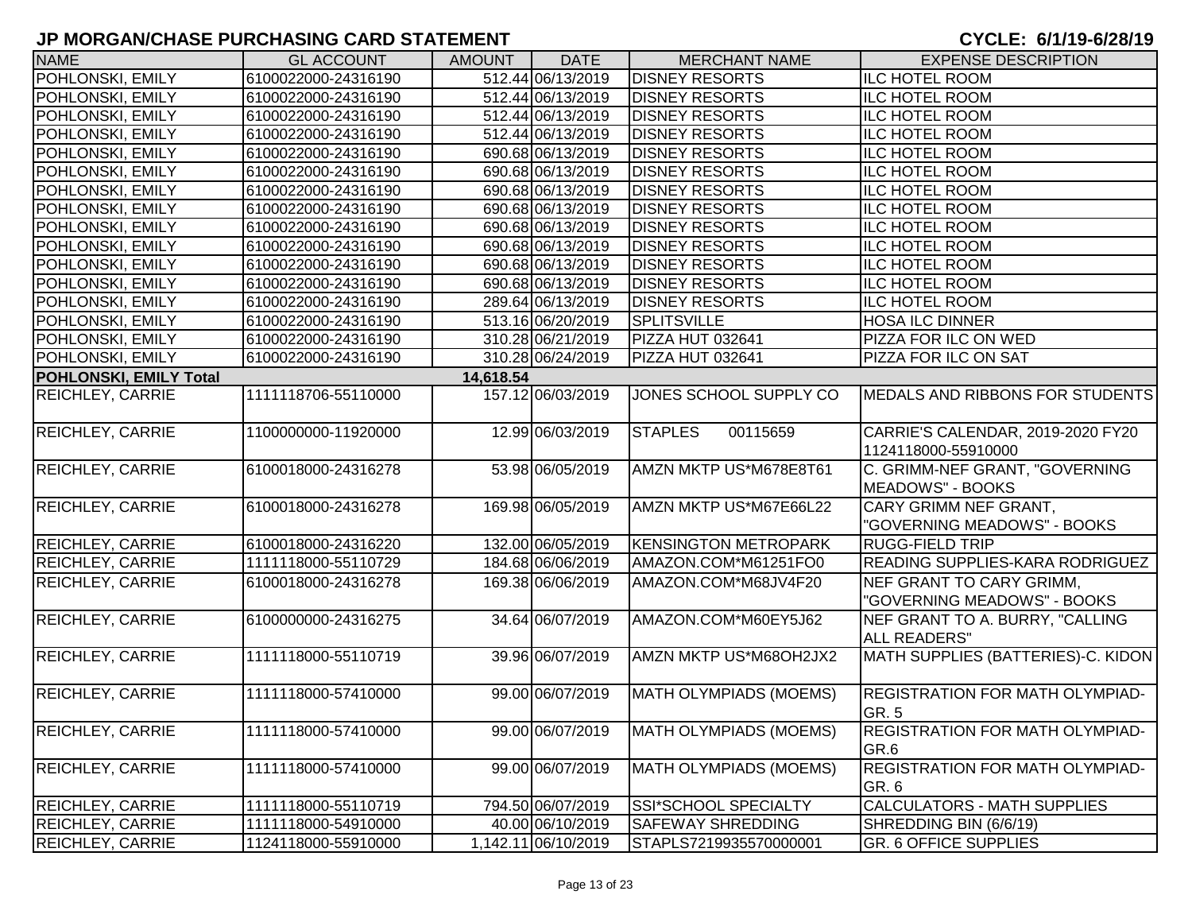| <b>NAME</b>                   | <b>GL ACCOUNT</b>   | <b>AMOUNT</b> | <b>DATE</b>         | <b>MERCHANT NAME</b>          | <b>EXPENSE DESCRIPTION</b>                               |
|-------------------------------|---------------------|---------------|---------------------|-------------------------------|----------------------------------------------------------|
| POHLONSKI, EMILY              | 6100022000-24316190 |               | 512.44 06/13/2019   | <b>DISNEY RESORTS</b>         | <b>ILC HOTEL ROOM</b>                                    |
| POHLONSKI, EMILY              | 6100022000-24316190 |               | 512.44 06/13/2019   | <b>DISNEY RESORTS</b>         | <b>ILC HOTEL ROOM</b>                                    |
| POHLONSKI, EMILY              | 6100022000-24316190 |               | 512.44 06/13/2019   | <b>DISNEY RESORTS</b>         | <b>ILC HOTEL ROOM</b>                                    |
| POHLONSKI, EMILY              | 6100022000-24316190 |               | 512.44 06/13/2019   | <b>DISNEY RESORTS</b>         | <b>ILC HOTEL ROOM</b>                                    |
| POHLONSKI, EMILY              | 6100022000-24316190 |               | 690.68 06/13/2019   | <b>DISNEY RESORTS</b>         | <b>ILC HOTEL ROOM</b>                                    |
| POHLONSKI, EMILY              | 6100022000-24316190 |               | 690.68 06/13/2019   | <b>DISNEY RESORTS</b>         | <b>ILC HOTEL ROOM</b>                                    |
| POHLONSKI, EMILY              | 6100022000-24316190 |               | 690.68 06/13/2019   | <b>DISNEY RESORTS</b>         | <b>ILC HOTEL ROOM</b>                                    |
| POHLONSKI, EMILY              | 6100022000-24316190 |               | 690.68 06/13/2019   | <b>DISNEY RESORTS</b>         | <b>ILC HOTEL ROOM</b>                                    |
| POHLONSKI, EMILY              | 6100022000-24316190 |               | 690.68 06/13/2019   | <b>DISNEY RESORTS</b>         | <b>ILC HOTEL ROOM</b>                                    |
| POHLONSKI, EMILY              | 6100022000-24316190 |               | 690.68 06/13/2019   | <b>DISNEY RESORTS</b>         | <b>ILC HOTEL ROOM</b>                                    |
| POHLONSKI, EMILY              | 6100022000-24316190 |               | 690.68 06/13/2019   | <b>DISNEY RESORTS</b>         | <b>ILC HOTEL ROOM</b>                                    |
| POHLONSKI, EMILY              | 6100022000-24316190 |               | 690.68 06/13/2019   | <b>DISNEY RESORTS</b>         | <b>ILC HOTEL ROOM</b>                                    |
| POHLONSKI, EMILY              | 6100022000-24316190 |               | 289.64 06/13/2019   | <b>DISNEY RESORTS</b>         | <b>ILC HOTEL ROOM</b>                                    |
| POHLONSKI, EMILY              | 6100022000-24316190 |               | 513.16 06/20/2019   | <b>SPLITSVILLE</b>            | <b>HOSA ILC DINNER</b>                                   |
| POHLONSKI, EMILY              | 6100022000-24316190 |               | 310.28 06/21/2019   | PIZZA HUT 032641              | PIZZA FOR ILC ON WED                                     |
| POHLONSKI, EMILY              | 6100022000-24316190 |               | 310.28 06/24/2019   | PIZZA HUT 032641              | PIZZA FOR ILC ON SAT                                     |
| <b>POHLONSKI, EMILY Total</b> |                     | 14,618.54     |                     |                               |                                                          |
| REICHLEY, CARRIE              | 1111118706-55110000 |               | 157.12 06/03/2019   | JONES SCHOOL SUPPLY CO        | <b>IMEDALS AND RIBBONS FOR STUDENTS</b>                  |
| <b>REICHLEY, CARRIE</b>       | 1100000000-11920000 |               | 12.99 06/03/2019    | <b>STAPLES</b><br>00115659    | CARRIE'S CALENDAR, 2019-2020 FY20<br>1124118000-55910000 |
| <b>REICHLEY, CARRIE</b>       | 6100018000-24316278 |               | 53.98 06/05/2019    | AMZN MKTP US*M678E8T61        | C. GRIMM-NEF GRANT, "GOVERNING<br>MEADOWS" - BOOKS       |
| <b>REICHLEY, CARRIE</b>       | 6100018000-24316278 |               | 169.98 06/05/2019   | AMZN MKTP US*M67E66L22        | CARY GRIMM NEF GRANT,<br>"GOVERNING MEADOWS" - BOOKS     |
| <b>REICHLEY, CARRIE</b>       | 6100018000-24316220 |               | 132.00 06/05/2019   | <b>KENSINGTON METROPARK</b>   | <b>RUGG-FIELD TRIP</b>                                   |
| <b>REICHLEY, CARRIE</b>       | 1111118000-55110729 |               | 184.68 06/06/2019   | AMAZON.COM*M61251FO0          | READING SUPPLIES-KARA RODRIGUEZ                          |
| <b>REICHLEY, CARRIE</b>       | 6100018000-24316278 |               | 169.38 06/06/2019   | AMAZON.COM*M68JV4F20          | NEF GRANT TO CARY GRIMM,<br>"GOVERNING MEADOWS" - BOOKS  |
| <b>REICHLEY, CARRIE</b>       | 6100000000-24316275 |               | 34.64 06/07/2019    | AMAZON.COM*M60EY5J62          | NEF GRANT TO A. BURRY, "CALLING<br>ALL READERS"          |
| REICHLEY, CARRIE              | 1111118000-55110719 |               | 39.96 06/07/2019    | AMZN MKTP US*M68OH2JX2        | MATH SUPPLIES (BATTERIES)-C. KIDON                       |
| REICHLEY, CARRIE              | 1111118000-57410000 |               | 99.00 06/07/2019    | <b>MATH OLYMPIADS (MOEMS)</b> | <b>REGISTRATION FOR MATH OLYMPIAD-</b><br>GR. 5          |
| REICHLEY, CARRIE              | 1111118000-57410000 |               | 99.00 06/07/2019    | MATH OLYMPIADS (MOEMS)        | <b>REGISTRATION FOR MATH OLYMPIAD-</b><br>GR.6           |
| REICHLEY, CARRIE              | 1111118000-57410000 |               | 99.00 06/07/2019    | <b>MATH OLYMPIADS (MOEMS)</b> | REGISTRATION FOR MATH OLYMPIAD-<br>GR. 6                 |
| REICHLEY, CARRIE              | 1111118000-55110719 |               | 794.50 06/07/2019   | <b>SSI*SCHOOL SPECIALTY</b>   | <b>CALCULATORS - MATH SUPPLIES</b>                       |
| REICHLEY, CARRIE              | 1111118000-54910000 |               | 40.00 06/10/2019    | <b>SAFEWAY SHREDDING</b>      | SHREDDING BIN (6/6/19)                                   |
| <b>REICHLEY, CARRIE</b>       | 1124118000-55910000 |               | 1,142.11 06/10/2019 | STAPLS7219935570000001        | <b>GR. 6 OFFICE SUPPLIES</b>                             |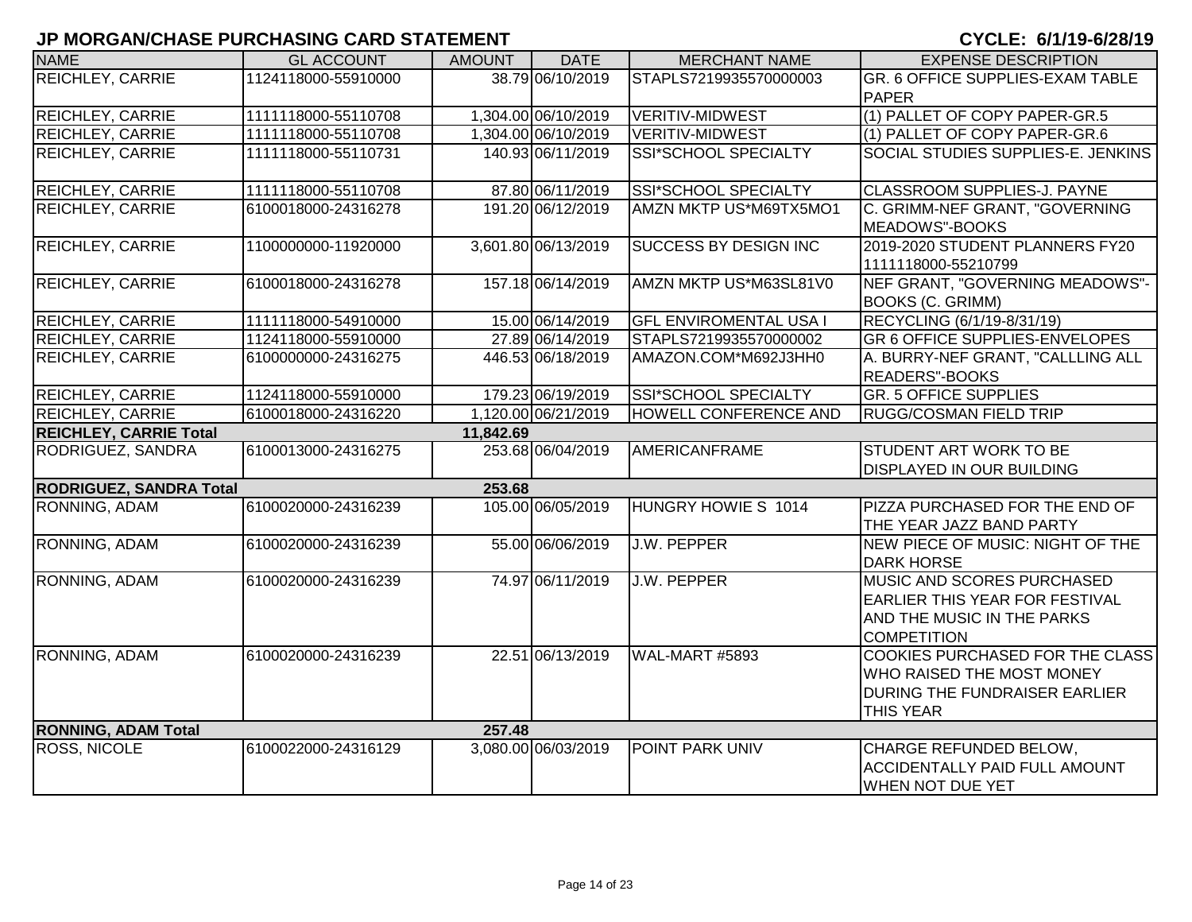| <b>NAME</b>                    | <b>GL ACCOUNT</b>   | <b>AMOUNT</b> | <b>DATE</b>         | <b>MERCHANT NAME</b>          | <b>EXPENSE DESCRIPTION</b>            |
|--------------------------------|---------------------|---------------|---------------------|-------------------------------|---------------------------------------|
| <b>REICHLEY, CARRIE</b>        | 1124118000-55910000 |               | 38.79 06/10/2019    | STAPLS7219935570000003        | GR. 6 OFFICE SUPPLIES-EXAM TABLE      |
|                                |                     |               |                     |                               | <b>PAPER</b>                          |
| REICHLEY, CARRIE               | 1111118000-55110708 |               | 1,304.00 06/10/2019 | <b>VERITIV-MIDWEST</b>        | (1) PALLET OF COPY PAPER-GR.5         |
| <b>REICHLEY, CARRIE</b>        | 1111118000-55110708 |               | 1,304.00 06/10/2019 | <b>VERITIV-MIDWEST</b>        | (1) PALLET OF COPY PAPER-GR.6         |
| <b>REICHLEY, CARRIE</b>        | 1111118000-55110731 |               | 140.93 06/11/2019   | SSI*SCHOOL SPECIALTY          | SOCIAL STUDIES SUPPLIES-E. JENKINS    |
|                                |                     |               |                     |                               |                                       |
| <b>REICHLEY, CARRIE</b>        | 1111118000-55110708 |               | 87.80 06/11/2019    | SSI*SCHOOL SPECIALTY          | CLASSROOM SUPPLIES-J. PAYNE           |
| REICHLEY, CARRIE               | 6100018000-24316278 |               | 191.20 06/12/2019   | AMZN MKTP US*M69TX5MO1        | C. GRIMM-NEF GRANT, "GOVERNING        |
|                                |                     |               |                     |                               | MEADOWS"-BOOKS                        |
| <b>REICHLEY, CARRIE</b>        | 1100000000-11920000 |               | 3,601.80 06/13/2019 | <b>SUCCESS BY DESIGN INC</b>  | 2019-2020 STUDENT PLANNERS FY20       |
|                                |                     |               |                     |                               | 1111118000-55210799                   |
| <b>REICHLEY, CARRIE</b>        | 6100018000-24316278 |               | 157.18 06/14/2019   | AMZN MKTP US*M63SL81V0        | NEF GRANT, "GOVERNING MEADOWS"-       |
|                                |                     |               |                     |                               | <b>BOOKS (C. GRIMM)</b>               |
| <b>REICHLEY, CARRIE</b>        | 1111118000-54910000 |               | 15.00 06/14/2019    | <b>GFL ENVIROMENTAL USA I</b> | RECYCLING (6/1/19-8/31/19)            |
| <b>REICHLEY, CARRIE</b>        | 1124118000-55910000 |               | 27.89 06/14/2019    | STAPLS7219935570000002        | <b>GR 6 OFFICE SUPPLIES-ENVELOPES</b> |
| <b>REICHLEY, CARRIE</b>        | 6100000000-24316275 |               | 446.53 06/18/2019   | AMAZON.COM*M692J3HH0          | A. BURRY-NEF GRANT, "CALLLING ALL     |
|                                |                     |               |                     |                               | <b>READERS"-BOOKS</b>                 |
| REICHLEY, CARRIE               | 1124118000-55910000 |               | 179.23 06/19/2019   | <b>SSI*SCHOOL SPECIALTY</b>   | <b>GR. 5 OFFICE SUPPLIES</b>          |
| <b>REICHLEY, CARRIE</b>        | 6100018000-24316220 |               | 1,120.00 06/21/2019 | HOWELL CONFERENCE AND         | <b>RUGG/COSMAN FIELD TRIP</b>         |
| <b>REICHLEY, CARRIE Total</b>  |                     | 11,842.69     |                     |                               |                                       |
| RODRIGUEZ, SANDRA              | 6100013000-24316275 |               | 253.68 06/04/2019   | <b>AMERICANFRAME</b>          | STUDENT ART WORK TO BE                |
|                                |                     |               |                     |                               | <b>DISPLAYED IN OUR BUILDING</b>      |
| <b>RODRIGUEZ, SANDRA Total</b> |                     | 253.68        |                     |                               |                                       |
| RONNING, ADAM                  | 6100020000-24316239 |               | 105.00 06/05/2019   | HUNGRY HOWIE S 1014           | PIZZA PURCHASED FOR THE END OF        |
|                                |                     |               |                     |                               | THE YEAR JAZZ BAND PARTY              |
| RONNING, ADAM                  | 6100020000-24316239 |               | 55.00 06/06/2019    | <b>J.W. PEPPER</b>            | NEW PIECE OF MUSIC: NIGHT OF THE      |
|                                |                     |               |                     |                               | <b>DARK HORSE</b>                     |
| <b>RONNING, ADAM</b>           | 6100020000-24316239 |               | 74.97 06/11/2019    | J.W. PEPPER                   | MUSIC AND SCORES PURCHASED            |
|                                |                     |               |                     |                               | <b>EARLIER THIS YEAR FOR FESTIVAL</b> |
|                                |                     |               |                     |                               | AND THE MUSIC IN THE PARKS            |
|                                |                     |               |                     |                               | <b>COMPETITION</b>                    |
| RONNING, ADAM                  | 6100020000-24316239 |               | 22.51 06/13/2019    | WAL-MART #5893                | COOKIES PURCHASED FOR THE CLASS       |
|                                |                     |               |                     |                               | WHO RAISED THE MOST MONEY             |
|                                |                     |               |                     |                               | DURING THE FUNDRAISER EARLIER         |
|                                |                     |               |                     |                               | <b>THIS YEAR</b>                      |
| <b>RONNING, ADAM Total</b>     |                     | 257.48        |                     |                               |                                       |
| ROSS, NICOLE                   | 6100022000-24316129 |               | 3,080.00 06/03/2019 | POINT PARK UNIV               | CHARGE REFUNDED BELOW,                |
|                                |                     |               |                     |                               | <b>ACCIDENTALLY PAID FULL AMOUNT</b>  |
|                                |                     |               |                     |                               | <b>WHEN NOT DUE YET</b>               |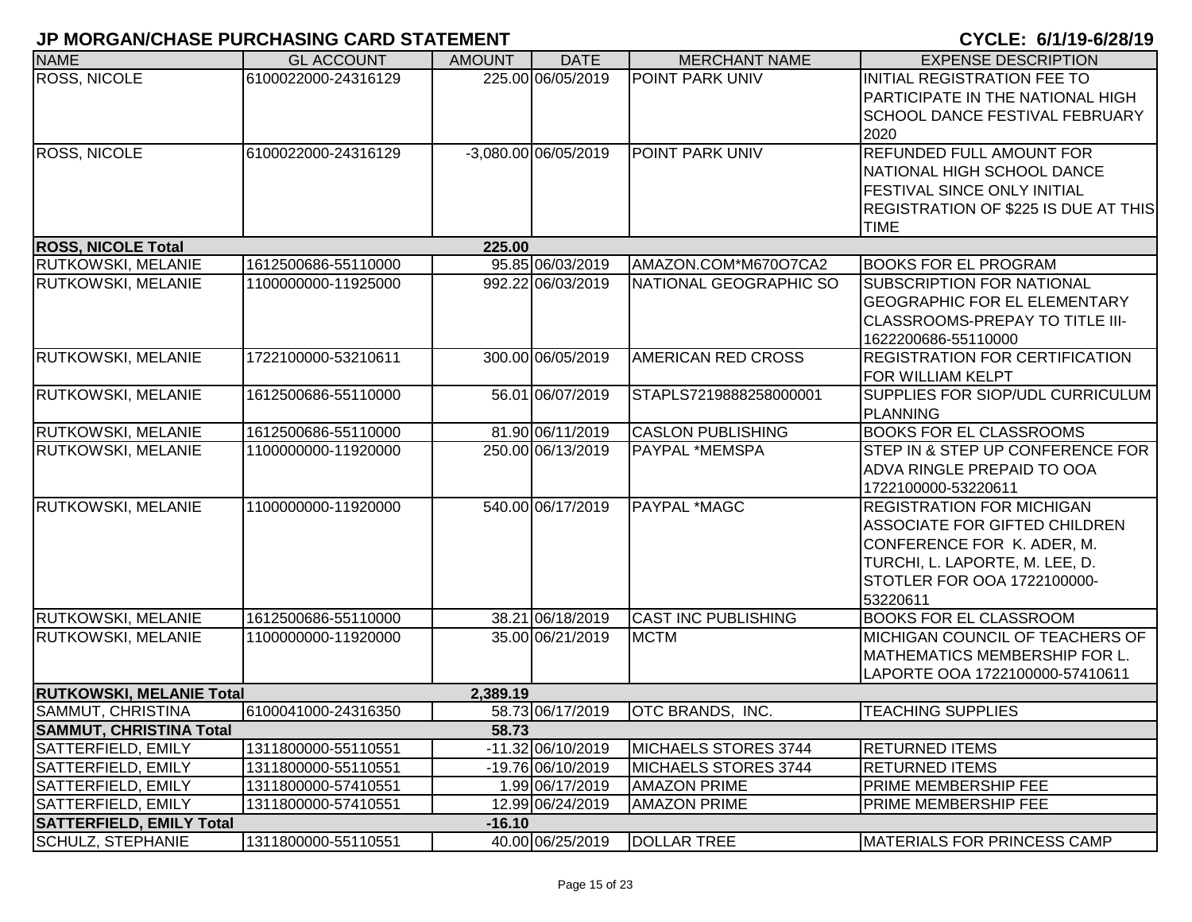| <b>NAME</b>                     | <b>GL ACCOUNT</b>   | <b>AMOUNT</b> | <b>DATE</b>          | <b>MERCHANT NAME</b>       | <b>EXPENSE DESCRIPTION</b>                             |
|---------------------------------|---------------------|---------------|----------------------|----------------------------|--------------------------------------------------------|
| <b>ROSS, NICOLE</b>             | 6100022000-24316129 |               | 225.00 06/05/2019    | <b>POINT PARK UNIV</b>     | INITIAL REGISTRATION FEE TO                            |
|                                 |                     |               |                      |                            | PARTICIPATE IN THE NATIONAL HIGH                       |
|                                 |                     |               |                      |                            | <b>SCHOOL DANCE FESTIVAL FEBRUARY</b>                  |
|                                 |                     |               |                      |                            | 2020                                                   |
| <b>ROSS, NICOLE</b>             | 6100022000-24316129 |               | -3,080.00 06/05/2019 | POINT PARK UNIV            | <b>REFUNDED FULL AMOUNT FOR</b>                        |
|                                 |                     |               |                      |                            | NATIONAL HIGH SCHOOL DANCE                             |
|                                 |                     |               |                      |                            | <b>FESTIVAL SINCE ONLY INITIAL</b>                     |
|                                 |                     |               |                      |                            | <b>REGISTRATION OF \$225 IS DUE AT THIS</b>            |
|                                 |                     |               |                      |                            | <b>TIME</b>                                            |
| <b>ROSS, NICOLE Total</b>       |                     | 225.00        |                      |                            |                                                        |
| <b>RUTKOWSKI, MELANIE</b>       | 1612500686-55110000 |               | 95.85 06/03/2019     | AMAZON.COM*M670O7CA2       | <b>BOOKS FOR EL PROGRAM</b>                            |
| <b>RUTKOWSKI, MELANIE</b>       | 1100000000-11925000 |               | 992.22 06/03/2019    | NATIONAL GEOGRAPHIC SO     | <b>SUBSCRIPTION FOR NATIONAL</b>                       |
|                                 |                     |               |                      |                            | <b>GEOGRAPHIC FOR EL ELEMENTARY</b>                    |
|                                 |                     |               |                      |                            | <b>CLASSROOMS-PREPAY TO TITLE III-</b>                 |
|                                 |                     |               | 300.00 06/05/2019    |                            | 1622200686-55110000                                    |
| RUTKOWSKI, MELANIE              | 1722100000-53210611 |               |                      | AMERICAN RED CROSS         | <b>REGISTRATION FOR CERTIFICATION</b>                  |
| RUTKOWSKI, MELANIE              | 1612500686-55110000 |               | 56.01 06/07/2019     | STAPLS7219888258000001     | IFOR WILLIAM KELPT<br>SUPPLIES FOR SIOP/UDL CURRICULUM |
|                                 |                     |               |                      |                            | PLANNING                                               |
| RUTKOWSKI, MELANIE              | 1612500686-55110000 |               | 81.90 06/11/2019     | <b>CASLON PUBLISHING</b>   | <b>BOOKS FOR EL CLASSROOMS</b>                         |
| <b>RUTKOWSKI, MELANIE</b>       | 1100000000-11920000 |               | 250.00 06/13/2019    | <b>PAYPAL *MEMSPA</b>      | STEP IN & STEP UP CONFERENCE FOR                       |
|                                 |                     |               |                      |                            | ADVA RINGLE PREPAID TO OOA                             |
|                                 |                     |               |                      |                            | 1722100000-53220611                                    |
| <b>RUTKOWSKI, MELANIE</b>       | 1100000000-11920000 |               | 540.00 06/17/2019    | PAYPAL *MAGC               | <b>REGISTRATION FOR MICHIGAN</b>                       |
|                                 |                     |               |                      |                            | ASSOCIATE FOR GIFTED CHILDREN                          |
|                                 |                     |               |                      |                            | CONFERENCE FOR K. ADER, M.                             |
|                                 |                     |               |                      |                            | TURCHI, L. LAPORTE, M. LEE, D.                         |
|                                 |                     |               |                      |                            | STOTLER FOR OOA 1722100000-                            |
|                                 |                     |               |                      |                            | 53220611                                               |
| RUTKOWSKI, MELANIE              | 1612500686-55110000 |               | 38.21 06/18/2019     | <b>CAST INC PUBLISHING</b> | <b>BOOKS FOR EL CLASSROOM</b>                          |
| <b>RUTKOWSKI, MELANIE</b>       | 1100000000-11920000 |               | 35.00 06/21/2019     | <b>MCTM</b>                | MICHIGAN COUNCIL OF TEACHERS OF                        |
|                                 |                     |               |                      |                            | MATHEMATICS MEMBERSHIP FOR L.                          |
|                                 |                     |               |                      |                            | LAPORTE OOA 1722100000-57410611                        |
| <b>RUTKOWSKI, MELANIE Total</b> |                     | 2,389.19      |                      |                            |                                                        |
| <b>SAMMUT, CHRISTINA</b>        | 6100041000-24316350 |               | 58.73 06/17/2019     | <b>OTC BRANDS, INC.</b>    | <b>TEACHING SUPPLIES</b>                               |
| <b>SAMMUT, CHRISTINA Total</b>  |                     | 58.73         |                      |                            |                                                        |
| SATTERFIELD, EMILY              | 1311800000-55110551 |               | -11.32 06/10/2019    | MICHAELS STORES 3744       | <b>RETURNED ITEMS</b>                                  |
| SATTERFIELD, EMILY              | 1311800000-55110551 |               | -19.76 06/10/2019    | MICHAELS STORES 3744       | <b>RETURNED ITEMS</b>                                  |
| SATTERFIELD, EMILY              | 1311800000-57410551 |               | 1.99 06/17/2019      | <b>AMAZON PRIME</b>        | PRIME MEMBERSHIP FEE                                   |
| <b>SATTERFIELD, EMILY</b>       | 1311800000-57410551 |               | 12.99 06/24/2019     | <b>AMAZON PRIME</b>        | <b>PRIME MEMBERSHIP FEE</b>                            |
| <b>SATTERFIELD, EMILY Total</b> |                     | $-16.10$      |                      |                            |                                                        |
| SCHULZ, STEPHANIE               | 1311800000-55110551 |               | 40.00 06/25/2019     | <b>DOLLAR TREE</b>         | MATERIALS FOR PRINCESS CAMP                            |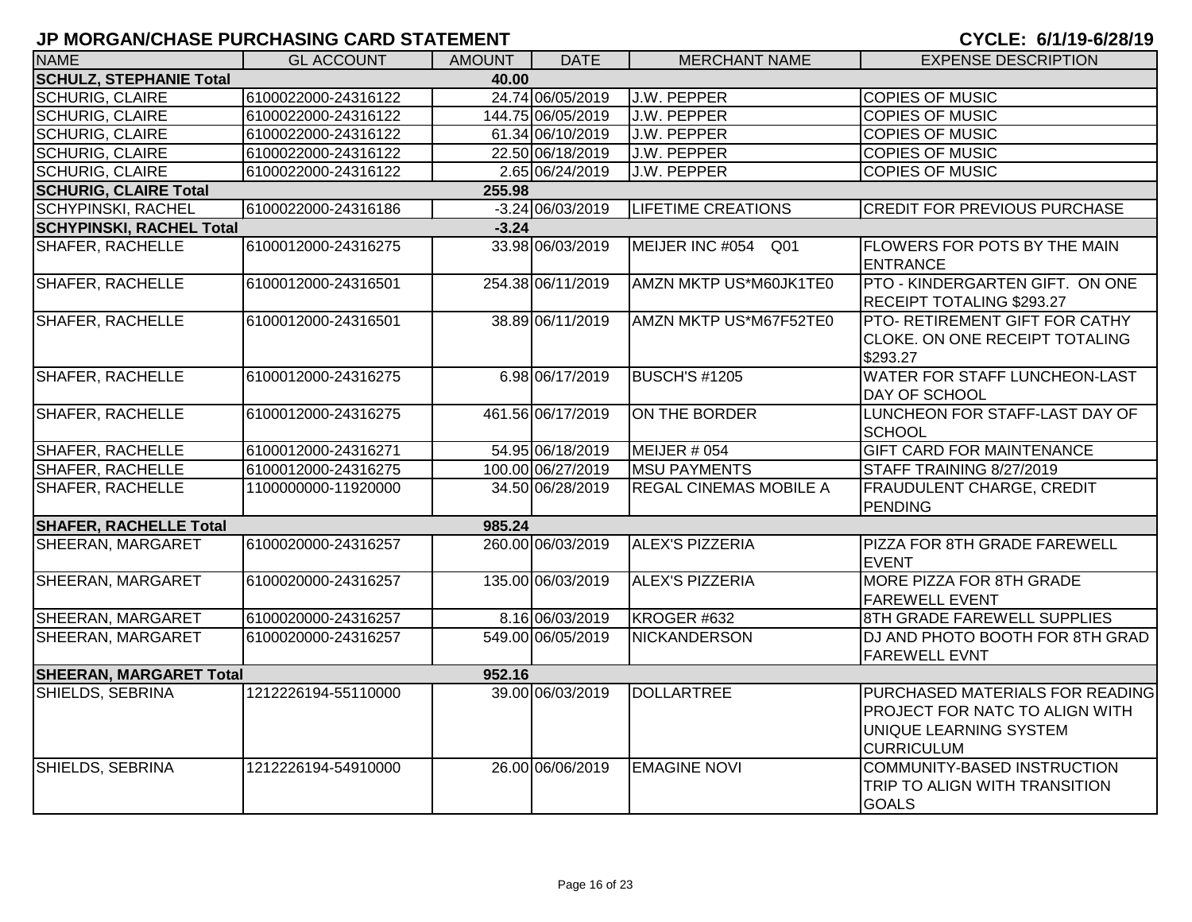| <b>NAME</b>                     | <b>GL ACCOUNT</b>   | <b>AMOUNT</b> | <b>DATE</b>                  | <b>MERCHANT NAME</b>          | <b>EXPENSE DESCRIPTION</b>                                                                                              |  |  |  |  |
|---------------------------------|---------------------|---------------|------------------------------|-------------------------------|-------------------------------------------------------------------------------------------------------------------------|--|--|--|--|
| <b>SCHULZ, STEPHANIE Total</b>  |                     | 40.00         |                              |                               |                                                                                                                         |  |  |  |  |
| <b>SCHURIG, CLAIRE</b>          | 6100022000-24316122 |               | 24.74 06/05/2019             | <b>J.W. PEPPER</b>            | <b>COPIES OF MUSIC</b>                                                                                                  |  |  |  |  |
| <b>SCHURIG, CLAIRE</b>          | 6100022000-24316122 |               | 144.75 06/05/2019            | J.W. PEPPER                   | <b>COPIES OF MUSIC</b>                                                                                                  |  |  |  |  |
| <b>SCHURIG, CLAIRE</b>          | 6100022000-24316122 |               | 61.34 06/10/2019             | J.W. PEPPER                   | <b>COPIES OF MUSIC</b>                                                                                                  |  |  |  |  |
| <b>SCHURIG, CLAIRE</b>          | 6100022000-24316122 |               | 22.50 06/18/2019             | J.W. PEPPER                   | <b>COPIES OF MUSIC</b>                                                                                                  |  |  |  |  |
| <b>SCHURIG, CLAIRE</b>          | 6100022000-24316122 |               | 2.65 06/24/2019              | J.W. PEPPER                   | <b>COPIES OF MUSIC</b>                                                                                                  |  |  |  |  |
| <b>SCHURIG, CLAIRE Total</b>    | 255.98              |               |                              |                               |                                                                                                                         |  |  |  |  |
| <b>SCHYPINSKI, RACHEL</b>       | 6100022000-24316186 |               | $-3.24\overline{06/03/2019}$ | <b>LIFETIME CREATIONS</b>     | <b>CREDIT FOR PREVIOUS PURCHASE</b>                                                                                     |  |  |  |  |
| <b>SCHYPINSKI, RACHEL Total</b> |                     | $-3.24$       |                              |                               |                                                                                                                         |  |  |  |  |
| SHAFER, RACHELLE                | 6100012000-24316275 |               | 33.98 06/03/2019             | MEIJER INC #054 Q01           | <b>FLOWERS FOR POTS BY THE MAIN</b><br><b>ENTRANCE</b>                                                                  |  |  |  |  |
| <b>SHAFER, RACHELLE</b>         | 6100012000-24316501 |               | 254.38 06/11/2019            | AMZN MKTP US*M60JK1TE0        | PTO - KINDERGARTEN GIFT. ON ONE<br>RECEIPT TOTALING \$293.27                                                            |  |  |  |  |
| <b>SHAFER, RACHELLE</b>         | 6100012000-24316501 |               | 38.89 06/11/2019             | AMZN MKTP US*M67F52TE0        | PTO- RETIREMENT GIFT FOR CATHY<br>CLOKE. ON ONE RECEIPT TOTALING<br>\$293.27                                            |  |  |  |  |
| <b>SHAFER, RACHELLE</b>         | 6100012000-24316275 |               | 6.98 06/17/2019              | <b>BUSCH'S #1205</b>          | WATER FOR STAFF LUNCHEON-LAST<br>DAY OF SCHOOL                                                                          |  |  |  |  |
| <b>SHAFER, RACHELLE</b>         | 6100012000-24316275 |               | 461.56 06/17/2019            | ON THE BORDER                 | LUNCHEON FOR STAFF-LAST DAY OF<br><b>SCHOOL</b>                                                                         |  |  |  |  |
| <b>SHAFER, RACHELLE</b>         | 6100012000-24316271 |               | 54.95 06/18/2019             | MEIJER # 054                  | <b>GIFT CARD FOR MAINTENANCE</b>                                                                                        |  |  |  |  |
| <b>SHAFER, RACHELLE</b>         | 6100012000-24316275 |               | 100.00 06/27/2019            | <b>MSU PAYMENTS</b>           | STAFF TRAINING 8/27/2019                                                                                                |  |  |  |  |
| SHAFER, RACHELLE                | 1100000000-11920000 |               | 34.50 06/28/2019             | <b>REGAL CINEMAS MOBILE A</b> | <b>FRAUDULENT CHARGE, CREDIT</b><br><b>PENDING</b>                                                                      |  |  |  |  |
| <b>SHAFER, RACHELLE Total</b>   |                     | 985.24        |                              |                               |                                                                                                                         |  |  |  |  |
| SHEERAN, MARGARET               | 6100020000-24316257 |               | 260.00 06/03/2019            | <b>ALEX'S PIZZERIA</b>        | PIZZA FOR 8TH GRADE FAREWELL<br><b>EVENT</b>                                                                            |  |  |  |  |
| SHEERAN, MARGARET               | 6100020000-24316257 |               | 135.00 06/03/2019            | <b>ALEX'S PIZZERIA</b>        | <b>MORE PIZZA FOR 8TH GRADE</b><br><b>FAREWELL EVENT</b>                                                                |  |  |  |  |
| SHEERAN, MARGARET               | 6100020000-24316257 |               | 8.16 06/03/2019              | KROGER #632                   | 8TH GRADE FAREWELL SUPPLIES                                                                                             |  |  |  |  |
| SHEERAN, MARGARET               | 6100020000-24316257 |               | 549.00 06/05/2019            | NICKANDERSON                  | DJ AND PHOTO BOOTH FOR 8TH GRAD<br><b>FAREWELL EVNT</b>                                                                 |  |  |  |  |
| <b>SHEERAN, MARGARET Total</b>  |                     | 952.16        |                              |                               |                                                                                                                         |  |  |  |  |
| SHIELDS, SEBRINA                | 1212226194-55110000 |               | 39.00 06/03/2019             | <b>DOLLARTREE</b>             | PURCHASED MATERIALS FOR READING<br><b>PROJECT FOR NATC TO ALIGN WITH</b><br>UNIQUE LEARNING SYSTEM<br><b>CURRICULUM</b> |  |  |  |  |
| SHIELDS, SEBRINA                | 1212226194-54910000 |               | 26.00 06/06/2019             | <b>EMAGINE NOVI</b>           | COMMUNITY-BASED INSTRUCTION<br>TRIP TO ALIGN WITH TRANSITION<br><b>GOALS</b>                                            |  |  |  |  |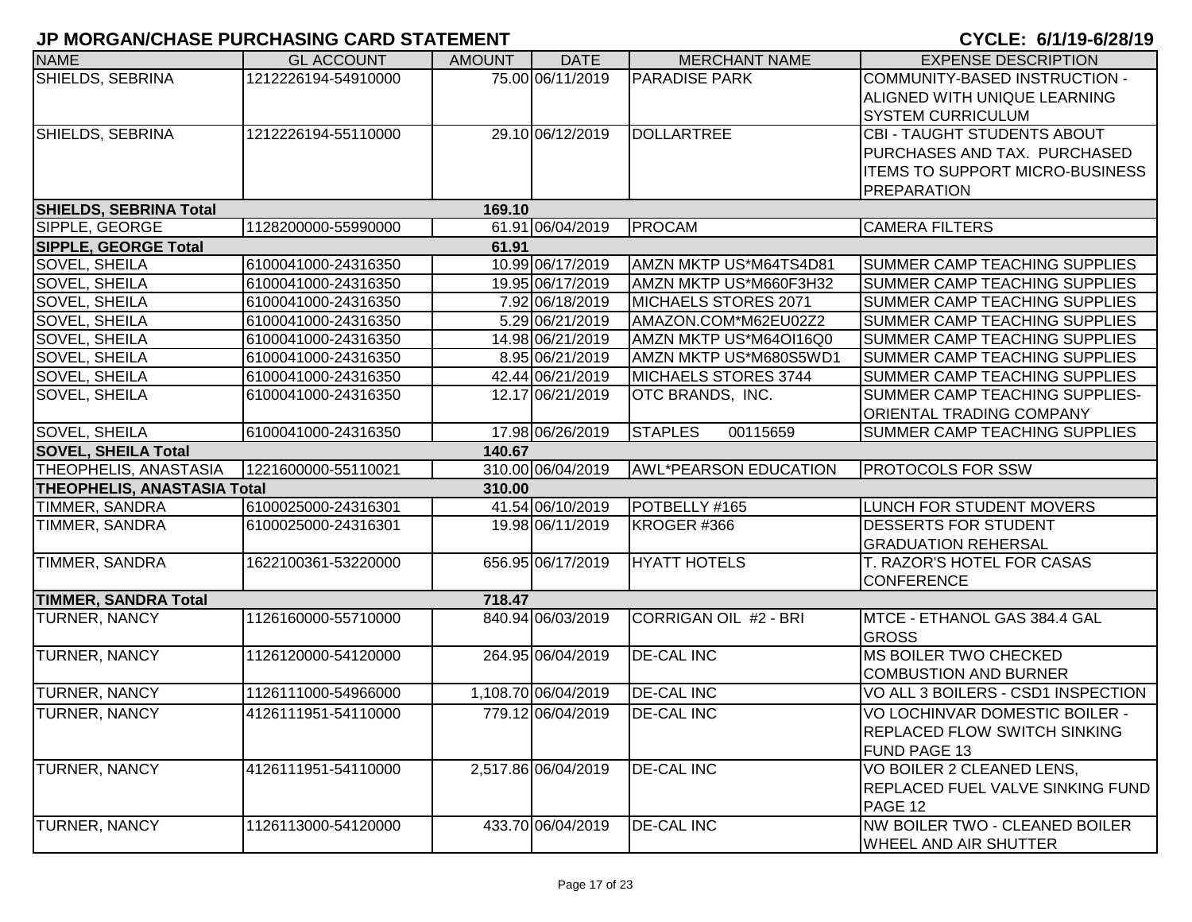| <b>NAME</b>                        | <b>GL ACCOUNT</b>   | <b>AMOUNT</b> | <b>DATE</b>         | <b>MERCHANT NAME</b>         | <b>EXPENSE DESCRIPTION</b>              |
|------------------------------------|---------------------|---------------|---------------------|------------------------------|-----------------------------------------|
| SHIELDS, SEBRINA                   | 1212226194-54910000 |               | 75.00 06/11/2019    | <b>PARADISE PARK</b>         | COMMUNITY-BASED INSTRUCTION -           |
|                                    |                     |               |                     |                              | ALIGNED WITH UNIQUE LEARNING            |
|                                    |                     |               |                     |                              | <b>SYSTEM CURRICULUM</b>                |
| SHIELDS, SEBRINA                   | 1212226194-55110000 |               | 29.10 06/12/2019    | <b>DOLLARTREE</b>            | CBI - TAUGHT STUDENTS ABOUT             |
|                                    |                     |               |                     |                              | PURCHASES AND TAX. PURCHASED            |
|                                    |                     |               |                     |                              | <b>ITEMS TO SUPPORT MICRO-BUSINESS</b>  |
|                                    |                     |               |                     |                              | <b>PREPARATION</b>                      |
| <b>SHIELDS, SEBRINA Total</b>      |                     | 169.10        |                     |                              |                                         |
| SIPPLE, GEORGE                     | 1128200000-55990000 |               | 61.91 06/04/2019    | PROCAM                       | <b>CAMERA FILTERS</b>                   |
| <b>SIPPLE, GEORGE Total</b>        |                     | 61.91         |                     |                              |                                         |
| <b>SOVEL, SHEILA</b>               | 6100041000-24316350 |               | 10.99 06/17/2019    | AMZN MKTP US*M64TS4D81       | SUMMER CAMP TEACHING SUPPLIES           |
| SOVEL, SHEILA                      | 6100041000-24316350 |               | 19.95 06/17/2019    | AMZN MKTP US*M660F3H32       | SUMMER CAMP TEACHING SUPPLIES           |
| SOVEL, SHEILA                      | 6100041000-24316350 |               | 7.92 06/18/2019     | MICHAELS STORES 2071         | SUMMER CAMP TEACHING SUPPLIES           |
| SOVEL, SHEILA                      | 6100041000-24316350 |               | 5.29 06/21/2019     | AMAZON.COM*M62EU02Z2         | SUMMER CAMP TEACHING SUPPLIES           |
| SOVEL, SHEILA                      | 6100041000-24316350 |               | 14.98 06/21/2019    | AMZN MKTP US*M64OI16Q0       | SUMMER CAMP TEACHING SUPPLIES           |
| SOVEL, SHEILA                      | 6100041000-24316350 |               | 8.95 06/21/2019     | AMZN MKTP US*M680S5WD1       | SUMMER CAMP TEACHING SUPPLIES           |
| <b>SOVEL, SHEILA</b>               | 6100041000-24316350 |               | 42.44 06/21/2019    | MICHAELS STORES 3744         | SUMMER CAMP TEACHING SUPPLIES           |
| SOVEL, SHEILA                      | 6100041000-24316350 |               | 12.17 06/21/2019    | OTC BRANDS, INC.             | SUMMER CAMP TEACHING SUPPLIES-          |
|                                    |                     |               |                     |                              | <b>ORIENTAL TRADING COMPANY</b>         |
| SOVEL, SHEILA                      | 6100041000-24316350 |               | 17.98 06/26/2019    | <b>STAPLES</b><br>00115659   | SUMMER CAMP TEACHING SUPPLIES           |
| <b>SOVEL, SHEILA Total</b>         |                     | 140.67        |                     |                              |                                         |
| THEOPHELIS, ANASTASIA              | 1221600000-55110021 |               | 310.00 06/04/2019   | <b>AWL*PEARSON EDUCATION</b> | <b>PROTOCOLS FOR SSW</b>                |
| <b>THEOPHELIS, ANASTASIA Total</b> |                     | 310.00        |                     |                              |                                         |
| <b>TIMMER, SANDRA</b>              | 6100025000-24316301 |               | 41.54 06/10/2019    | POTBELLY #165                | LUNCH FOR STUDENT MOVERS                |
| TIMMER, SANDRA                     | 6100025000-24316301 |               | 19.98 06/11/2019    | KROGER #366                  | <b>DESSERTS FOR STUDENT</b>             |
|                                    |                     |               |                     |                              | <b>GRADUATION REHERSAL</b>              |
| TIMMER, SANDRA                     | 1622100361-53220000 |               | 656.95 06/17/2019   | <b>HYATT HOTELS</b>          | T. RAZOR'S HOTEL FOR CASAS              |
|                                    |                     |               |                     |                              | <b>CONFERENCE</b>                       |
| <b>TIMMER, SANDRA Total</b>        |                     | 718.47        |                     |                              |                                         |
| <b>TURNER, NANCY</b>               | 1126160000-55710000 |               | 840.94 06/03/2019   | CORRIGAN OIL #2 - BRI        | MTCE - ETHANOL GAS 384.4 GAL            |
|                                    |                     |               |                     |                              | <b>GROSS</b>                            |
| TURNER, NANCY                      | 1126120000-54120000 |               | 264.95 06/04/2019   | <b>DE-CAL INC</b>            | <b>MS BOILER TWO CHECKED</b>            |
|                                    |                     |               |                     |                              | <b>COMBUSTION AND BURNER</b>            |
| <b>TURNER, NANCY</b>               | 1126111000-54966000 |               | 1,108.70 06/04/2019 | <b>DE-CAL INC</b>            | VO ALL 3 BOILERS - CSD1 INSPECTION      |
| <b>TURNER, NANCY</b>               | 4126111951-54110000 |               | 779.12 06/04/2019   | <b>DE-CAL INC</b>            | VO LOCHINVAR DOMESTIC BOILER -          |
|                                    |                     |               |                     |                              | <b>REPLACED FLOW SWITCH SINKING</b>     |
|                                    |                     |               |                     |                              | FUND PAGE 13                            |
| <b>TURNER, NANCY</b>               | 4126111951-54110000 |               | 2,517.86 06/04/2019 | <b>DE-CAL INC</b>            | VO BOILER 2 CLEANED LENS,               |
|                                    |                     |               |                     |                              | <b>REPLACED FUEL VALVE SINKING FUND</b> |
|                                    |                     |               |                     |                              | PAGE 12                                 |
| TURNER, NANCY                      | 1126113000-54120000 |               | 433.70 06/04/2019   | <b>DE-CAL INC</b>            | NW BOILER TWO - CLEANED BOILER          |
|                                    |                     |               |                     |                              | <b>WHEEL AND AIR SHUTTER</b>            |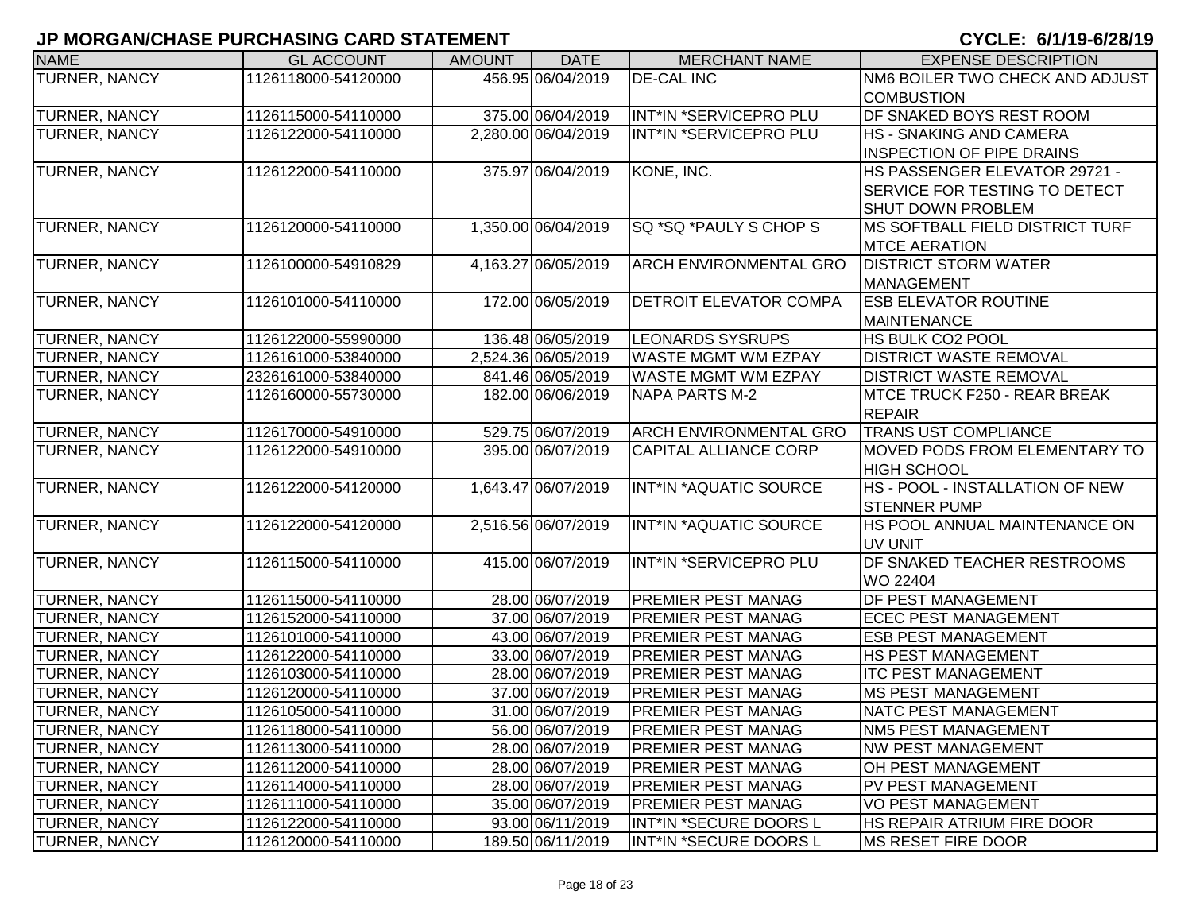| <b>NAME</b>          | <b>GL ACCOUNT</b>   | <b>AMOUNT</b> | <b>DATE</b>         | <b>MERCHANT NAME</b>          | <b>EXPENSE DESCRIPTION</b>           |
|----------------------|---------------------|---------------|---------------------|-------------------------------|--------------------------------------|
| <b>TURNER, NANCY</b> | 1126118000-54120000 |               | 456.95 06/04/2019   | <b>DE-CAL INC</b>             | NM6 BOILER TWO CHECK AND ADJUST      |
|                      |                     |               |                     |                               | <b>COMBUSTION</b>                    |
| TURNER, NANCY        | 1126115000-54110000 |               | 375.00 06/04/2019   | INT*IN *SERVICEPRO PLU        | <b>DF SNAKED BOYS REST ROOM</b>      |
| <b>TURNER, NANCY</b> | 1126122000-54110000 |               | 2,280.00 06/04/2019 | INT*IN *SERVICEPRO PLU        | <b>HS - SNAKING AND CAMERA</b>       |
|                      |                     |               |                     |                               | <b>INSPECTION OF PIPE DRAINS</b>     |
| TURNER, NANCY        | 1126122000-54110000 |               | 375.97 06/04/2019   | KONE, INC.                    | HS PASSENGER ELEVATOR 29721 -        |
|                      |                     |               |                     |                               | <b>SERVICE FOR TESTING TO DETECT</b> |
|                      |                     |               |                     |                               | <b>SHUT DOWN PROBLEM</b>             |
| <b>TURNER, NANCY</b> | 1126120000-54110000 |               | 1,350.00 06/04/2019 | SQ *SQ *PAULY S CHOP S        | MS SOFTBALL FIELD DISTRICT TURF      |
|                      |                     |               |                     |                               | <b>MTCE AERATION</b>                 |
| <b>TURNER, NANCY</b> | 1126100000-54910829 |               | 4,163.27 06/05/2019 | ARCH ENVIRONMENTAL GRO        | <b>DISTRICT STORM WATER</b>          |
|                      |                     |               |                     |                               | MANAGEMENT                           |
| <b>TURNER, NANCY</b> | 1126101000-54110000 |               | 172.00 06/05/2019   | DETROIT ELEVATOR COMPA        | <b>ESB ELEVATOR ROUTINE</b>          |
|                      |                     |               |                     |                               | <b>MAINTENANCE</b>                   |
| <b>TURNER, NANCY</b> | 1126122000-55990000 |               | 136.48 06/05/2019   | <b>LEONARDS SYSRUPS</b>       | <b>HS BULK CO2 POOL</b>              |
| <b>TURNER, NANCY</b> | 1126161000-53840000 |               | 2,524.36 06/05/2019 | <b>WASTE MGMT WM EZPAY</b>    | <b>DISTRICT WASTE REMOVAL</b>        |
| TURNER, NANCY        | 2326161000-53840000 |               | 841.46 06/05/2019   | <b>WASTE MGMT WM EZPAY</b>    | <b>DISTRICT WASTE REMOVAL</b>        |
| <b>TURNER, NANCY</b> | 1126160000-55730000 |               | 182.00 06/06/2019   | <b>NAPA PARTS M-2</b>         | MTCE TRUCK F250 - REAR BREAK         |
|                      |                     |               |                     |                               | <b>REPAIR</b>                        |
| TURNER, NANCY        | 1126170000-54910000 |               | 529.75 06/07/2019   | <b>ARCH ENVIRONMENTAL GRO</b> | <b>TRANS UST COMPLIANCE</b>          |
| <b>TURNER, NANCY</b> | 1126122000-54910000 |               | 395.00 06/07/2019   | <b>CAPITAL ALLIANCE CORP</b>  | <b>MOVED PODS FROM ELEMENTARY TO</b> |
|                      |                     |               |                     |                               | <b>HIGH SCHOOL</b>                   |
| TURNER, NANCY        | 1126122000-54120000 |               | 1,643.47 06/07/2019 | INT*IN *AQUATIC SOURCE        | HS - POOL - INSTALLATION OF NEW      |
|                      |                     |               |                     |                               | <b>STENNER PUMP</b>                  |
| TURNER, NANCY        | 1126122000-54120000 |               | 2,516.56 06/07/2019 | INT*IN *AQUATIC SOURCE        | HS POOL ANNUAL MAINTENANCE ON        |
|                      |                     |               |                     |                               | UV UNIT                              |
| <b>TURNER, NANCY</b> | 1126115000-54110000 |               | 415.00 06/07/2019   | INT*IN *SERVICEPRO PLU        | <b>DF SNAKED TEACHER RESTROOMS</b>   |
|                      |                     |               |                     |                               | WO 22404                             |
| <b>TURNER, NANCY</b> | 1126115000-54110000 |               | 28.00 06/07/2019    | <b>PREMIER PEST MANAG</b>     | DF PEST MANAGEMENT                   |
| <b>TURNER, NANCY</b> | 1126152000-54110000 |               | 37.00 06/07/2019    | <b>PREMIER PEST MANAG</b>     | <b>ECEC PEST MANAGEMENT</b>          |
| <b>TURNER, NANCY</b> | 1126101000-54110000 |               | 43.00 06/07/2019    | <b>PREMIER PEST MANAG</b>     | <b>ESB PEST MANAGEMENT</b>           |
| <b>TURNER, NANCY</b> | 1126122000-54110000 |               | 33.00 06/07/2019    | <b>PREMIER PEST MANAG</b>     | <b>HS PEST MANAGEMENT</b>            |
| <b>TURNER, NANCY</b> | 1126103000-54110000 |               | 28.00 06/07/2019    | <b>PREMIER PEST MANAG</b>     | <b>ITC PEST MANAGEMENT</b>           |
| <b>TURNER, NANCY</b> | 1126120000-54110000 |               | 37.00 06/07/2019    | <b>PREMIER PEST MANAG</b>     | <b>MS PEST MANAGEMENT</b>            |
| <b>TURNER, NANCY</b> | 1126105000-54110000 |               | 31.00 06/07/2019    | <b>PREMIER PEST MANAG</b>     | <b>NATC PEST MANAGEMENT</b>          |
| <b>TURNER, NANCY</b> | 1126118000-54110000 |               | 56.00 06/07/2019    | <b>PREMIER PEST MANAG</b>     | NM5 PEST MANAGEMENT                  |
| <b>TURNER, NANCY</b> | 1126113000-54110000 |               | 28.00 06/07/2019    | PREMIER PEST MANAG            | <b>NW PEST MANAGEMENT</b>            |
| <b>TURNER, NANCY</b> | 1126112000-54110000 |               | 28.00 06/07/2019    | PREMIER PEST MANAG            | OH PEST MANAGEMENT                   |
| <b>TURNER, NANCY</b> | 1126114000-54110000 |               | 28.00 06/07/2019    | <b>PREMIER PEST MANAG</b>     | PV PEST MANAGEMENT                   |
| <b>TURNER, NANCY</b> | 1126111000-54110000 |               | 35.00 06/07/2019    | <b>PREMIER PEST MANAG</b>     | <b>VO PEST MANAGEMENT</b>            |
| <b>TURNER, NANCY</b> | 1126122000-54110000 |               | 93.00 06/11/2019    | INT*IN *SECURE DOORS L        | HS REPAIR ATRIUM FIRE DOOR           |
| <b>TURNER, NANCY</b> | 1126120000-54110000 |               | 189.50 06/11/2019   | INT*IN *SECURE DOORS L        | <b>MS RESET FIRE DOOR</b>            |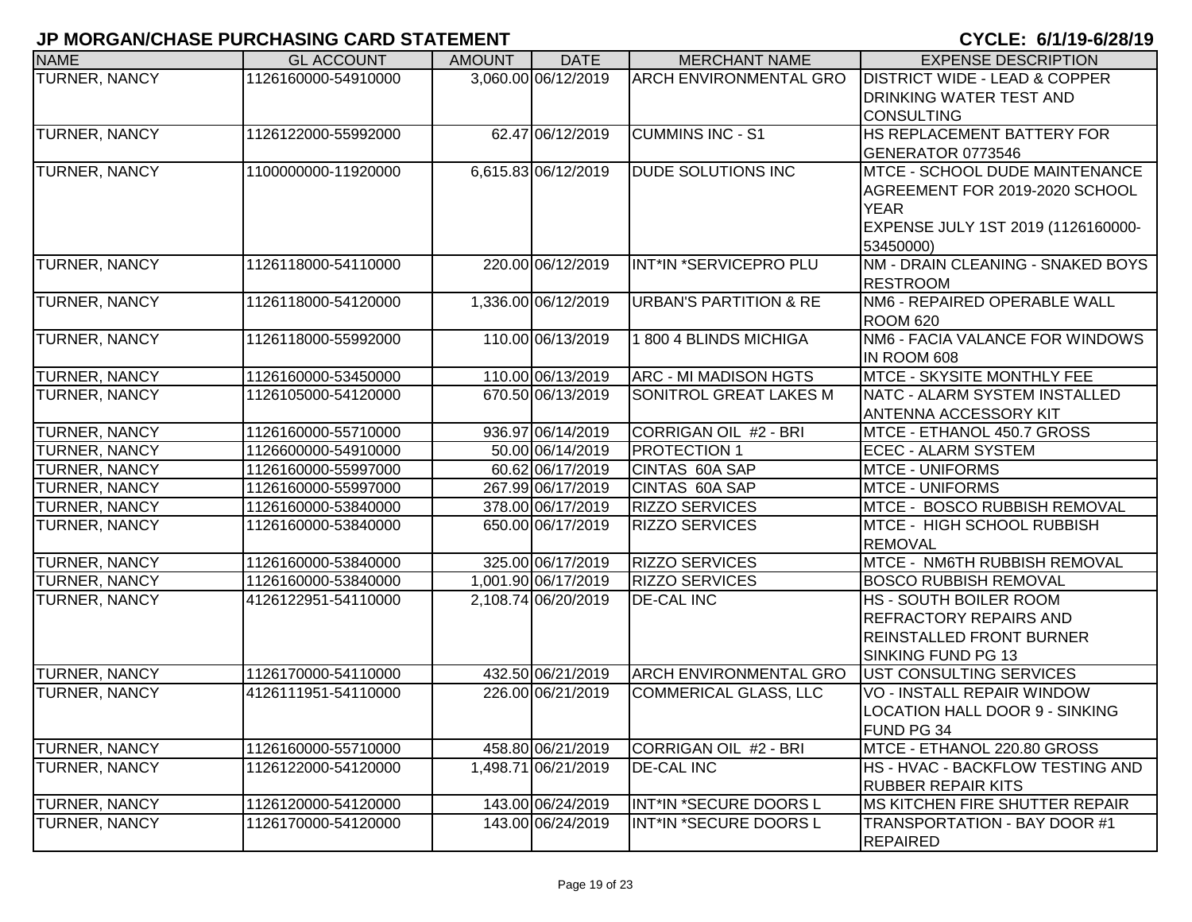| <b>NAME</b>          | <b>GL ACCOUNT</b>   | <b>AMOUNT</b> | <b>DATE</b>         | <b>MERCHANT NAME</b>              | <b>EXPENSE DESCRIPTION</b>                      |
|----------------------|---------------------|---------------|---------------------|-----------------------------------|-------------------------------------------------|
| <b>TURNER, NANCY</b> | 1126160000-54910000 |               | 3,060.00 06/12/2019 | <b>ARCH ENVIRONMENTAL GRO</b>     | <b>DISTRICT WIDE - LEAD &amp; COPPER</b>        |
|                      |                     |               |                     |                                   | <b>DRINKING WATER TEST AND</b>                  |
|                      |                     |               |                     |                                   | <b>CONSULTING</b>                               |
| <b>TURNER, NANCY</b> | 1126122000-55992000 |               | 62.47 06/12/2019    | <b>CUMMINS INC - S1</b>           | <b>HS REPLACEMENT BATTERY FOR</b>               |
|                      |                     |               |                     |                                   | GENERATOR 0773546                               |
| TURNER, NANCY        | 1100000000-11920000 |               | 6,615.83 06/12/2019 | <b>DUDE SOLUTIONS INC</b>         | <b>MTCE - SCHOOL DUDE MAINTENANCE</b>           |
|                      |                     |               |                     |                                   | AGREEMENT FOR 2019-2020 SCHOOL                  |
|                      |                     |               |                     |                                   | <b>YEAR</b>                                     |
|                      |                     |               |                     |                                   | EXPENSE JULY 1ST 2019 (1126160000-              |
|                      |                     |               |                     |                                   | 53450000)                                       |
| <b>TURNER, NANCY</b> | 1126118000-54110000 |               | 220.00 06/12/2019   | INT*IN *SERVICEPRO PLU            | NM - DRAIN CLEANING - SNAKED BOYS               |
|                      |                     |               |                     |                                   | <b>RESTROOM</b>                                 |
| TURNER, NANCY        | 1126118000-54120000 |               | 1,336.00 06/12/2019 | <b>URBAN'S PARTITION &amp; RE</b> | NM6 - REPAIRED OPERABLE WALL                    |
|                      |                     |               |                     |                                   | <b>ROOM 620</b>                                 |
| TURNER, NANCY        | 1126118000-55992000 |               | 110.00 06/13/2019   | 1800 4 BLINDS MICHIGA             | NM6 - FACIA VALANCE FOR WINDOWS                 |
|                      |                     |               |                     |                                   | IN ROOM 608                                     |
| <b>TURNER, NANCY</b> | 1126160000-53450000 |               | 110.00 06/13/2019   | <b>ARC - MI MADISON HGTS</b>      | <b>MTCE - SKYSITE MONTHLY FEE</b>               |
| <b>TURNER, NANCY</b> | 1126105000-54120000 |               | 670.50 06/13/2019   | SONITROL GREAT LAKES M            | NATC - ALARM SYSTEM INSTALLED                   |
|                      |                     |               |                     |                                   | <b>ANTENNA ACCESSORY KIT</b>                    |
| TURNER, NANCY        | 1126160000-55710000 |               | 936.97 06/14/2019   | CORRIGAN OIL #2 - BRI             | MTCE - ETHANOL 450.7 GROSS                      |
| <b>TURNER, NANCY</b> | 1126600000-54910000 |               | 50.00 06/14/2019    | <b>PROTECTION 1</b>               | <b>ECEC - ALARM SYSTEM</b>                      |
| <b>TURNER, NANCY</b> | 1126160000-55997000 |               | 60.62 06/17/2019    | CINTAS 60A SAP                    | <b>MTCE - UNIFORMS</b>                          |
| <b>TURNER, NANCY</b> | 1126160000-55997000 |               | 267.99 06/17/2019   | CINTAS 60A SAP                    | <b>MTCE - UNIFORMS</b>                          |
| <b>TURNER, NANCY</b> | 1126160000-53840000 |               | 378.00 06/17/2019   | <b>RIZZO SERVICES</b>             | MTCE - BOSCO RUBBISH REMOVAL                    |
| <b>TURNER, NANCY</b> | 1126160000-53840000 |               | 650.00 06/17/2019   | <b>RIZZO SERVICES</b>             | MTCE - HIGH SCHOOL RUBBISH                      |
|                      |                     |               |                     |                                   | <b>REMOVAL</b>                                  |
| TURNER, NANCY        | 1126160000-53840000 |               | 325.00 06/17/2019   | <b>RIZZO SERVICES</b>             | MTCE - NM6TH RUBBISH REMOVAL                    |
| <b>TURNER, NANCY</b> | 1126160000-53840000 |               | 1,001.90 06/17/2019 | <b>RIZZO SERVICES</b>             | <b>BOSCO RUBBISH REMOVAL</b>                    |
| <b>TURNER, NANCY</b> | 4126122951-54110000 |               | 2,108.74 06/20/2019 | <b>DE-CAL INC</b>                 | <b>HS - SOUTH BOILER ROOM</b>                   |
|                      |                     |               |                     |                                   | <b>REFRACTORY REPAIRS AND</b>                   |
|                      |                     |               |                     |                                   | <b>REINSTALLED FRONT BURNER</b>                 |
|                      |                     |               |                     |                                   | SINKING FUND PG 13                              |
| <b>TURNER, NANCY</b> | 1126170000-54110000 |               | 432.50 06/21/2019   | <b>ARCH ENVIRONMENTAL GRO</b>     | UST CONSULTING SERVICES                         |
| <b>TURNER, NANCY</b> | 4126111951-54110000 |               | 226.00 06/21/2019   | <b>COMMERICAL GLASS, LLC</b>      | <b>VO - INSTALL REPAIR WINDOW</b>               |
|                      |                     |               |                     |                                   | <b>LOCATION HALL DOOR 9 - SINKING</b>           |
|                      |                     |               |                     |                                   | <b>FUND PG 34</b>                               |
| <b>TURNER, NANCY</b> | 1126160000-55710000 |               | 458.80 06/21/2019   | CORRIGAN OIL #2 - BRI             | MTCE - ETHANOL 220.80 GROSS                     |
| <b>TURNER, NANCY</b> | 1126122000-54120000 |               | 1,498.71 06/21/2019 | <b>DE-CAL INC</b>                 | <b>HS - HVAC - BACKFLOW TESTING AND</b>         |
|                      |                     |               |                     |                                   | <b>RUBBER REPAIR KITS</b>                       |
| TURNER, NANCY        | 1126120000-54120000 |               | 143.00 06/24/2019   | INT*IN *SECURE DOORS L            | MS KITCHEN FIRE SHUTTER REPAIR                  |
| TURNER, NANCY        | 1126170000-54120000 |               | 143.00 06/24/2019   | INT*IN *SECURE DOORS L            | TRANSPORTATION - BAY DOOR #1<br><b>REPAIRED</b> |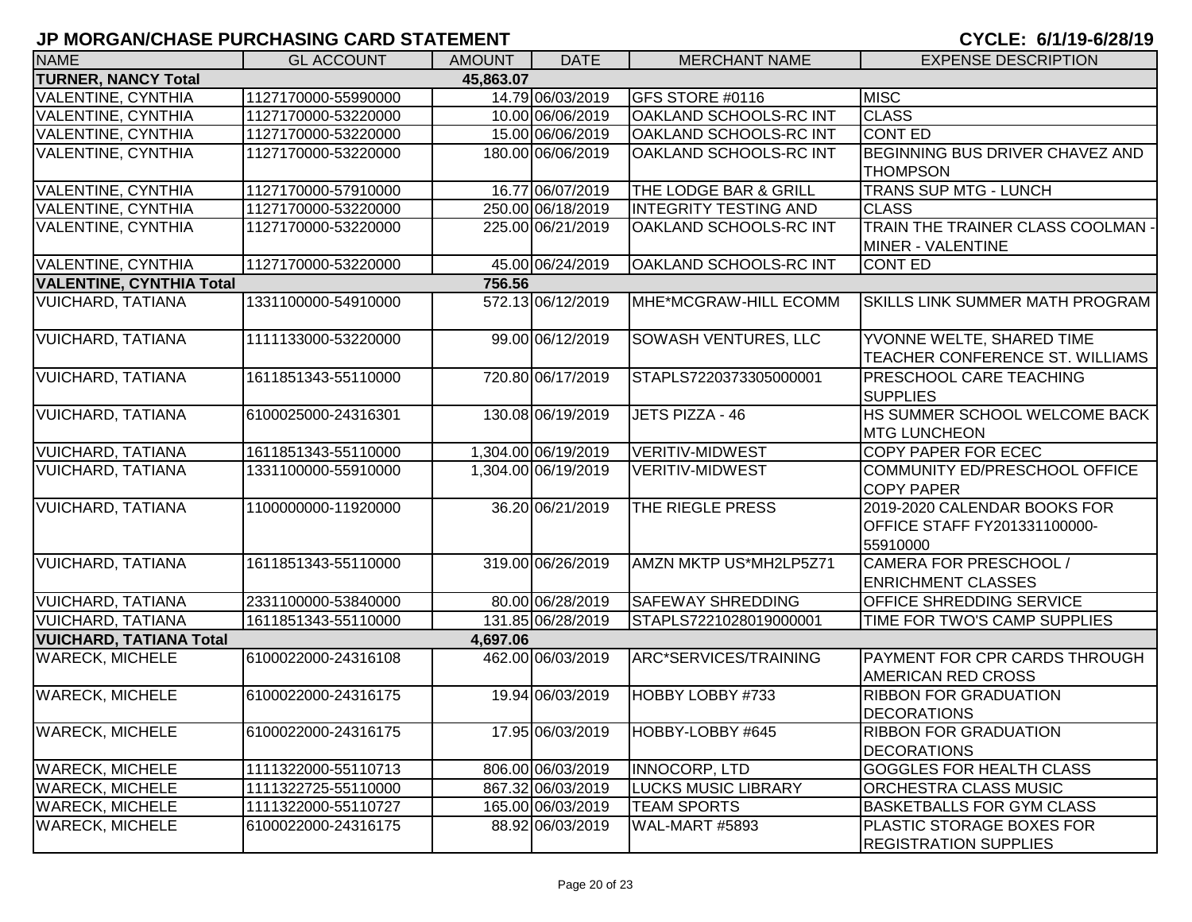| <b>NAME</b>                             | <b>GL ACCOUNT</b>   | <b>AMOUNT</b> | <b>DATE</b>         | <b>MERCHANT NAME</b>         | <b>EXPENSE DESCRIPTION</b>                                                      |  |  |  |
|-----------------------------------------|---------------------|---------------|---------------------|------------------------------|---------------------------------------------------------------------------------|--|--|--|
| <b>TURNER, NANCY Total</b><br>45,863.07 |                     |               |                     |                              |                                                                                 |  |  |  |
| <b>VALENTINE, CYNTHIA</b>               | 1127170000-55990000 |               | 14.79 06/03/2019    | GFS STORE #0116              | <b>MISC</b>                                                                     |  |  |  |
| <b>VALENTINE, CYNTHIA</b>               | 1127170000-53220000 |               | 10.00 06/06/2019    | OAKLAND SCHOOLS-RC INT       | <b>CLASS</b>                                                                    |  |  |  |
| <b>VALENTINE, CYNTHIA</b>               | 1127170000-53220000 |               | 15.00 06/06/2019    | OAKLAND SCHOOLS-RC INT       | <b>CONT ED</b>                                                                  |  |  |  |
| <b>VALENTINE, CYNTHIA</b>               | 1127170000-53220000 |               | 180.00 06/06/2019   | OAKLAND SCHOOLS-RC INT       | BEGINNING BUS DRIVER CHAVEZ AND                                                 |  |  |  |
|                                         |                     |               |                     |                              | <b>THOMPSON</b>                                                                 |  |  |  |
| <b>VALENTINE, CYNTHIA</b>               | 1127170000-57910000 |               | 16.77 06/07/2019    | THE LODGE BAR & GRILL        | <b>TRANS SUP MTG - LUNCH</b>                                                    |  |  |  |
| <b>VALENTINE, CYNTHIA</b>               | 1127170000-53220000 |               | 250.00 06/18/2019   | <b>INTEGRITY TESTING AND</b> | <b>CLASS</b>                                                                    |  |  |  |
| <b>VALENTINE, CYNTHIA</b>               | 1127170000-53220000 |               | 225.00 06/21/2019   | OAKLAND SCHOOLS-RC INT       | TRAIN THE TRAINER CLASS COOLMAN -<br>MINER - VALENTINE                          |  |  |  |
| <b>VALENTINE, CYNTHIA</b>               | 1127170000-53220000 |               | 45.00 06/24/2019    | OAKLAND SCHOOLS-RC INT       | <b>CONT ED</b>                                                                  |  |  |  |
| <b>VALENTINE, CYNTHIA Total</b>         |                     | 756.56        |                     |                              |                                                                                 |  |  |  |
| <b>VUICHARD, TATIANA</b>                | 1331100000-54910000 |               | 572.13 06/12/2019   | MHE*MCGRAW-HILL ECOMM        | <b>SKILLS LINK SUMMER MATH PROGRAM</b>                                          |  |  |  |
| <b>VUICHARD, TATIANA</b>                | 1111133000-53220000 |               | 99.00 06/12/2019    | <b>SOWASH VENTURES, LLC</b>  | YVONNE WELTE, SHARED TIME<br>TEACHER CONFERENCE ST. WILLIAMS                    |  |  |  |
| <b>VUICHARD, TATIANA</b>                | 1611851343-55110000 |               | 720.80 06/17/2019   | STAPLS7220373305000001       | PRESCHOOL CARE TEACHING<br><b>SUPPLIES</b>                                      |  |  |  |
| <b>VUICHARD, TATIANA</b>                | 6100025000-24316301 |               | 130.08 06/19/2019   | JETS PIZZA - 46              | HS SUMMER SCHOOL WELCOME BACK<br><b>MTG LUNCHEON</b>                            |  |  |  |
| <b>VUICHARD, TATIANA</b>                | 1611851343-55110000 |               | 1,304.00 06/19/2019 | <b>VERITIV-MIDWEST</b>       | COPY PAPER FOR ECEC                                                             |  |  |  |
| <b>VUICHARD, TATIANA</b>                | 1331100000-55910000 |               | 1,304.00 06/19/2019 | <b>VERITIV-MIDWEST</b>       | COMMUNITY ED/PRESCHOOL OFFICE<br><b>COPY PAPER</b>                              |  |  |  |
| <b>VUICHARD, TATIANA</b>                | 1100000000-11920000 |               | 36.20 06/21/2019    | THE RIEGLE PRESS             | 2019-2020 CALENDAR BOOKS FOR<br><b>OFFICE STAFF FY201331100000-</b><br>55910000 |  |  |  |
| <b>VUICHARD, TATIANA</b>                | 1611851343-55110000 |               | 319.00 06/26/2019   | AMZN MKTP US*MH2LP5Z71       | CAMERA FOR PRESCHOOL /<br><b>ENRICHMENT CLASSES</b>                             |  |  |  |
| <b>VUICHARD, TATIANA</b>                | 2331100000-53840000 |               | 80.00 06/28/2019    | <b>SAFEWAY SHREDDING</b>     | <b>OFFICE SHREDDING SERVICE</b>                                                 |  |  |  |
| <b>VUICHARD, TATIANA</b>                | 1611851343-55110000 |               | 131.85 06/28/2019   | STAPLS7221028019000001       | TIME FOR TWO'S CAMP SUPPLIES                                                    |  |  |  |
| <b>VUICHARD, TATIANA Total</b>          |                     | 4,697.06      |                     |                              |                                                                                 |  |  |  |
| <b>WARECK, MICHELE</b>                  | 6100022000-24316108 |               | 462.00 06/03/2019   | ARC*SERVICES/TRAINING        | <b>PAYMENT FOR CPR CARDS THROUGH</b><br>AMERICAN RED CROSS                      |  |  |  |
| <b>WARECK, MICHELE</b>                  | 6100022000-24316175 |               | 19.94 06/03/2019    | HOBBY LOBBY #733             | <b>RIBBON FOR GRADUATION</b><br><b>DECORATIONS</b>                              |  |  |  |
| <b>WARECK, MICHELE</b>                  | 6100022000-24316175 |               | 17.95 06/03/2019    | HOBBY-LOBBY #645             | <b>RIBBON FOR GRADUATION</b><br><b>DECORATIONS</b>                              |  |  |  |
| <b>WARECK, MICHELE</b>                  | 1111322000-55110713 |               | 806.00 06/03/2019   | <b>INNOCORP, LTD</b>         | <b>GOGGLES FOR HEALTH CLASS</b>                                                 |  |  |  |
| <b>WARECK, MICHELE</b>                  | 1111322725-55110000 |               | 867.32 06/03/2019   | <b>LUCKS MUSIC LIBRARY</b>   | <b>ORCHESTRA CLASS MUSIC</b>                                                    |  |  |  |
| <b>WARECK, MICHELE</b>                  | 1111322000-55110727 |               | 165.00 06/03/2019   | <b>TEAM SPORTS</b>           | <b>BASKETBALLS FOR GYM CLASS</b>                                                |  |  |  |
| <b>WARECK, MICHELE</b>                  | 6100022000-24316175 |               | 88.92 06/03/2019    | WAL-MART #5893               | PLASTIC STORAGE BOXES FOR<br><b>REGISTRATION SUPPLIES</b>                       |  |  |  |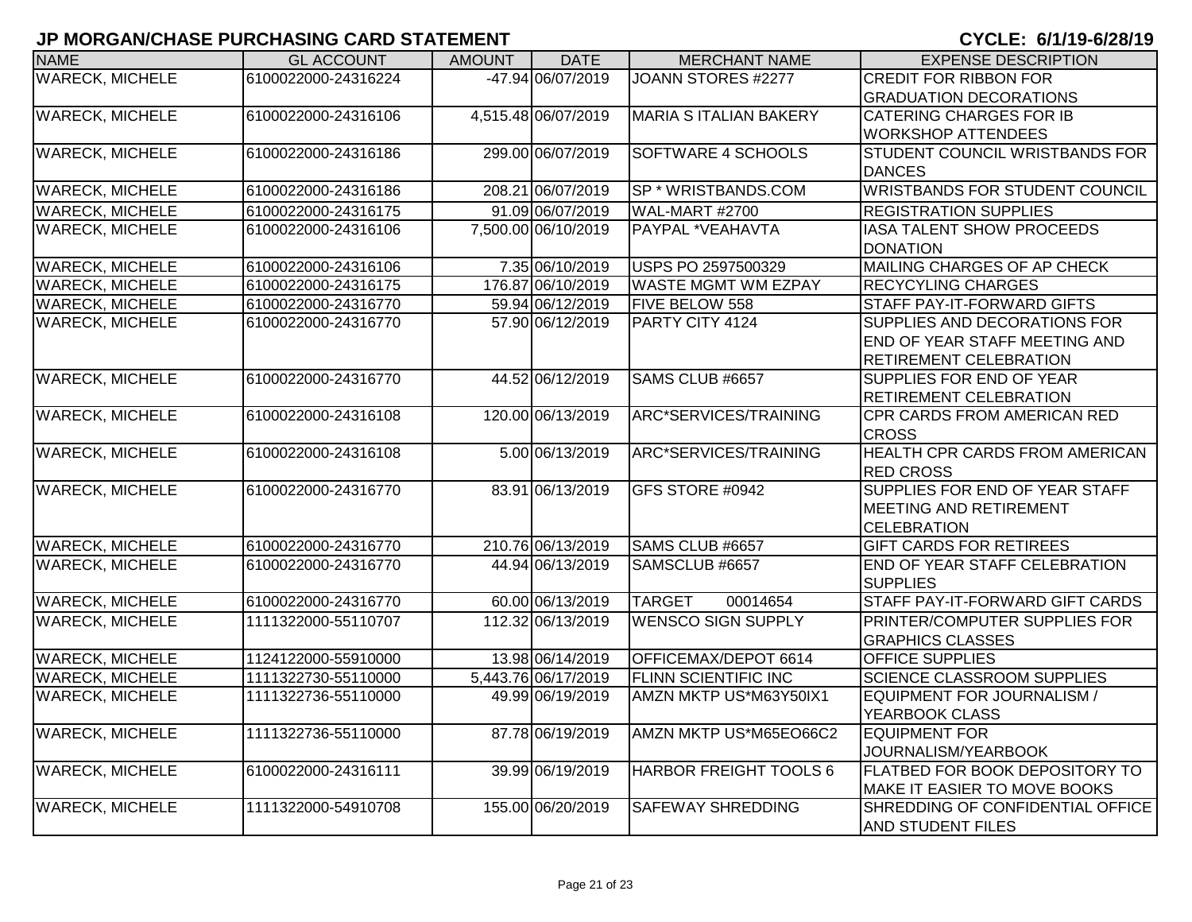| <b>NAME</b>            | <b>GL ACCOUNT</b>   | <b>AMOUNT</b> | <b>DATE</b>         | <b>MERCHANT NAME</b>          | <b>EXPENSE DESCRIPTION</b>            |
|------------------------|---------------------|---------------|---------------------|-------------------------------|---------------------------------------|
| <b>WARECK, MICHELE</b> | 6100022000-24316224 |               | -47.94 06/07/2019   | JOANN STORES #2277            | CREDIT FOR RIBBON FOR                 |
|                        |                     |               |                     |                               | <b>GRADUATION DECORATIONS</b>         |
| <b>WARECK, MICHELE</b> | 6100022000-24316106 |               | 4,515.48 06/07/2019 | <b>MARIA S ITALIAN BAKERY</b> | <b>CATERING CHARGES FOR IB</b>        |
|                        |                     |               |                     |                               | <b>WORKSHOP ATTENDEES</b>             |
| <b>WARECK, MICHELE</b> | 6100022000-24316186 |               | 299.00 06/07/2019   | SOFTWARE 4 SCHOOLS            | <b>STUDENT COUNCIL WRISTBANDS FOR</b> |
|                        |                     |               |                     |                               | <b>DANCES</b>                         |
| <b>WARECK, MICHELE</b> | 6100022000-24316186 |               | 208.21 06/07/2019   | SP * WRISTBANDS.COM           | <b>WRISTBANDS FOR STUDENT COUNCIL</b> |
| <b>WARECK, MICHELE</b> | 6100022000-24316175 |               | 91.09 06/07/2019    | <b>WAL-MART #2700</b>         | <b>REGISTRATION SUPPLIES</b>          |
| <b>WARECK, MICHELE</b> | 6100022000-24316106 |               | 7,500.00 06/10/2019 | PAYPAL *VEAHAVTA              | IASA TALENT SHOW PROCEEDS             |
|                        |                     |               |                     |                               | <b>DONATION</b>                       |
| <b>WARECK, MICHELE</b> | 6100022000-24316106 |               | 7.35 06/10/2019     | USPS PO 2597500329            | MAILING CHARGES OF AP CHECK           |
| <b>WARECK, MICHELE</b> | 6100022000-24316175 |               | 176.87 06/10/2019   | <b>WASTE MGMT WM EZPAY</b>    | <b>RECYCYLING CHARGES</b>             |
| <b>WARECK, MICHELE</b> | 6100022000-24316770 |               | 59.94 06/12/2019    | <b>FIVE BELOW 558</b>         | STAFF PAY-IT-FORWARD GIFTS            |
| <b>WARECK, MICHELE</b> | 6100022000-24316770 |               | 57.90 06/12/2019    | PARTY CITY 4124               | SUPPLIES AND DECORATIONS FOR          |
|                        |                     |               |                     |                               | <b>END OF YEAR STAFF MEETING AND</b>  |
|                        |                     |               |                     |                               | <b>RETIREMENT CELEBRATION</b>         |
| <b>WARECK, MICHELE</b> | 6100022000-24316770 |               | 44.52 06/12/2019    | SAMS CLUB #6657               | <b>SUPPLIES FOR END OF YEAR</b>       |
|                        |                     |               |                     |                               | <b>RETIREMENT CELEBRATION</b>         |
| <b>WARECK, MICHELE</b> | 6100022000-24316108 |               | 120.00 06/13/2019   | ARC*SERVICES/TRAINING         | CPR CARDS FROM AMERICAN RED           |
|                        |                     |               |                     |                               | <b>CROSS</b>                          |
| <b>WARECK, MICHELE</b> | 6100022000-24316108 |               | 5.00 06/13/2019     | ARC*SERVICES/TRAINING         | <b>HEALTH CPR CARDS FROM AMERICAN</b> |
|                        |                     |               |                     |                               | <b>RED CROSS</b>                      |
| <b>WARECK, MICHELE</b> | 6100022000-24316770 |               | 83.91 06/13/2019    | GFS STORE #0942               | SUPPLIES FOR END OF YEAR STAFF        |
|                        |                     |               |                     |                               | <b>MEETING AND RETIREMENT</b>         |
|                        |                     |               |                     |                               | <b>CELEBRATION</b>                    |
| <b>WARECK, MICHELE</b> | 6100022000-24316770 |               | 210.76 06/13/2019   | SAMS CLUB #6657               | <b>GIFT CARDS FOR RETIREES</b>        |
| <b>WARECK, MICHELE</b> | 6100022000-24316770 |               | 44.94 06/13/2019    | SAMSCLUB #6657                | <b>END OF YEAR STAFF CELEBRATION</b>  |
|                        |                     |               |                     |                               | <b>SUPPLIES</b>                       |
| <b>WARECK, MICHELE</b> | 6100022000-24316770 |               | 60.00 06/13/2019    | <b>TARGET</b><br>00014654     | STAFF PAY-IT-FORWARD GIFT CARDS       |
| <b>WARECK, MICHELE</b> | 1111322000-55110707 |               | 112.32 06/13/2019   | <b>WENSCO SIGN SUPPLY</b>     | PRINTER/COMPUTER SUPPLIES FOR         |
|                        |                     |               |                     |                               | <b>GRAPHICS CLASSES</b>               |
| <b>WARECK, MICHELE</b> | 1124122000-55910000 |               | 13.98 06/14/2019    | OFFICEMAX/DEPOT 6614          | <b>OFFICE SUPPLIES</b>                |
| <b>WARECK, MICHELE</b> | 1111322730-55110000 |               | 5,443.76 06/17/2019 | <b>FLINN SCIENTIFIC INC</b>   | <b>SCIENCE CLASSROOM SUPPLIES</b>     |
| <b>WARECK, MICHELE</b> | 1111322736-55110000 |               | 49.99 06/19/2019    | AMZN MKTP US*M63Y50IX1        | EQUIPMENT FOR JOURNALISM /            |
|                        |                     |               |                     |                               | <b>YEARBOOK CLASS</b>                 |
| <b>WARECK, MICHELE</b> | 1111322736-55110000 |               | 87.78 06/19/2019    | AMZN MKTP US*M65EO66C2        | <b>EQUIPMENT FOR</b>                  |
|                        |                     |               |                     |                               | JOURNALISM/YEARBOOK                   |
| <b>WARECK, MICHELE</b> | 6100022000-24316111 |               | 39.99 06/19/2019    | HARBOR FREIGHT TOOLS 6        | <b>FLATBED FOR BOOK DEPOSITORY TO</b> |
|                        |                     |               |                     |                               | MAKE IT EASIER TO MOVE BOOKS          |
| <b>WARECK, MICHELE</b> | 1111322000-54910708 |               | 155.00 06/20/2019   | SAFEWAY SHREDDING             | SHREDDING OF CONFIDENTIAL OFFICE      |
|                        |                     |               |                     |                               | <b>AND STUDENT FILES</b>              |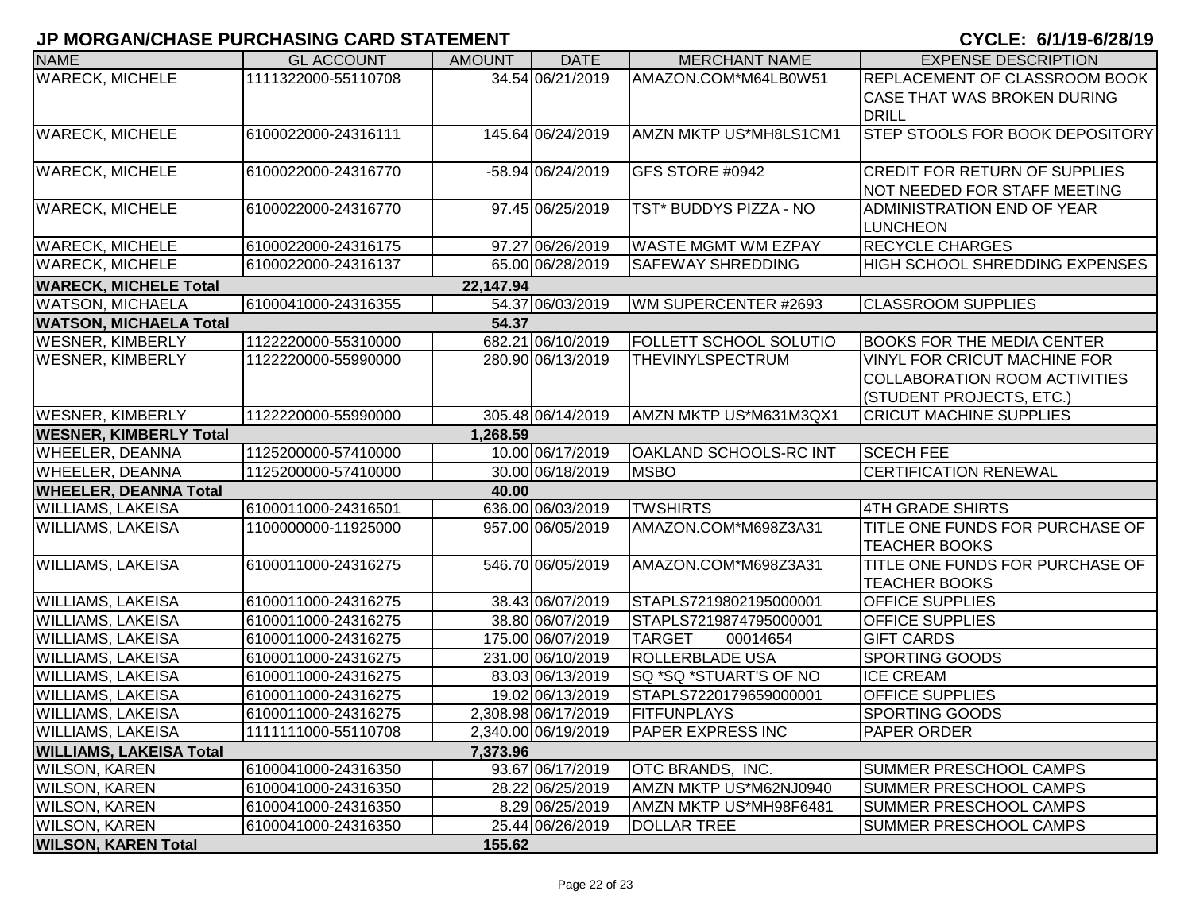| <b>NAME</b>                    | <b>GL ACCOUNT</b>   | <b>AMOUNT</b> | <b>DATE</b>         | <b>MERCHANT NAME</b>       | <b>EXPENSE DESCRIPTION</b>                                   |
|--------------------------------|---------------------|---------------|---------------------|----------------------------|--------------------------------------------------------------|
| <b>WARECK, MICHELE</b>         | 1111322000-55110708 |               | 34.54 06/21/2019    | AMAZON.COM*M64LB0W51       | REPLACEMENT OF CLASSROOM BOOK<br>CASE THAT WAS BROKEN DURING |
|                                |                     |               |                     |                            | <b>DRILL</b>                                                 |
| <b>WARECK, MICHELE</b>         | 6100022000-24316111 |               | 145.64 06/24/2019   | AMZN MKTP US*MH8LS1CM1     | STEP STOOLS FOR BOOK DEPOSITORY                              |
| <b>WARECK, MICHELE</b>         | 6100022000-24316770 |               | -58.94 06/24/2019   | GFS STORE #0942            | <b>CREDIT FOR RETURN OF SUPPLIES</b>                         |
|                                |                     |               |                     |                            | NOT NEEDED FOR STAFF MEETING                                 |
| <b>WARECK, MICHELE</b>         | 6100022000-24316770 |               | 97.45 06/25/2019    | TST* BUDDYS PIZZA - NO     | ADMINISTRATION END OF YEAR                                   |
|                                |                     |               |                     |                            | <b>LUNCHEON</b>                                              |
| <b>WARECK, MICHELE</b>         | 6100022000-24316175 |               | 97.27 06/26/2019    | <b>WASTE MGMT WM EZPAY</b> | <b>RECYCLE CHARGES</b>                                       |
| <b>WARECK, MICHELE</b>         | 6100022000-24316137 |               | 65.00 06/28/2019    | SAFEWAY SHREDDING          | <b>HIGH SCHOOL SHREDDING EXPENSES</b>                        |
| <b>WARECK, MICHELE Total</b>   |                     | 22,147.94     |                     |                            |                                                              |
| <b>WATSON, MICHAELA</b>        | 6100041000-24316355 |               | 54.37 06/03/2019    | WM SUPERCENTER #2693       | <b>CLASSROOM SUPPLIES</b>                                    |
| <b>WATSON, MICHAELA Total</b>  |                     | 54.37         |                     |                            |                                                              |
| <b>WESNER, KIMBERLY</b>        | 1122220000-55310000 |               | 682.21 06/10/2019   | FOLLETT SCHOOL SOLUTIO     | <b>BOOKS FOR THE MEDIA CENTER</b>                            |
| <b>WESNER, KIMBERLY</b>        | 1122220000-55990000 |               | 280.90 06/13/2019   | <b>THEVINYLSPECTRUM</b>    | <b>VINYL FOR CRICUT MACHINE FOR</b>                          |
|                                |                     |               |                     |                            | <b>COLLABORATION ROOM ACTIVITIES</b>                         |
|                                |                     |               |                     |                            | (STUDENT PROJECTS, ETC.)                                     |
| <b>WESNER, KIMBERLY</b>        | 1122220000-55990000 |               | 305.48 06/14/2019   | AMZN MKTP US*M631M3QX1     | <b>CRICUT MACHINE SUPPLIES</b>                               |
| <b>WESNER, KIMBERLY Total</b>  |                     | 1,268.59      |                     |                            |                                                              |
| <b>WHEELER, DEANNA</b>         | 1125200000-57410000 |               | 10.00 06/17/2019    | OAKLAND SCHOOLS-RC INT     | <b>SCECH FEE</b>                                             |
| <b>WHEELER, DEANNA</b>         | 1125200000-57410000 |               | 30.00 06/18/2019    | <b>MSBO</b>                | <b>CERTIFICATION RENEWAL</b>                                 |
| <b>WHEELER, DEANNA Total</b>   |                     | 40.00         |                     |                            |                                                              |
| <b>WILLIAMS, LAKEISA</b>       | 6100011000-24316501 |               | 636.00 06/03/2019   | <b>TWSHIRTS</b>            | <b>4TH GRADE SHIRTS</b>                                      |
| <b>WILLIAMS, LAKEISA</b>       | 1100000000-11925000 |               | 957.00 06/05/2019   | AMAZON.COM*M698Z3A31       | TITLE ONE FUNDS FOR PURCHASE OF<br><b>TEACHER BOOKS</b>      |
| <b>WILLIAMS, LAKEISA</b>       | 6100011000-24316275 |               | 546.70 06/05/2019   | AMAZON.COM*M698Z3A31       | TITLE ONE FUNDS FOR PURCHASE OF                              |
|                                |                     |               |                     |                            | <b>TEACHER BOOKS</b>                                         |
| <b>WILLIAMS, LAKEISA</b>       | 6100011000-24316275 |               | 38.43 06/07/2019    | STAPLS7219802195000001     | <b>OFFICE SUPPLIES</b>                                       |
| <b>WILLIAMS, LAKEISA</b>       | 6100011000-24316275 |               | 38.80 06/07/2019    | STAPLS7219874795000001     | <b>OFFICE SUPPLIES</b>                                       |
| <b>WILLIAMS, LAKEISA</b>       | 6100011000-24316275 |               | 175.00 06/07/2019   | <b>TARGET</b><br>00014654  | <b>GIFT CARDS</b>                                            |
| <b>WILLIAMS, LAKEISA</b>       | 6100011000-24316275 |               | 231.00 06/10/2019   | <b>ROLLERBLADE USA</b>     | <b>SPORTING GOODS</b>                                        |
| <b>WILLIAMS, LAKEISA</b>       | 6100011000-24316275 |               | 83.03 06/13/2019    | SQ *SQ *STUART'S OF NO     | <b>ICE CREAM</b>                                             |
| <b>WILLIAMS, LAKEISA</b>       | 6100011000-24316275 |               | 19.02 06/13/2019    | STAPLS7220179659000001     | <b>OFFICE SUPPLIES</b>                                       |
| <b>WILLIAMS, LAKEISA</b>       | 6100011000-24316275 |               | 2,308.98 06/17/2019 | <b>FITFUNPLAYS</b>         | <b>SPORTING GOODS</b>                                        |
| <b>WILLIAMS, LAKEISA</b>       | 1111111000-55110708 |               | 2,340.00 06/19/2019 | <b>PAPER EXPRESS INC</b>   | <b>PAPER ORDER</b>                                           |
| <b>WILLIAMS, LAKEISA Total</b> |                     | 7,373.96      |                     |                            |                                                              |
| <b>WILSON, KAREN</b>           | 6100041000-24316350 |               | 93.67 06/17/2019    | OTC BRANDS, INC.           | <b>SUMMER PRESCHOOL CAMPS</b>                                |
| <b>WILSON, KAREN</b>           | 6100041000-24316350 |               | 28.22 06/25/2019    | AMZN MKTP US*M62NJ0940     | <b>SUMMER PRESCHOOL CAMPS</b>                                |
| <b>WILSON, KAREN</b>           | 6100041000-24316350 |               | 8.29 06/25/2019     | AMZN MKTP US*MH98F6481     | <b>SUMMER PRESCHOOL CAMPS</b>                                |
| <b>WILSON, KAREN</b>           | 6100041000-24316350 |               | 25.44 06/26/2019    | <b>DOLLAR TREE</b>         | SUMMER PRESCHOOL CAMPS                                       |
| <b>WILSON, KAREN Total</b>     |                     | 155.62        |                     |                            |                                                              |